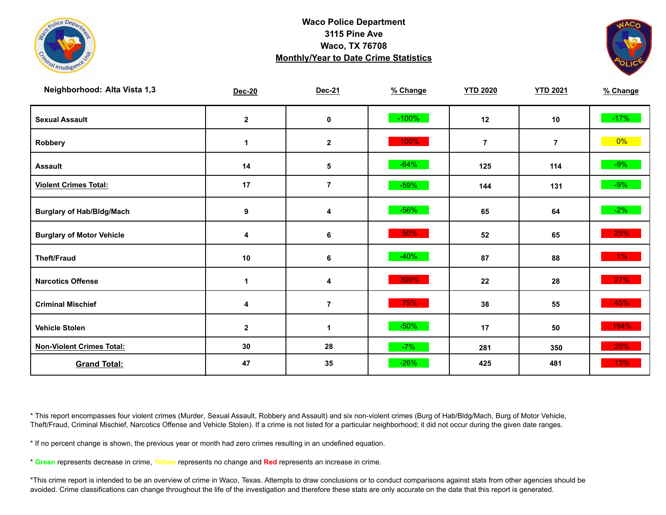



| Neighborhood: Alta Vista 1,3     | Dec-20           | Dec-21         | % Change | <b>YTD 2020</b> | <b>YTD 2021</b> | % Change |
|----------------------------------|------------------|----------------|----------|-----------------|-----------------|----------|
| <b>Sexual Assault</b>            | $\mathbf{2}$     | $\pmb{0}$      | $-100%$  | 12              | 10              | $-17%$   |
| Robbery                          | $\mathbf{1}$     | $\mathbf{2}$   | 100%     | $\overline{7}$  | $\overline{7}$  | $0\%$    |
| <b>Assault</b>                   | 14               | $\sqrt{5}$     | $-64%$   | 125             | 114             | $-9%$    |
| <b>Violent Crimes Total:</b>     | 17               | $\overline{7}$ | $-59%$   | 144             | 131             | $-9\%$   |
| <b>Burglary of Hab/Bldg/Mach</b> | $\boldsymbol{9}$ | 4              | $-56%$   | 65              | 64              | $-2\%$   |
| <b>Burglary of Motor Vehicle</b> | 4                | 6              | 50%      | 52              | 65              | 25%      |
| <b>Theft/Fraud</b>               | 10               | $\bf 6$        | $-40%$   | 87              | 88              | $1\%$    |
| <b>Narcotics Offense</b>         | $\mathbf 1$      | 4              | 300%     | 22              | 28              | 27%      |
| <b>Criminal Mischief</b>         | 4                | $\overline{7}$ | 75%      | 38              | 55              | 45%      |
| <b>Vehicle Stolen</b>            | $\mathbf{2}$     | $\mathbf{1}$   | $-50%$   | 17              | 50              | 194%     |
| <b>Non-Violent Crimes Total:</b> | 30               | 28             | $-7%$    | 281             | 350             | 25%      |
| <b>Grand Total:</b>              | 47               | 35             | $-26%$   | 425             | 481             | $13\%$   |

\* This report encompasses four violent crimes (Murder, Sexual Assault, Robbery and Assault) and six non-violent crimes (Burg of Hab/Bldg/Mach, Burg of Motor Vehicle, Theft/Fraud, Criminal Mischief, Narcotics Offense and Vehicle Stolen). If a crime is not listed for a particular neighborhood; it did not occur during the given date ranges.

\* If no percent change is shown, the previous year or month had zero crimes resulting in an undefined equation.

\* **Green** represents decrease in crime, **Yellow** represents no change and **Red** represents an increase in crime.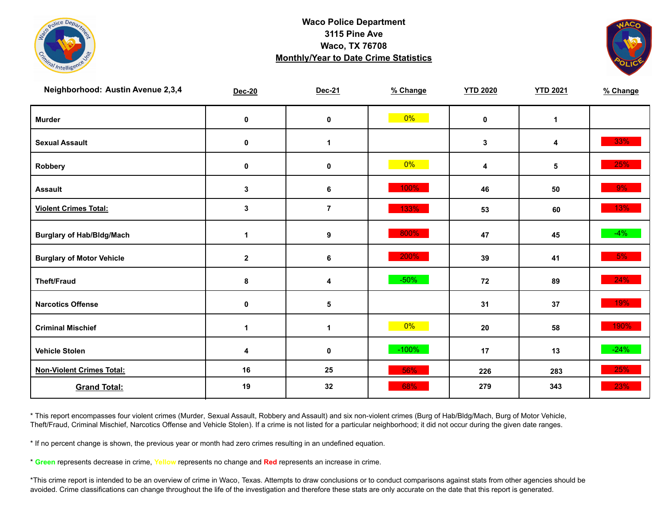



| Neighborhood: Austin Avenue 2,3,4 | <b>Dec-20</b> | Dec-21         | % Change | <b>YTD 2020</b> | <b>YTD 2021</b> | % Change |
|-----------------------------------|---------------|----------------|----------|-----------------|-----------------|----------|
| <b>Murder</b>                     | $\pmb{0}$     | $\pmb{0}$      | $0\%$    | $\mathbf 0$     | $\mathbf{1}$    |          |
| <b>Sexual Assault</b>             | 0             | 1              |          | $\mathbf{3}$    | 4               | 33%      |
| Robbery                           | 0             | 0              | $0\%$    | 4               | 5               | 25%      |
| <b>Assault</b>                    | $\mathbf{3}$  | 6              | 100%     | 46              | 50              | 9%       |
| <b>Violent Crimes Total:</b>      | 3             | $\overline{7}$ | 133%     | 53              | 60              | 13%      |
| <b>Burglary of Hab/Bldg/Mach</b>  | $\mathbf{1}$  | 9              | 800%     | 47              | 45              | $-4%$    |
| <b>Burglary of Motor Vehicle</b>  | $\mathbf 2$   | 6              | 200%     | 39              | 41              | 5%       |
| <b>Theft/Fraud</b>                | 8             | 4              | $-50%$   | 72              | 89              | 24%      |
| <b>Narcotics Offense</b>          | $\pmb{0}$     | 5              |          | 31              | 37              | 19%      |
| <b>Criminal Mischief</b>          | 1             | $\mathbf 1$    | $0\%$    | 20              | 58              | $190\%$  |
| <b>Vehicle Stolen</b>             | 4             | 0              | $-100%$  | 17              | 13              | $-24%$   |
| <b>Non-Violent Crimes Total:</b>  | 16            | 25             | 56%      | 226             | 283             | 25%      |
| <b>Grand Total:</b>               | 19            | 32             | 68%      | 279             | 343             | 23%      |

\* This report encompasses four violent crimes (Murder, Sexual Assault, Robbery and Assault) and six non-violent crimes (Burg of Hab/Bldg/Mach, Burg of Motor Vehicle, Theft/Fraud, Criminal Mischief, Narcotics Offense and Vehicle Stolen). If a crime is not listed for a particular neighborhood; it did not occur during the given date ranges.

\* If no percent change is shown, the previous year or month had zero crimes resulting in an undefined equation.

\* **Green** represents decrease in crime, **Yellow** represents no change and **Red** represents an increase in crime.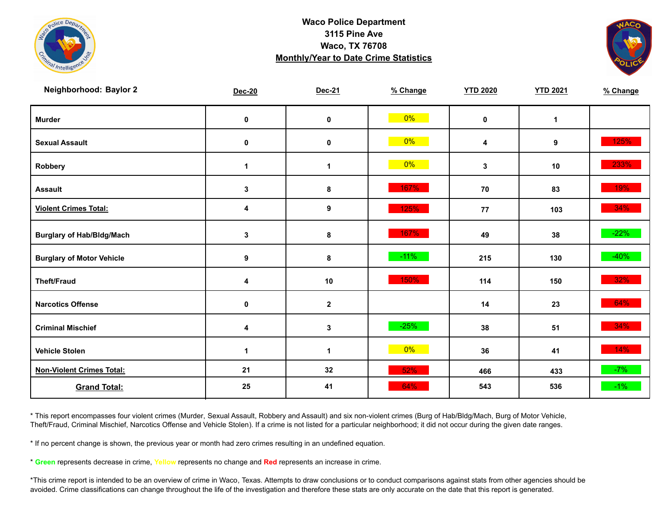



| Neighborhood: Baylor 2           | <b>Dec-20</b> | Dec-21       | % Change | <b>YTD 2020</b> | <b>YTD 2021</b> | % Change |
|----------------------------------|---------------|--------------|----------|-----------------|-----------------|----------|
| <b>Murder</b>                    | $\mathbf 0$   | $\pmb{0}$    | $0\%$    | $\mathbf 0$     | $\mathbf{1}$    |          |
| <b>Sexual Assault</b>            | 0             | 0            | $0\%$    | 4               | 9               | 125%     |
| Robbery                          | 1             | 1            | $0\%$    | 3               | 10              | 233%     |
| <b>Assault</b>                   | $\mathbf{3}$  | 8            | 167%     | 70              | 83              | 19%      |
| <b>Violent Crimes Total:</b>     | 4             | 9            | 125%     | 77              | 103             | 34%      |
| <b>Burglary of Hab/Bldg/Mach</b> | $\mathbf{3}$  | 8            | 167%     | 49              | 38              | $-22%$   |
| <b>Burglary of Motor Vehicle</b> | 9             | 8            | $-11%$   | 215             | 130             | $-40%$   |
| <b>Theft/Fraud</b>               | 4             | 10           | 150%     | 114             | 150             | 32%      |
| <b>Narcotics Offense</b>         | 0             | $\mathbf{2}$ |          | 14              | 23              | 64%      |
| <b>Criminal Mischief</b>         | 4             | $\mathbf 3$  | $-25%$   | 38              | 51              | 34%      |
| <b>Vehicle Stolen</b>            | 1             | 1            | $0\%$    | 36              | 41              | 14%      |
| <b>Non-Violent Crimes Total:</b> | 21            | 32           | 52%      | 466             | 433             | $-7%$    |
| <b>Grand Total:</b>              | 25            | 41           | 64%      | 543             | 536             | $-1\%$   |

\* This report encompasses four violent crimes (Murder, Sexual Assault, Robbery and Assault) and six non-violent crimes (Burg of Hab/Bldg/Mach, Burg of Motor Vehicle, Theft/Fraud, Criminal Mischief, Narcotics Offense and Vehicle Stolen). If a crime is not listed for a particular neighborhood; it did not occur during the given date ranges.

\* If no percent change is shown, the previous year or month had zero crimes resulting in an undefined equation.

\* **Green** represents decrease in crime, **Yellow** represents no change and **Red** represents an increase in crime.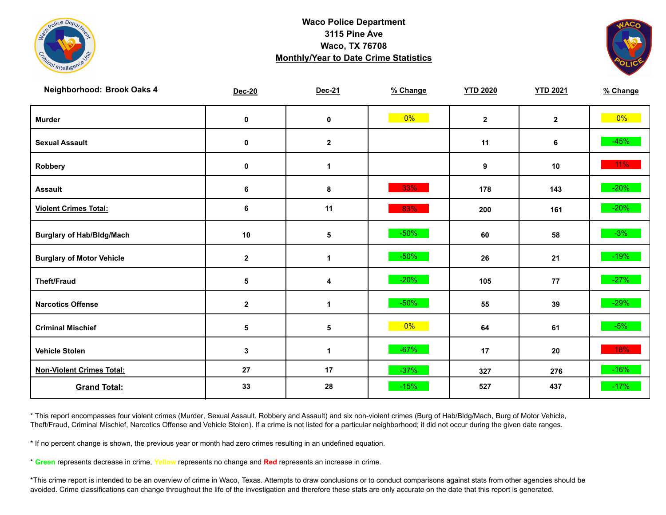



| Neighborhood: Brook Oaks 4       | <b>Dec-20</b>    | Dec-21       | % Change | <b>YTD 2020</b> | <b>YTD 2021</b> | % Change |
|----------------------------------|------------------|--------------|----------|-----------------|-----------------|----------|
| <b>Murder</b>                    | $\mathbf 0$      | $\pmb{0}$    | $0\%$    | $\mathbf{2}$    | $\overline{2}$  | $0\%$    |
| <b>Sexual Assault</b>            | 0                | $\mathbf 2$  |          | 11              | 6               | $-45%$   |
| Robbery                          | 0                | 1            |          | 9               | 10              | $11\%$   |
| <b>Assault</b>                   | 6                | 8            | 33%      | 178             | 143             | $-20%$   |
| <b>Violent Crimes Total:</b>     | 6                | 11           | 83%      | 200             | 161             | $-20%$   |
| <b>Burglary of Hab/Bldg/Mach</b> | 10               | ${\bf 5}$    | $-50%$   | 60              | 58              | $-3%$    |
| <b>Burglary of Motor Vehicle</b> | $\boldsymbol{2}$ | 1            | $-50%$   | 26              | 21              | $-19%$   |
| <b>Theft/Fraud</b>               | $\sqrt{5}$       | 4            | $-20%$   | 105             | 77              | $-27%$   |
| <b>Narcotics Offense</b>         | $\mathbf{2}$     | $\mathbf{1}$ | $-50%$   | 55              | 39              | $-29%$   |
| <b>Criminal Mischief</b>         | $\sqrt{5}$       | 5            | $0\%$    | 64              | 61              | $-5%$    |
| <b>Vehicle Stolen</b>            | $\mathbf{3}$     | $\mathbf 1$  | $-67%$   | 17              | 20              | 18%      |
| <b>Non-Violent Crimes Total:</b> | 27               | 17           | $-37%$   | 327             | 276             | $-16%$   |
| <b>Grand Total:</b>              | 33               | 28           | $-15%$   | 527             | 437             | $-17%$   |

\* This report encompasses four violent crimes (Murder, Sexual Assault, Robbery and Assault) and six non-violent crimes (Burg of Hab/Bldg/Mach, Burg of Motor Vehicle, Theft/Fraud, Criminal Mischief, Narcotics Offense and Vehicle Stolen). If a crime is not listed for a particular neighborhood; it did not occur during the given date ranges.

\* If no percent change is shown, the previous year or month had zero crimes resulting in an undefined equation.

\* **Green** represents decrease in crime, **Yellow** represents no change and **Red** represents an increase in crime.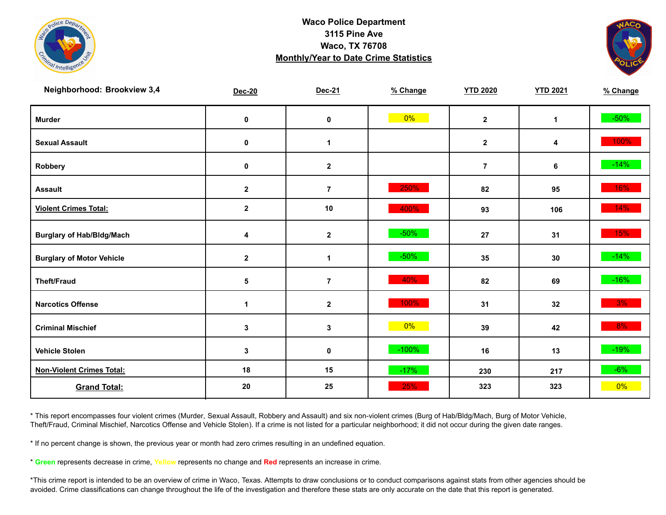



| Neighborhood: Brookview 3,4      | <b>Dec-20</b>           | Dec-21           | % Change | <b>YTD 2020</b> | <b>YTD 2021</b> | % Change |
|----------------------------------|-------------------------|------------------|----------|-----------------|-----------------|----------|
| <b>Murder</b>                    | $\pmb{0}$               | $\mathbf 0$      | $0\%$    | $\mathbf{2}$    | $\mathbf{1}$    | $-50\%$  |
| <b>Sexual Assault</b>            | 0                       | 1                |          | $\mathbf{2}$    | 4               | 100%     |
| Robbery                          | 0                       | $\mathbf{2}$     |          | $\overline{7}$  | 6               | $-14%$   |
| <b>Assault</b>                   | $\boldsymbol{2}$        | $\overline{7}$   | 250%     | 82              | 95              | 16%      |
| <b>Violent Crimes Total:</b>     | $\overline{\mathbf{2}}$ | 10               | 400%     | 93              | 106             | 14%      |
| <b>Burglary of Hab/Bldg/Mach</b> | 4                       | $\mathbf 2$      | $-50%$   | 27              | 31              | 15%      |
| <b>Burglary of Motor Vehicle</b> | $\mathbf{2}$            | 1                | $-50%$   | 35              | 30              | $-14%$   |
| <b>Theft/Fraud</b>               | 5                       | $\overline{7}$   | 40%      | 82              | 69              | $-16%$   |
| <b>Narcotics Offense</b>         | $\blacktriangleleft$    | $\boldsymbol{2}$ | 100%     | 31              | 32              | 3%       |
| <b>Criminal Mischief</b>         | $\mathbf{3}$            | 3                | $0\%$    | 39              | 42              | 8%       |
| <b>Vehicle Stolen</b>            | $\mathbf 3$             | $\pmb{0}$        | $-100%$  | 16              | 13              | $-19%$   |
| <b>Non-Violent Crimes Total:</b> | 18                      | 15               | $-17%$   | 230             | 217             | $-6%$    |
| <b>Grand Total:</b>              | 20                      | 25               | 25%      | 323             | 323             | $0\%$    |

\* This report encompasses four violent crimes (Murder, Sexual Assault, Robbery and Assault) and six non-violent crimes (Burg of Hab/Bldg/Mach, Burg of Motor Vehicle, Theft/Fraud, Criminal Mischief, Narcotics Offense and Vehicle Stolen). If a crime is not listed for a particular neighborhood; it did not occur during the given date ranges.

\* If no percent change is shown, the previous year or month had zero crimes resulting in an undefined equation.

\* **Green** represents decrease in crime, **Yellow** represents no change and **Red** represents an increase in crime.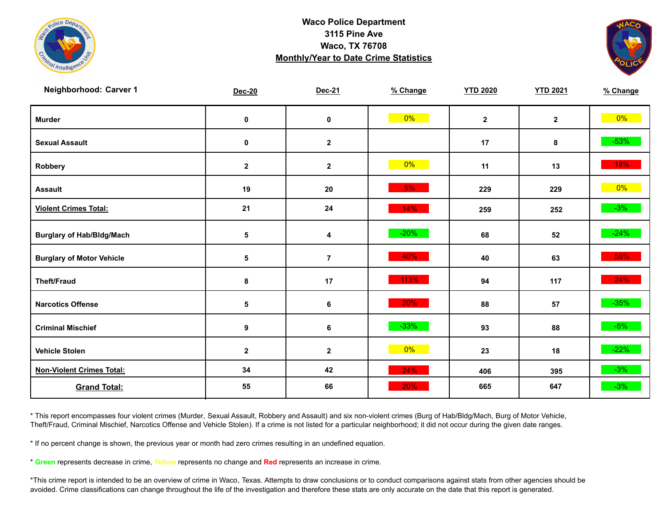



| Neighborhood: Carver 1           | <b>Dec-20</b> | Dec-21                  | % Change | <b>YTD 2020</b> | <b>YTD 2021</b> | % Change |
|----------------------------------|---------------|-------------------------|----------|-----------------|-----------------|----------|
| <b>Murder</b>                    | $\pmb{0}$     | $\mathbf 0$             | $0\%$    | $\mathbf{2}$    | $\mathbf{2}$    | $0\%$    |
| <b>Sexual Assault</b>            | $\pmb{0}$     | $\mathbf{2}$            |          | 17              | 8               | $-53%$   |
| Robbery                          | $\mathbf 2$   | $\mathbf{2}$            | 0%       | 11              | 13              | 18%      |
| <b>Assault</b>                   | 19            | 20                      | 5%       | 229             | 229             | $0\%$    |
| <b>Violent Crimes Total:</b>     | 21            | 24                      | 14%      | 259             | 252             | $-3%$    |
| <b>Burglary of Hab/Bldg/Mach</b> | 5             | $\overline{\mathbf{4}}$ | $-20%$   | 68              | 52              | $-24%$   |
| <b>Burglary of Motor Vehicle</b> | 5             | $\overline{7}$          | 40%      | 40              | 63              | 58%      |
| <b>Theft/Fraud</b>               | 8             | 17                      | 113%     | 94              | 117             | 24%      |
| <b>Narcotics Offense</b>         | 5             | 6                       | 20%      | 88              | 57              | $-35%$   |
| <b>Criminal Mischief</b>         | 9             | 6                       | $-33%$   | 93              | 88              | $-5%$    |
| <b>Vehicle Stolen</b>            | $\mathbf 2$   | $\mathbf{2}$            | $0\%$    | 23              | 18              | $-22%$   |
| <b>Non-Violent Crimes Total:</b> | 34            | 42                      | 24%      | 406             | 395             | $-3%$    |
| <b>Grand Total:</b>              | 55            | 66                      | 20%      | 665             | 647             | $-3%$    |

\* This report encompasses four violent crimes (Murder, Sexual Assault, Robbery and Assault) and six non-violent crimes (Burg of Hab/Bldg/Mach, Burg of Motor Vehicle, Theft/Fraud, Criminal Mischief, Narcotics Offense and Vehicle Stolen). If a crime is not listed for a particular neighborhood; it did not occur during the given date ranges.

\* If no percent change is shown, the previous year or month had zero crimes resulting in an undefined equation.

\* **Green** represents decrease in crime, **Yellow** represents no change and **Red** represents an increase in crime.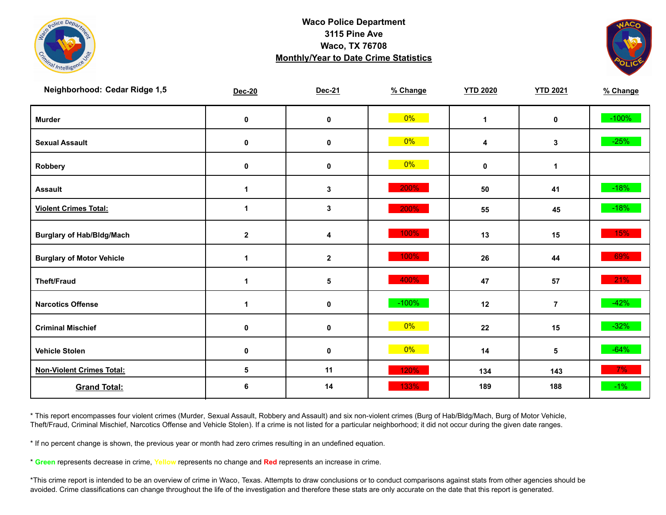



| Neighborhood: Cedar Ridge 1,5    | <b>Dec-20</b>        | Dec-21      | % Change | <b>YTD 2020</b> | <b>YTD 2021</b> | % Change |
|----------------------------------|----------------------|-------------|----------|-----------------|-----------------|----------|
| <b>Murder</b>                    | $\pmb{0}$            | $\mathbf 0$ | $0\%$    | $\mathbf 1$     | $\mathbf 0$     | $-100%$  |
| <b>Sexual Assault</b>            | 0                    | $\pmb{0}$   | $0\%$    | 4               | 3 <sup>1</sup>  | $-25%$   |
| Robbery                          | 0                    | 0           | 0%       | $\mathbf 0$     | $\mathbf{1}$    |          |
| <b>Assault</b>                   | $\mathbf{1}$         | 3           | 200%     | 50              | 41              | $-18%$   |
| <b>Violent Crimes Total:</b>     | 1                    | 3           | 200%     | 55              | 45              | $-18%$   |
| <b>Burglary of Hab/Bldg/Mach</b> | $\mathbf{2}$         | 4           | 100%     | 13              | 15              | 15%      |
| <b>Burglary of Motor Vehicle</b> | 1                    | $\mathbf 2$ | 100%     | 26              | 44              | 69%      |
| <b>Theft/Fraud</b>               | 1                    | 5           | 400%     | 47              | 57              | 21%      |
| <b>Narcotics Offense</b>         | $\blacktriangleleft$ | $\pmb{0}$   | $-100%$  | 12              | $\overline{7}$  | $-42%$   |
| <b>Criminal Mischief</b>         | 0                    | 0           | $0\%$    | 22              | 15              | $-32%$   |
| <b>Vehicle Stolen</b>            | $\pmb{0}$            | $\pmb{0}$   | $0\%$    | 14              | 5               | $-64%$   |
| <b>Non-Violent Crimes Total:</b> | 5                    | 11          | 120%     | 134             | 143             | 7%       |
| <b>Grand Total:</b>              | 6                    | 14          | 133%     | 189             | 188             | $-1\%$   |

\* This report encompasses four violent crimes (Murder, Sexual Assault, Robbery and Assault) and six non-violent crimes (Burg of Hab/Bldg/Mach, Burg of Motor Vehicle, Theft/Fraud, Criminal Mischief, Narcotics Offense and Vehicle Stolen). If a crime is not listed for a particular neighborhood; it did not occur during the given date ranges.

\* If no percent change is shown, the previous year or month had zero crimes resulting in an undefined equation.

\* **Green** represents decrease in crime, **Yellow** represents no change and **Red** represents an increase in crime.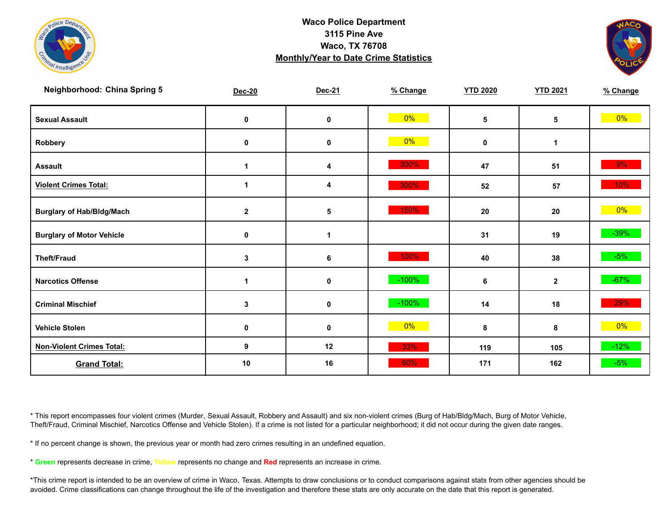



| <b>Neighborhood: China Spring 5</b> | Dec-20               | Dec-21      | % Change | <b>YTD 2020</b> | <b>YTD 2021</b> | % Change |
|-------------------------------------|----------------------|-------------|----------|-----------------|-----------------|----------|
| <b>Sexual Assault</b>               | 0                    | $\mathbf 0$ | $0\%$    | 5               | 5               | $0\%$    |
| Robbery                             | 0                    | 0           | 0%       | 0               | 1               |          |
| <b>Assault</b>                      | $\blacktriangleleft$ | 4           | 300%     | 47              | 51              | $9\%$    |
| <b>Violent Crimes Total:</b>        | 1                    | 4           | 300%     | 52              | 57              | 10%      |
| <b>Burglary of Hab/Bldg/Mach</b>    | $\mathbf{2}$         | $\sqrt{5}$  | 150%     | 20              | 20              | $0\%$    |
| <b>Burglary of Motor Vehicle</b>    | 0                    | 1           |          | 31              | 19              | $-39%$   |
| <b>Theft/Fraud</b>                  | 3                    | 6           | 100%     | 40              | 38              | $-5%$    |
| <b>Narcotics Offense</b>            | 1                    | $\pmb{0}$   | $-100%$  | 6               | $\mathbf{2}$    | $-67%$   |
| <b>Criminal Mischief</b>            | 3                    | $\pmb{0}$   | $-100%$  | 14              | 18              | 29%      |
| <b>Vehicle Stolen</b>               | $\mathbf 0$          | $\mathbf 0$ | $0\%$    | 8               | 8               | $0\%$    |
| <b>Non-Violent Crimes Total:</b>    | 9                    | 12          | 33%      | 119             | 105             | $-12%$   |
| <b>Grand Total:</b>                 | 10                   | 16          | 60%      | 171             | 162             | $-5%$    |

\* This report encompasses four violent crimes (Murder, Sexual Assault, Robbery and Assault) and six non-violent crimes (Burg of Hab/Bldg/Mach, Burg of Motor Vehicle, Theft/Fraud, Criminal Mischief, Narcotics Offense and Vehicle Stolen). If a crime is not listed for a particular neighborhood; it did not occur during the given date ranges.

\* If no percent change is shown, the previous year or month had zero crimes resulting in an undefined equation.

\* **Green** represents decrease in crime, **Yellow** represents no change and **Red** represents an increase in crime.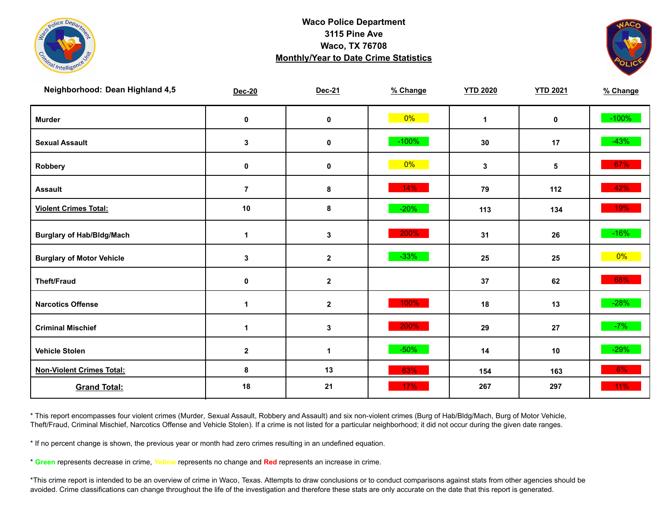



| Neighborhood: Dean Highland 4,5  | <b>Dec-20</b>        | Dec-21           | % Change | <b>YTD 2020</b> | <b>YTD 2021</b> | % Change |
|----------------------------------|----------------------|------------------|----------|-----------------|-----------------|----------|
| <b>Murder</b>                    | $\pmb{0}$            | $\mathbf 0$      | $0\%$    | $\mathbf{1}$    | $\mathbf 0$     | $-100%$  |
| <b>Sexual Assault</b>            | 3                    | $\pmb{0}$        | $-100%$  | 30              | 17              | $-43%$   |
| Robbery                          | 0                    | 0                | 0%       | 3               | 5               | 67%      |
| <b>Assault</b>                   | $\overline{7}$       | 8                | 14%      | 79              | 112             | 42%      |
| <b>Violent Crimes Total:</b>     | 10                   | 8                | $-20%$   | 113             | 134             | 19%      |
| <b>Burglary of Hab/Bldg/Mach</b> | $\mathbf{1}$         | 3                | 200%     | 31              | 26              | $-16%$   |
| <b>Burglary of Motor Vehicle</b> | 3                    | $\mathbf 2$      | $-33%$   | 25              | 25              | $0\%$    |
| <b>Theft/Fraud</b>               | 0                    | $\mathbf 2$      |          | 37              | 62              | 68%      |
| <b>Narcotics Offense</b>         | $\blacktriangleleft$ | $\boldsymbol{2}$ | 100%     | 18              | 13              | $-28%$   |
| <b>Criminal Mischief</b>         | $\mathbf 1$          | 3                | 200%     | 29              | 27              | $-7%$    |
| <b>Vehicle Stolen</b>            | $\boldsymbol{2}$     | $\mathbf{1}$     | $-50%$   | 14              | 10              | $-29%$   |
| <b>Non-Violent Crimes Total:</b> | 8                    | 13               | 63%      | 154             | 163             | 6%       |
| <b>Grand Total:</b>              | 18                   | 21               | 17%      | 267             | 297             | $11\%$   |

\* This report encompasses four violent crimes (Murder, Sexual Assault, Robbery and Assault) and six non-violent crimes (Burg of Hab/Bldg/Mach, Burg of Motor Vehicle, Theft/Fraud, Criminal Mischief, Narcotics Offense and Vehicle Stolen). If a crime is not listed for a particular neighborhood; it did not occur during the given date ranges.

\* If no percent change is shown, the previous year or month had zero crimes resulting in an undefined equation.

\* **Green** represents decrease in crime, **Yellow** represents no change and **Red** represents an increase in crime.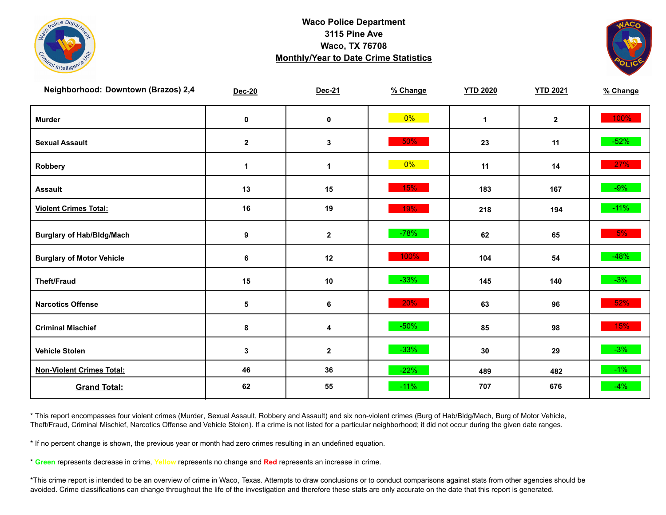



| Neighborhood: Downtown (Brazos) 2,4 | <b>Dec-20</b>    | Dec-21      | % Change | <b>YTD 2020</b> | <b>YTD 2021</b> | % Change |
|-------------------------------------|------------------|-------------|----------|-----------------|-----------------|----------|
| <b>Murder</b>                       | $\pmb{0}$        | $\mathbf 0$ | $0\%$    | $\mathbf{1}$    | $\mathbf{2}$    | 100%     |
| <b>Sexual Assault</b>               | $\mathbf{2}$     | 3           | 50%      | 23              | 11              | $-52%$   |
| Robbery                             | 1                | $\mathbf 1$ | 0%       | 11              | 14              | 27%      |
| <b>Assault</b>                      | 13               | 15          | 15%      | 183             | 167             | $-9\%$   |
| <b>Violent Crimes Total:</b>        | 16               | 19          | 19%      | 218             | 194             | $-11\%$  |
| <b>Burglary of Hab/Bldg/Mach</b>    | $\boldsymbol{9}$ | $\mathbf 2$ | $-78%$   | 62              | 65              | 5%       |
| <b>Burglary of Motor Vehicle</b>    | 6                | 12          | 100%     | 104             | 54              | $-48%$   |
| <b>Theft/Fraud</b>                  | 15               | $10$        | $-33%$   | 145             | 140             | $-3%$    |
| <b>Narcotics Offense</b>            | 5                | 6           | 20%      | 63              | 96              | 52%      |
| <b>Criminal Mischief</b>            | 8                | 4           | $-50%$   | 85              | 98              | 15%      |
| <b>Vehicle Stolen</b>               | 3                | $\mathbf 2$ | $-33%$   | 30              | 29              | $-3%$    |
| <b>Non-Violent Crimes Total:</b>    | 46               | 36          | $-22%$   | 489             | 482             | $-1\%$   |
| <b>Grand Total:</b>                 | 62               | 55          | $-11%$   | 707             | 676             | $-4%$    |

\* This report encompasses four violent crimes (Murder, Sexual Assault, Robbery and Assault) and six non-violent crimes (Burg of Hab/Bldg/Mach, Burg of Motor Vehicle, Theft/Fraud, Criminal Mischief, Narcotics Offense and Vehicle Stolen). If a crime is not listed for a particular neighborhood; it did not occur during the given date ranges.

\* If no percent change is shown, the previous year or month had zero crimes resulting in an undefined equation.

\* **Green** represents decrease in crime, **Yellow** represents no change and **Red** represents an increase in crime.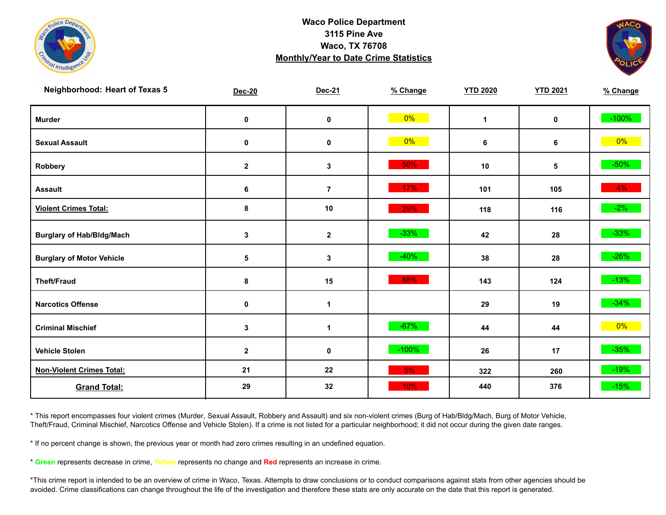



| <b>Neighborhood: Heart of Texas 5</b> | <b>Dec-20</b> | Dec-21               | % Change | <b>YTD 2020</b> | <b>YTD 2021</b> | % Change |
|---------------------------------------|---------------|----------------------|----------|-----------------|-----------------|----------|
| <b>Murder</b>                         | $\mathbf 0$   | $\pmb{0}$            | $0\%$    | $\mathbf{1}$    | $\mathbf 0$     | $-100%$  |
| <b>Sexual Assault</b>                 | 0             | $\pmb{0}$            | $0\%$    | 6               | 6               | $0\%$    |
| Robbery                               | $\mathbf{2}$  | 3                    | 50%      | 10              | 5               | $-50\%$  |
| <b>Assault</b>                        | 6             | $\overline{7}$       | 17%      | 101             | 105             | $4\%$    |
| <b>Violent Crimes Total:</b>          | 8             | 10                   | 25%      | 118             | 116             | $-2\%$   |
| <b>Burglary of Hab/Bldg/Mach</b>      | $\mathbf{3}$  | $\mathbf{2}$         | $-33%$   | 42              | 28              | $-33%$   |
| <b>Burglary of Motor Vehicle</b>      | 5             | 3                    | $-40%$   | 38              | 28              | $-26%$   |
| <b>Theft/Fraud</b>                    | 8             | 15                   | 88%      | 143             | 124             | $-13%$   |
| <b>Narcotics Offense</b>              | $\mathbf 0$   | $\blacktriangleleft$ |          | 29              | 19              | $-34%$   |
| <b>Criminal Mischief</b>              | $\mathbf{3}$  | $\mathbf{1}$         | $-67%$   | 44              | 44              | $0\%$    |
| <b>Vehicle Stolen</b>                 | $\mathbf{2}$  | $\pmb{0}$            | $-100%$  | 26              | 17              | $-35%$   |
| <b>Non-Violent Crimes Total:</b>      | 21            | 22                   | 5%       | 322             | 260             | $-19%$   |
| <b>Grand Total:</b>                   | 29            | 32                   | 10%      | 440             | 376             | $-15%$   |

\* This report encompasses four violent crimes (Murder, Sexual Assault, Robbery and Assault) and six non-violent crimes (Burg of Hab/Bldg/Mach, Burg of Motor Vehicle, Theft/Fraud, Criminal Mischief, Narcotics Offense and Vehicle Stolen). If a crime is not listed for a particular neighborhood; it did not occur during the given date ranges.

\* If no percent change is shown, the previous year or month had zero crimes resulting in an undefined equation.

\* **Green** represents decrease in crime, **Yellow** represents no change and **Red** represents an increase in crime.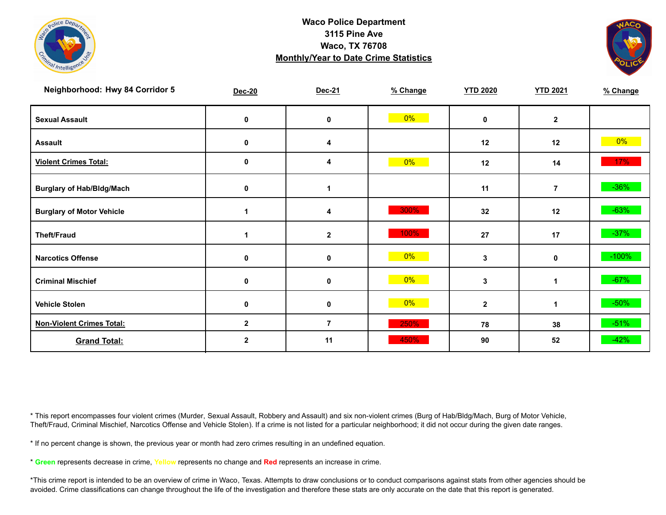



| Neighborhood: Hwy 84 Corridor 5  | <b>Dec-20</b> | Dec-21                  | % Change | <b>YTD 2020</b> | <b>YTD 2021</b> | % Change |
|----------------------------------|---------------|-------------------------|----------|-----------------|-----------------|----------|
| <b>Sexual Assault</b>            | 0             | 0                       | 0%       | $\mathbf 0$     | $\mathbf{2}$    |          |
| <b>Assault</b>                   | 0             | 4                       |          | 12              | 12              | $0\%$    |
| <b>Violent Crimes Total:</b>     | 0             | 4                       | 0%       | 12              | 14              | $17\%$   |
| <b>Burglary of Hab/Bldg/Mach</b> | 0             |                         |          | 11              | $\overline{7}$  | $-36%$   |
| <b>Burglary of Motor Vehicle</b> | 1             | 4                       | 300%     | 32              | 12              | $-63%$   |
| <b>Theft/Fraud</b>               | 1             | $\mathbf{2}$            | 100%     | 27              | 17              | $-37%$   |
| <b>Narcotics Offense</b>         | 0             | 0                       | 0%       | 3               | 0               | $-100%$  |
| <b>Criminal Mischief</b>         | 0             | 0                       | $0\%$    | 3               | $\mathbf 1$     | $-67%$   |
| <b>Vehicle Stolen</b>            | $\mathbf 0$   | 0                       | $0\%$    | $\mathbf{2}$    | 1               | $-50%$   |
| <b>Non-Violent Crimes Total:</b> | $\mathbf{2}$  | $\overline{\mathbf{r}}$ | 250%     | 78              | 38              | $-51%$   |
| <b>Grand Total:</b>              | $\mathbf{2}$  | 11                      | 450%     | 90              | 52              | $-42%$   |

\* This report encompasses four violent crimes (Murder, Sexual Assault, Robbery and Assault) and six non-violent crimes (Burg of Hab/Bldg/Mach, Burg of Motor Vehicle, Theft/Fraud, Criminal Mischief, Narcotics Offense and Vehicle Stolen). If a crime is not listed for a particular neighborhood; it did not occur during the given date ranges.

\* If no percent change is shown, the previous year or month had zero crimes resulting in an undefined equation.

\* **Green** represents decrease in crime, **Yellow** represents no change and **Red** represents an increase in crime.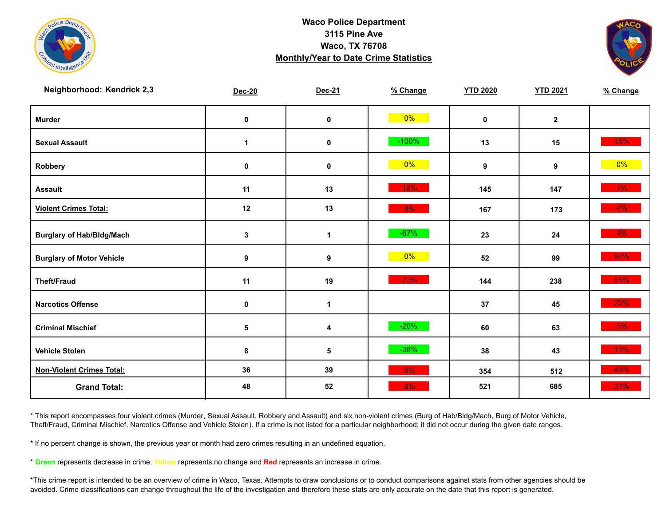



| Neighborhood: Kendrick 2,3       | <b>Dec-20</b> | Dec-21           | % Change | <b>YTD 2020</b> | <b>YTD 2021</b> | % Change |
|----------------------------------|---------------|------------------|----------|-----------------|-----------------|----------|
| <b>Murder</b>                    | $\mathbf 0$   | $\pmb{0}$        | $0\%$    | $\mathbf 0$     | $\mathbf{2}$    |          |
| <b>Sexual Assault</b>            | 1             | $\pmb{0}$        | $-100%$  | 13              | 15              | 15%      |
| <b>Robbery</b>                   | 0             | $\pmb{0}$        | $0\%$    | 9               | 9               | 0%       |
| <b>Assault</b>                   | 11            | 13               | 18%      | 145             | 147             | $1\%$    |
| <b>Violent Crimes Total:</b>     | 12            | 13               | 8%       | 167             | 173             | $4\%$    |
| <b>Burglary of Hab/Bldg/Mach</b> | 3             | $\mathbf 1$      | $-67%$   | 23              | 24              | $4\%$    |
| <b>Burglary of Motor Vehicle</b> | 9             | $\boldsymbol{9}$ | $0\%$    | 52              | 99              | 90%      |
| <b>Theft/Fraud</b>               | 11            | 19               | 73%      | 144             | 238             | 65%      |
| <b>Narcotics Offense</b>         | 0             | $\mathbf 1$      |          | 37              | 45              | 22%      |
| <b>Criminal Mischief</b>         | 5             | 4                | $-20%$   | 60              | 63              | 5%       |
| <b>Vehicle Stolen</b>            | 8             | 5                | $-38%$   | 38              | 43              | 13%      |
| <b>Non-Violent Crimes Total:</b> | 36            | 39               | 8%       | 354             | 512             | 45%      |
| <b>Grand Total:</b>              | 48            | 52               | 8%       | 521             | 685             | $31\%$   |

\* This report encompasses four violent crimes (Murder, Sexual Assault, Robbery and Assault) and six non-violent crimes (Burg of Hab/Bldg/Mach, Burg of Motor Vehicle, Theft/Fraud, Criminal Mischief, Narcotics Offense and Vehicle Stolen). If a crime is not listed for a particular neighborhood; it did not occur during the given date ranges.

\* If no percent change is shown, the previous year or month had zero crimes resulting in an undefined equation.

\* **Green** represents decrease in crime, **Yellow** represents no change and **Red** represents an increase in crime.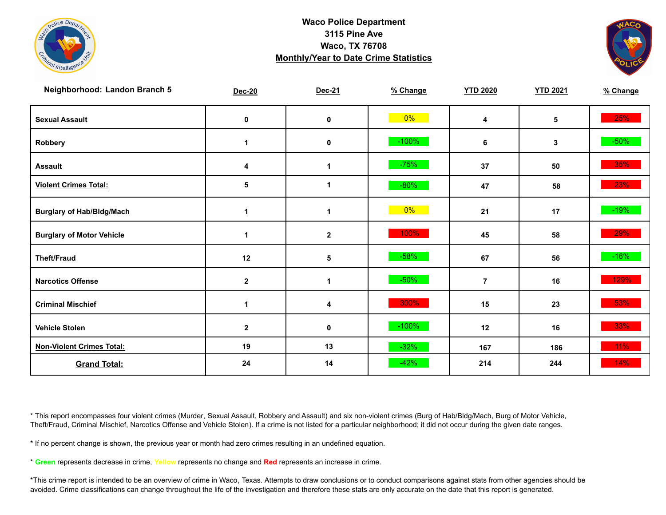



| Neighborhood: Landon Branch 5    | Dec-20       | Dec-21       | % Change | <b>YTD 2020</b> | <b>YTD 2021</b> | % Change |
|----------------------------------|--------------|--------------|----------|-----------------|-----------------|----------|
| <b>Sexual Assault</b>            | $\pmb{0}$    | $\pmb{0}$    | $0\%$    | 4               | 5               | 25%      |
| Robbery                          | 1            | $\pmb{0}$    | $-100%$  | 6               | $\mathbf{3}$    | $-50\%$  |
| <b>Assault</b>                   | 4            | 1            | $-75%$   | 37              | 50              | 35%      |
| <b>Violent Crimes Total:</b>     | 5            | 1            | $-80%$   | 47              | 58              | 23%      |
| <b>Burglary of Hab/Bldg/Mach</b> | 1            | 1            | $0\%$    | 21              | 17              | $-19%$   |
| <b>Burglary of Motor Vehicle</b> | 1            | $\mathbf{2}$ | 100%     | 45              | 58              | 29%      |
| <b>Theft/Fraud</b>               | 12           | 5            | $-58%$   | 67              | 56              | $-16%$   |
| <b>Narcotics Offense</b>         | $\mathbf{2}$ | $\mathbf 1$  | $-50%$   | $\overline{7}$  | 16              | 129%     |
| <b>Criminal Mischief</b>         | 1            | 4            | 300%     | 15              | 23              | 53%      |
| <b>Vehicle Stolen</b>            | $\mathbf{2}$ | $\pmb{0}$    | $-100%$  | 12              | 16              | 33%      |
| <b>Non-Violent Crimes Total:</b> | 19           | 13           | $-32%$   | 167             | 186             | 11%      |
| <b>Grand Total:</b>              | 24           | 14           | $-42%$   | 214             | 244             | 14%      |

\* This report encompasses four violent crimes (Murder, Sexual Assault, Robbery and Assault) and six non-violent crimes (Burg of Hab/Bldg/Mach, Burg of Motor Vehicle, Theft/Fraud, Criminal Mischief, Narcotics Offense and Vehicle Stolen). If a crime is not listed for a particular neighborhood; it did not occur during the given date ranges.

\* If no percent change is shown, the previous year or month had zero crimes resulting in an undefined equation.

\* **Green** represents decrease in crime, **Yellow** represents no change and **Red** represents an increase in crime.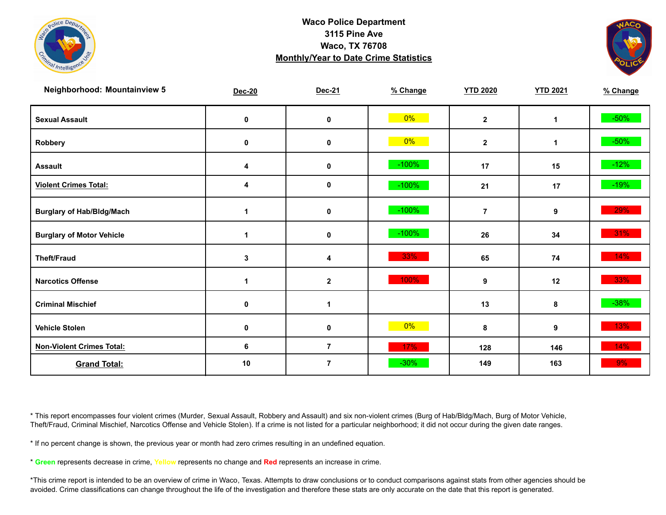



| <b>Neighborhood: Mountainview 5</b> | Dec-20      | Dec-21         | % Change | <b>YTD 2020</b> | <b>YTD 2021</b> | % Change |
|-------------------------------------|-------------|----------------|----------|-----------------|-----------------|----------|
| <b>Sexual Assault</b>               | 0           | $\pmb{0}$      | $0\%$    | $\mathbf{2}$    | 1               | $-50\%$  |
| Robbery                             | 0           | 0              | $0\%$    | $\mathbf{2}$    | 1               | $-50\%$  |
| <b>Assault</b>                      | 4           | 0              | $-100%$  | 17              | 15              | $-12%$   |
| <b>Violent Crimes Total:</b>        | 4           | $\pmb{0}$      | $-100%$  | 21              | 17              | $-19%$   |
| <b>Burglary of Hab/Bldg/Mach</b>    | 1           | $\pmb{0}$      | $-100\%$ | $\overline{7}$  | 9               | 29%      |
| <b>Burglary of Motor Vehicle</b>    | 1           | 0              | $-100%$  | 26              | 34              | $31\%$   |
| <b>Theft/Fraud</b>                  | 3           | 4              | 33%      | 65              | 74              | 14%      |
| <b>Narcotics Offense</b>            | 1           | $\mathbf{2}$   | 100%     | 9               | 12              | 33%      |
| <b>Criminal Mischief</b>            | 0           | $\mathbf{1}$   |          | 13              | 8               | $-38%$   |
| <b>Vehicle Stolen</b>               | $\mathbf 0$ | $\mathbf 0$    | 0%       | 8               | 9               | 13%      |
| <b>Non-Violent Crimes Total:</b>    | 6           | $\overline{7}$ | 17%      | 128             | 146             | 14%      |
| <b>Grand Total:</b>                 | 10          | $\overline{7}$ | $-30%$   | 149             | 163             | $9\%$    |

\* This report encompasses four violent crimes (Murder, Sexual Assault, Robbery and Assault) and six non-violent crimes (Burg of Hab/Bldg/Mach, Burg of Motor Vehicle, Theft/Fraud, Criminal Mischief, Narcotics Offense and Vehicle Stolen). If a crime is not listed for a particular neighborhood; it did not occur during the given date ranges.

\* If no percent change is shown, the previous year or month had zero crimes resulting in an undefined equation.

\* **Green** represents decrease in crime, **Yellow** represents no change and **Red** represents an increase in crime.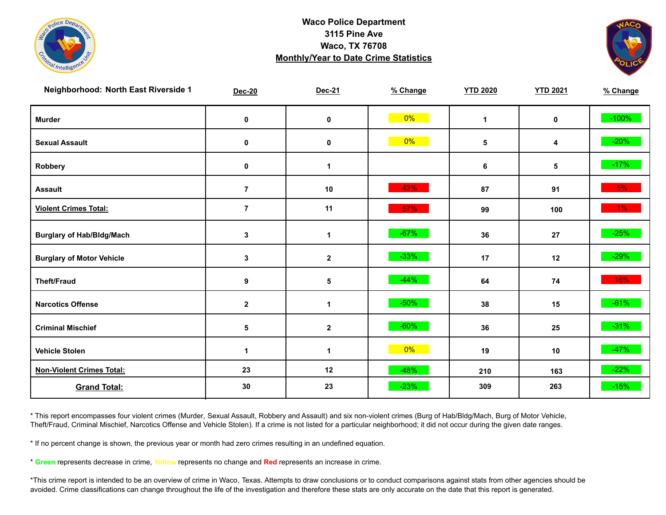



| Neighborhood: North East Riverside 1 | <b>Dec-20</b>    | Dec-21       | % Change | <b>YTD 2020</b> | <b>YTD 2021</b> | % Change |
|--------------------------------------|------------------|--------------|----------|-----------------|-----------------|----------|
| <b>Murder</b>                        | $\pmb{0}$        | $\pmb{0}$    | 0%       | $\mathbf{1}$    | $\mathbf 0$     | $-100%$  |
| <b>Sexual Assault</b>                | 0                | 0            | $0\%$    | 5               | 4               | $-20%$   |
| Robbery                              | 0                | 1            |          | 6               | 5               | $-17%$   |
| <b>Assault</b>                       | $\overline{7}$   | $10$         | 43%      | 87              | 91              | 5%       |
| <b>Violent Crimes Total:</b>         | $\overline{7}$   | 11           | 57%      | 99              | 100             | $1\%$    |
| <b>Burglary of Hab/Bldg/Mach</b>     | $\mathbf 3$      | $\mathbf 1$  | $-67%$   | 36              | 27              | $-25%$   |
| <b>Burglary of Motor Vehicle</b>     | 3                | $\mathbf 2$  | $-33%$   | 17              | 12              | $-29%$   |
| <b>Theft/Fraud</b>                   | $\boldsymbol{9}$ | 5            | $-44%$   | 64              | 74              | 16%      |
| <b>Narcotics Offense</b>             | $\mathbf{2}$     | $\mathbf 1$  | $-50%$   | 38              | 15              | $-61%$   |
| <b>Criminal Mischief</b>             | 5                | $\mathbf 2$  | $-60%$   | 36              | 25              | $-31\%$  |
| <b>Vehicle Stolen</b>                | 1                | $\mathbf{1}$ | $0\%$    | 19              | 10              | $-47%$   |
| <b>Non-Violent Crimes Total:</b>     | 23               | 12           | $-48%$   | 210             | 163             | $-22%$   |
| <b>Grand Total:</b>                  | 30               | 23           | $-23%$   | 309             | 263             | $-15%$   |

\* This report encompasses four violent crimes (Murder, Sexual Assault, Robbery and Assault) and six non-violent crimes (Burg of Hab/Bldg/Mach, Burg of Motor Vehicle, Theft/Fraud, Criminal Mischief, Narcotics Offense and Vehicle Stolen). If a crime is not listed for a particular neighborhood; it did not occur during the given date ranges.

\* If no percent change is shown, the previous year or month had zero crimes resulting in an undefined equation.

\* **Green** represents decrease in crime, **Yellow** represents no change and **Red** represents an increase in crime.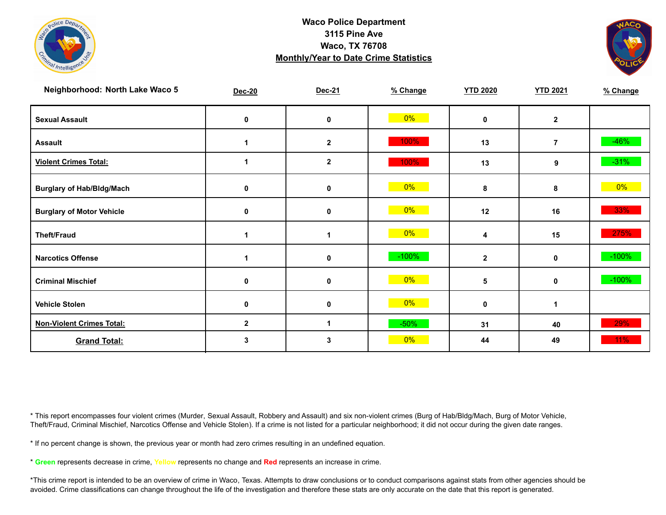



| Neighborhood: North Lake Waco 5  | <b>Dec-20</b> | Dec-21           | % Change | <b>YTD 2020</b> | <b>YTD 2021</b> | % Change |
|----------------------------------|---------------|------------------|----------|-----------------|-----------------|----------|
| <b>Sexual Assault</b>            | 0             | 0                | $0\%$    | $\mathbf{0}$    | $\mathbf{2}$    |          |
| <b>Assault</b>                   |               | $\mathbf{2}$     | 100%     | 13              | $\overline{7}$  | $-46%$   |
| <b>Violent Crimes Total:</b>     |               | $\boldsymbol{2}$ | 100%     | 13              | 9               | $-31%$   |
| <b>Burglary of Hab/Bldg/Mach</b> | 0             | 0                | $0\%$    | 8               | 8               | $0\%$    |
| <b>Burglary of Motor Vehicle</b> | 0             | 0                | $0\%$    | 12              | 16              | 33%      |
| <b>Theft/Fraud</b>               |               | 1                | $0\%$    | 4               | 15              | 275%     |
| <b>Narcotics Offense</b>         |               | 0                | $-100%$  | $\overline{2}$  | 0               | $-100%$  |
| <b>Criminal Mischief</b>         | 0             | 0                | $0\%$    | 5               | 0               | $-100%$  |
| <b>Vehicle Stolen</b>            | 0             | $\mathbf 0$      | $0\%$    | $\mathbf 0$     | 1               |          |
| <b>Non-Violent Crimes Total:</b> | $\mathbf{2}$  | 1                | $-50%$   | 31              | 40              | 29%      |
| <b>Grand Total:</b>              | 3             | 3                | $0\%$    | 44              | 49              | 11%      |

\* This report encompasses four violent crimes (Murder, Sexual Assault, Robbery and Assault) and six non-violent crimes (Burg of Hab/Bldg/Mach, Burg of Motor Vehicle, Theft/Fraud, Criminal Mischief, Narcotics Offense and Vehicle Stolen). If a crime is not listed for a particular neighborhood; it did not occur during the given date ranges.

\* If no percent change is shown, the previous year or month had zero crimes resulting in an undefined equation.

\* **Green** represents decrease in crime, **Yellow** represents no change and **Red** represents an increase in crime.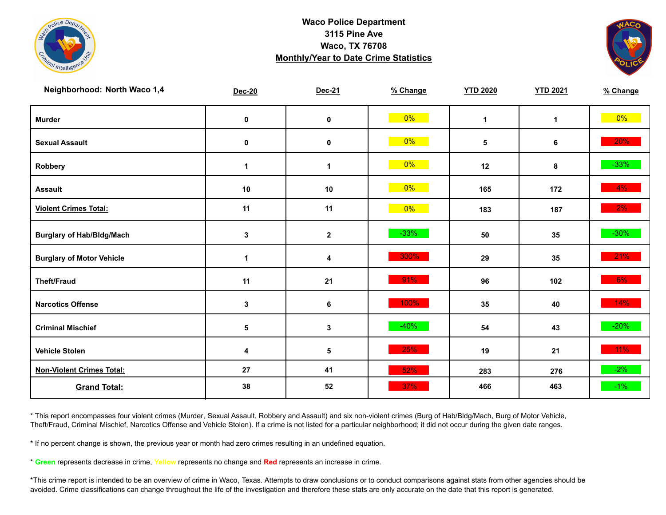



| Neighborhood: North Waco 1,4     | <b>Dec-20</b>           | Dec-21      | % Change | <b>YTD 2020</b> | <b>YTD 2021</b> | % Change |
|----------------------------------|-------------------------|-------------|----------|-----------------|-----------------|----------|
| <b>Murder</b>                    | $\pmb{0}$               | $\mathbf 0$ | $0\%$    | $\mathbf{1}$    | $\mathbf{1}$    | $0\%$    |
| <b>Sexual Assault</b>            | 0                       | $\pmb{0}$   | $0\%$    | 5               | 6               | $20\%$   |
| Robbery                          | 1                       | 1           | 0%       | 12              | 8               | $-33%$   |
| <b>Assault</b>                   | 10                      | $10$        | $0\%$    | 165             | 172             | $4\%$    |
| <b>Violent Crimes Total:</b>     | 11                      | 11          | $0\%$    | 183             | 187             | $2\%$    |
| <b>Burglary of Hab/Bldg/Mach</b> | $\mathbf 3$             | $\mathbf 2$ | $-33%$   | 50              | 35              | $-30\%$  |
| <b>Burglary of Motor Vehicle</b> | 1                       | 4           | 300%     | 29              | 35              | 21%      |
| <b>Theft/Fraud</b>               | 11                      | 21          | 91%      | 96              | 102             | 6%       |
| <b>Narcotics Offense</b>         | $\mathbf{3}$            | 6           | 100%     | 35              | 40              | 14%      |
| <b>Criminal Mischief</b>         | 5                       | 3           | $-40%$   | 54              | 43              | $-20%$   |
| <b>Vehicle Stolen</b>            | $\overline{\mathbf{4}}$ | ${\bf 5}$   | 25%      | 19              | 21              | $11\%$   |
| <b>Non-Violent Crimes Total:</b> | 27                      | 41          | 52%      | 283             | 276             | $-2\%$   |
| <b>Grand Total:</b>              | 38                      | 52          | 37%      | 466             | 463             | $-1\%$   |

\* This report encompasses four violent crimes (Murder, Sexual Assault, Robbery and Assault) and six non-violent crimes (Burg of Hab/Bldg/Mach, Burg of Motor Vehicle, Theft/Fraud, Criminal Mischief, Narcotics Offense and Vehicle Stolen). If a crime is not listed for a particular neighborhood; it did not occur during the given date ranges.

\* If no percent change is shown, the previous year or month had zero crimes resulting in an undefined equation.

\* **Green** represents decrease in crime, **Yellow** represents no change and **Red** represents an increase in crime.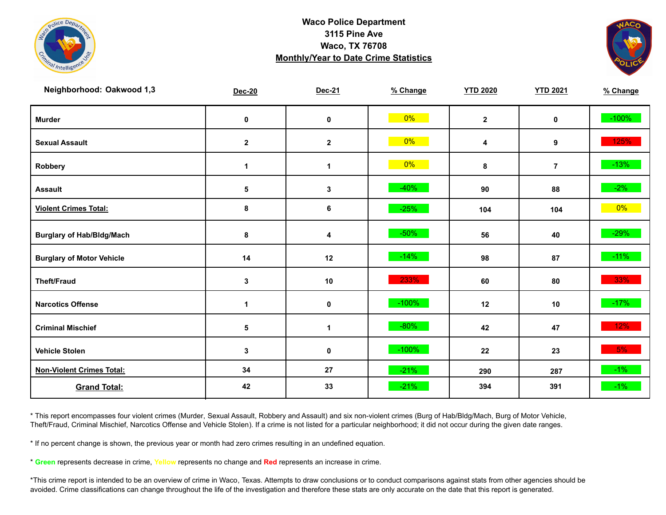



| Neighborhood: Oakwood 1,3        | <b>Dec-20</b> | Dec-21       | % Change | <b>YTD 2020</b> | <b>YTD 2021</b> | % Change |
|----------------------------------|---------------|--------------|----------|-----------------|-----------------|----------|
| <b>Murder</b>                    | $\pmb{0}$     | $\mathbf 0$  | $0\%$    | $\mathbf{2}$    | $\mathbf 0$     | $-100%$  |
| <b>Sexual Assault</b>            | $\mathbf{2}$  | $\mathbf{2}$ | $0\%$    | 4               | 9               | 125%     |
| Robbery                          | $\mathbf 1$   | $\mathbf 1$  | 0%       | 8               | $\overline{7}$  | $-13%$   |
| <b>Assault</b>                   | ${\bf 5}$     | $\mathbf 3$  | $-40%$   | 90              | 88              | $-2\%$   |
| <b>Violent Crimes Total:</b>     | 8             | 6            | $-25%$   | 104             | 104             | $0\%$    |
| <b>Burglary of Hab/Bldg/Mach</b> | 8             | 4            | $-50%$   | 56              | 40              | $-29%$   |
| <b>Burglary of Motor Vehicle</b> | 14            | 12           | $-14%$   | 98              | 87              | $-11%$   |
| <b>Theft/Fraud</b>               | 3             | 10           | 233%     | 60              | 80              | 33%      |
| <b>Narcotics Offense</b>         | $\mathbf 1$   | $\mathbf 0$  | $-100%$  | 12              | 10              | $-17%$   |
| <b>Criminal Mischief</b>         | $\sqrt{5}$    | $\mathbf{1}$ | $-80%$   | 42              | 47              | $12\%$   |
| <b>Vehicle Stolen</b>            | 3             | 0            | $-100%$  | 22              | 23              | 5%       |
| <b>Non-Violent Crimes Total:</b> | 34            | 27           | $-21%$   | 290             | 287             | $-1\%$   |
| <b>Grand Total:</b>              | 42            | 33           | $-21%$   | 394             | 391             | $-1\%$   |

\* This report encompasses four violent crimes (Murder, Sexual Assault, Robbery and Assault) and six non-violent crimes (Burg of Hab/Bldg/Mach, Burg of Motor Vehicle, Theft/Fraud, Criminal Mischief, Narcotics Offense and Vehicle Stolen). If a crime is not listed for a particular neighborhood; it did not occur during the given date ranges.

\* If no percent change is shown, the previous year or month had zero crimes resulting in an undefined equation.

\* **Green** represents decrease in crime, **Yellow** represents no change and **Red** represents an increase in crime.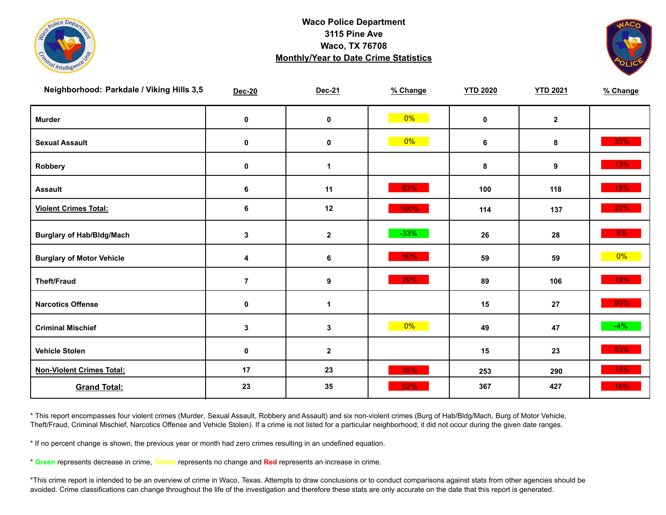



| Neighborhood: Parkdale / Viking Hills 3,5 | <b>Dec-20</b>  | Dec-21               | % Change | <b>YTD 2020</b> | <b>YTD 2021</b> | % Change |
|-------------------------------------------|----------------|----------------------|----------|-----------------|-----------------|----------|
| <b>Murder</b>                             | $\mathbf 0$    | $\pmb{0}$            | $0\%$    | $\mathbf 0$     | $\mathbf{2}$    |          |
| <b>Sexual Assault</b>                     | $\mathbf 0$    | $\mathbf 0$          | $0\%$    | 6               | 8               | 33%      |
| Robbery                                   | 0              | 1                    |          | 8               | 9               | 13%      |
| <b>Assault</b>                            | 6              | 11                   | 83%      | 100             | 118             | 18%      |
| <b>Violent Crimes Total:</b>              | 6              | 12                   | 100%     | 114             | 137             | 20%      |
| <b>Burglary of Hab/Bldg/Mach</b>          | $\mathbf{3}$   | $\mathbf{2}$         | $-33%$   | 26              | 28              | 8%       |
| <b>Burglary of Motor Vehicle</b>          | 4              | 6                    | 50%      | 59              | 59              | $0\%$    |
| <b>Theft/Fraud</b>                        | $\overline{7}$ | $\boldsymbol{9}$     | 29%      | 89              | 106             | 19%      |
| <b>Narcotics Offense</b>                  | $\mathbf 0$    | $\blacktriangleleft$ |          | 15              | 27              | 80%      |
| <b>Criminal Mischief</b>                  | $\mathbf{3}$   | $\mathbf{3}$         | 0%       | 49              | 47              | $-4%$    |
| <b>Vehicle Stolen</b>                     | $\pmb{0}$      | $\mathbf{2}$         |          | 15              | 23              | 53%      |
| <b>Non-Violent Crimes Total:</b>          | 17             | 23                   | 35%      | 253             | 290             | 15%      |
| <b>Grand Total:</b>                       | 23             | 35                   | 52%      | 367             | 427             | 16%      |

\* This report encompasses four violent crimes (Murder, Sexual Assault, Robbery and Assault) and six non-violent crimes (Burg of Hab/Bldg/Mach, Burg of Motor Vehicle, Theft/Fraud, Criminal Mischief, Narcotics Offense and Vehicle Stolen). If a crime is not listed for a particular neighborhood; it did not occur during the given date ranges.

\* If no percent change is shown, the previous year or month had zero crimes resulting in an undefined equation.

\* **Green** represents decrease in crime, **Yellow** represents no change and **Red** represents an increase in crime.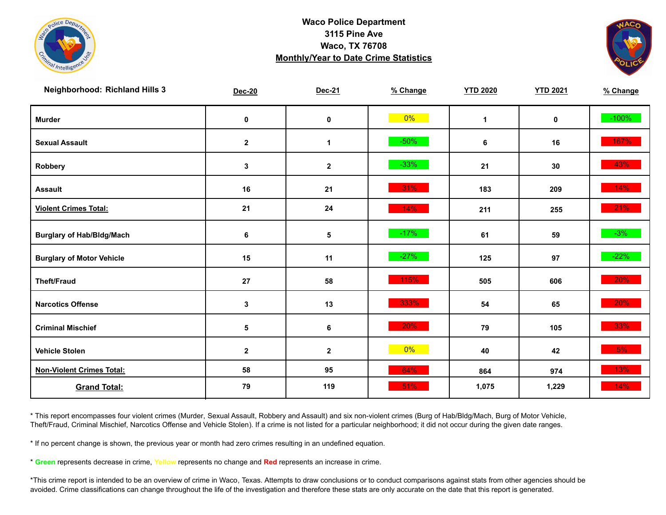



| <b>Neighborhood: Richland Hills 3</b> | <b>Dec-20</b> | Dec-21       | % Change | <b>YTD 2020</b> | <b>YTD 2021</b> | % Change |
|---------------------------------------|---------------|--------------|----------|-----------------|-----------------|----------|
| <b>Murder</b>                         | $\pmb{0}$     | $\mathbf 0$  | $0\%$    | $\mathbf{1}$    | $\mathbf 0$     | $-100%$  |
| <b>Sexual Assault</b>                 | $\mathbf 2$   | 1            | $-50%$   | 6               | 16              | 167%     |
| Robbery                               | 3             | $\mathbf{2}$ | $-33%$   | 21              | 30              | 43%      |
| <b>Assault</b>                        | 16            | 21           | 31%      | 183             | 209             | 14%      |
| <b>Violent Crimes Total:</b>          | 21            | 24           | 14%      | 211             | 255             | 21%      |
| <b>Burglary of Hab/Bldg/Mach</b>      | 6             | $\sqrt{5}$   | $-17%$   | 61              | 59              | $-3%$    |
| <b>Burglary of Motor Vehicle</b>      | 15            | 11           | $-27%$   | 125             | 97              | $-22%$   |
| <b>Theft/Fraud</b>                    | ${\bf 27}$    | 58           | 115%     | 505             | 606             | 20%      |
| <b>Narcotics Offense</b>              | 3             | 13           | 333%     | 54              | 65              | 20%      |
| <b>Criminal Mischief</b>              | $\sqrt{5}$    | 6            | 20%      | 79              | 105             | 33%      |
| <b>Vehicle Stolen</b>                 | $\mathbf 2$   | $\mathbf 2$  | $0\%$    | 40              | 42              | $5\%$    |
| <b>Non-Violent Crimes Total:</b>      | 58            | 95           | 64%      | 864             | 974             | 13%      |
| <b>Grand Total:</b>                   | 79            | 119          | 51%      | 1,075           | 1,229           | 14%      |

\* This report encompasses four violent crimes (Murder, Sexual Assault, Robbery and Assault) and six non-violent crimes (Burg of Hab/Bldg/Mach, Burg of Motor Vehicle, Theft/Fraud, Criminal Mischief, Narcotics Offense and Vehicle Stolen). If a crime is not listed for a particular neighborhood; it did not occur during the given date ranges.

\* If no percent change is shown, the previous year or month had zero crimes resulting in an undefined equation.

\* **Green** represents decrease in crime, **Yellow** represents no change and **Red** represents an increase in crime.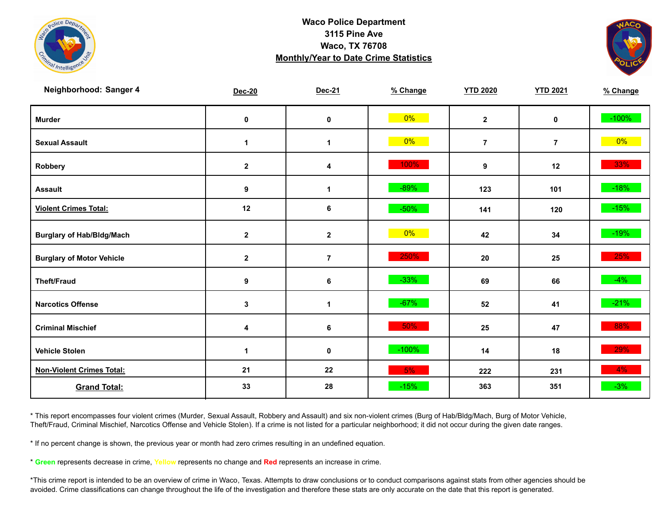



| Neighborhood: Sanger 4           | <b>Dec-20</b> | Dec-21               | % Change | <b>YTD 2020</b> | <b>YTD 2021</b> | % Change |
|----------------------------------|---------------|----------------------|----------|-----------------|-----------------|----------|
| <b>Murder</b>                    | $\pmb{0}$     | $\pmb{0}$            | $0\%$    | $\mathbf{2}$    | $\mathbf 0$     | $-100%$  |
| <b>Sexual Assault</b>            | $\mathbf 1$   | 1                    | $0\%$    | $\overline{7}$  | $\overline{7}$  | $0\%$    |
| Robbery                          | $\mathbf{2}$  | 4                    | 100%     | 9               | 12              | 33%      |
| <b>Assault</b>                   | 9             | $\blacktriangleleft$ | $-89%$   | 123             | 101             | $-18%$   |
| <b>Violent Crimes Total:</b>     | 12            | 6                    | $-50%$   | 141             | 120             | $-15%$   |
| <b>Burglary of Hab/Bldg/Mach</b> | $\mathbf{2}$  | $\mathbf 2$          | $0\%$    | 42              | 34              | $-19\%$  |
| <b>Burglary of Motor Vehicle</b> | $\mathbf{2}$  | $\overline{7}$       | 250%     | ${\bf 20}$      | 25              | 25%      |
| <b>Theft/Fraud</b>               | 9             | 6                    | $-33%$   | 69              | 66              | $-4%$    |
| <b>Narcotics Offense</b>         | $\mathbf 3$   | 1                    | $-67%$   | 52              | 41              | $-21%$   |
| <b>Criminal Mischief</b>         | 4             | 6                    | $50\%$   | 25              | 47              | 88%      |
| <b>Vehicle Stolen</b>            | 1             | $\pmb{0}$            | $-100%$  | 14              | 18              | 29%      |
| <b>Non-Violent Crimes Total:</b> | 21            | 22                   | 5%       | 222             | 231             | 4%       |
| <b>Grand Total:</b>              | 33            | 28                   | $-15%$   | 363             | 351             | $-3%$    |

\* This report encompasses four violent crimes (Murder, Sexual Assault, Robbery and Assault) and six non-violent crimes (Burg of Hab/Bldg/Mach, Burg of Motor Vehicle, Theft/Fraud, Criminal Mischief, Narcotics Offense and Vehicle Stolen). If a crime is not listed for a particular neighborhood; it did not occur during the given date ranges.

\* If no percent change is shown, the previous year or month had zero crimes resulting in an undefined equation.

\* **Green** represents decrease in crime, **Yellow** represents no change and **Red** represents an increase in crime.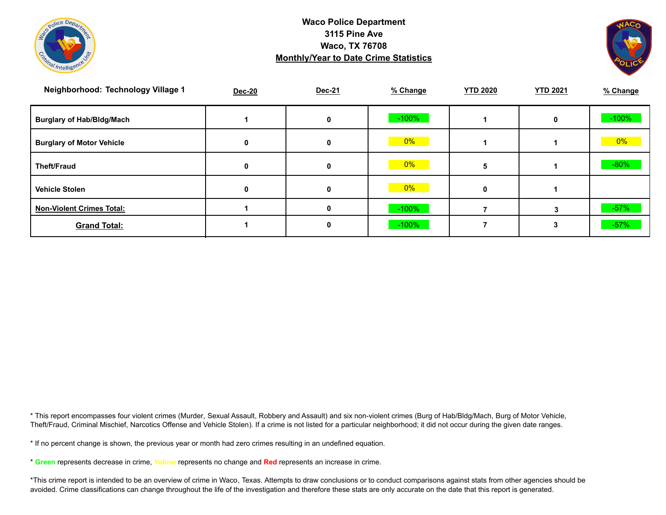



| Neighborhood: Technology Village 1 | <b>Dec-20</b> | Dec-21 | % Change | <b>YTD 2020</b> | <b>YTD 2021</b> | % Change |
|------------------------------------|---------------|--------|----------|-----------------|-----------------|----------|
| <b>Burglary of Hab/Bldg/Mach</b>   |               | 0      | $-100%$  |                 | 0               | $-100%$  |
| <b>Burglary of Motor Vehicle</b>   | 0             | 0      | 0%       |                 |                 | 0%       |
| Theft/Fraud                        | 0             | 0      | $0\%$    |                 |                 | $-80%$   |
| <b>Vehicle Stolen</b>              | 0             | 0      | $0\%$    |                 |                 |          |
| <b>Non-Violent Crimes Total:</b>   |               | 0      | $-100\%$ |                 |                 | $-57%$   |
| <b>Grand Total:</b>                |               | 0      | $-100%$  |                 |                 | $-57%$   |

\* This report encompasses four violent crimes (Murder, Sexual Assault, Robbery and Assault) and six non-violent crimes (Burg of Hab/Bldg/Mach, Burg of Motor Vehicle, Theft/Fraud, Criminal Mischief, Narcotics Offense and Vehicle Stolen). If a crime is not listed for a particular neighborhood; it did not occur during the given date ranges.

\* If no percent change is shown, the previous year or month had zero crimes resulting in an undefined equation.

\* **Green** represents decrease in crime, **Yellow** represents no change and **Red** represents an increase in crime.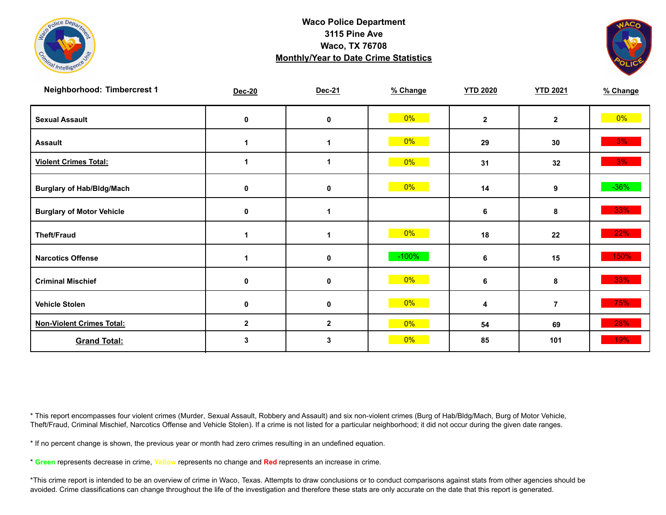



| Neighborhood: Timbercrest 1      | Dec-20       | Dec-21           | % Change | <b>YTD 2020</b> | <b>YTD 2021</b> | % Change |
|----------------------------------|--------------|------------------|----------|-----------------|-----------------|----------|
| <b>Sexual Assault</b>            | 0            | 0                | 0%       | $\mathbf{2}$    | $\mathbf{2}$    | $0\%$    |
| <b>Assault</b>                   |              | 1                | 0%       | 29              | 30              | 3%       |
| <b>Violent Crimes Total:</b>     |              | 1                | $0\%$    | 31              | 32              | 3%       |
| <b>Burglary of Hab/Bldg/Mach</b> | 0            | 0                | 0%       | 14              | 9               | $-36\%$  |
| <b>Burglary of Motor Vehicle</b> | 0            | 1                |          | 6               | 8               | 33%      |
| <b>Theft/Fraud</b>               |              | 1                | $0\%$    | 18              | 22              | 22%      |
| <b>Narcotics Offense</b>         |              | 0                | $-100%$  | 6               | 15              | 150%     |
| <b>Criminal Mischief</b>         | 0            | 0                | $0\%$    | 6               | 8               | 33%      |
| <b>Vehicle Stolen</b>            | 0            | 0                | $0\%$    | 4               | $\overline{7}$  | 75%      |
| <b>Non-Violent Crimes Total:</b> | $\mathbf{2}$ | $\boldsymbol{2}$ | $0\%$    | 54              | 69              | 28%      |
| <b>Grand Total:</b>              | 3            | 3                | $0\%$    | 85              | 101             | 19%      |

\* This report encompasses four violent crimes (Murder, Sexual Assault, Robbery and Assault) and six non-violent crimes (Burg of Hab/Bldg/Mach, Burg of Motor Vehicle, Theft/Fraud, Criminal Mischief, Narcotics Offense and Vehicle Stolen). If a crime is not listed for a particular neighborhood; it did not occur during the given date ranges.

\* If no percent change is shown, the previous year or month had zero crimes resulting in an undefined equation.

\* **Green** represents decrease in crime, **Yellow** represents no change and **Red** represents an increase in crime.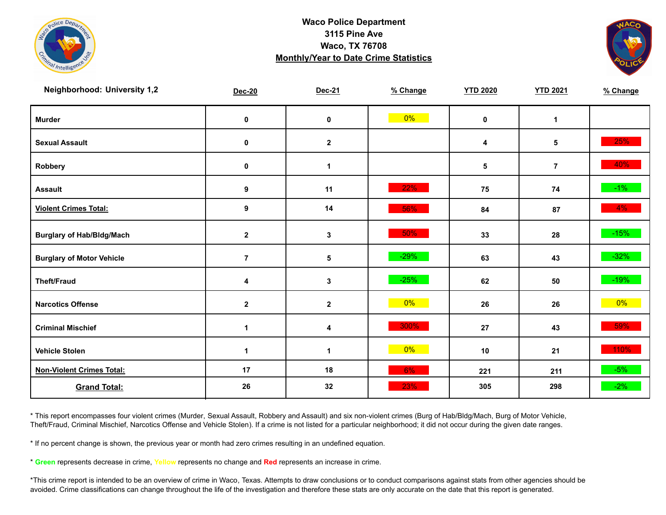



| <b>Neighborhood: University 1,2</b> | <b>Dec-20</b>  | Dec-21       | % Change | <b>YTD 2020</b> | <b>YTD 2021</b> | % Change |
|-------------------------------------|----------------|--------------|----------|-----------------|-----------------|----------|
| <b>Murder</b>                       | $\pmb{0}$      | $\pmb{0}$    | $0\%$    | $\mathbf 0$     | $\mathbf{1}$    |          |
| <b>Sexual Assault</b>               | $\pmb{0}$      | $\mathbf{2}$ |          | 4               | 5               | 25%      |
| Robbery                             | 0              | 1            |          | $\sqrt{5}$      | $\overline{7}$  | 40%      |
| <b>Assault</b>                      | 9              | 11           | 22%      | 75              | 74              | $-1\%$   |
| <b>Violent Crimes Total:</b>        | 9              | 14           | 56%      | 84              | 87              | $4\%$    |
| <b>Burglary of Hab/Bldg/Mach</b>    | $\mathbf{2}$   | $\mathbf{3}$ | 50%      | 33              | 28              | $-15%$   |
| <b>Burglary of Motor Vehicle</b>    | $\overline{7}$ | 5            | $-29%$   | 63              | 43              | $-32%$   |
| <b>Theft/Fraud</b>                  | 4              | $\mathbf{3}$ | $-25%$   | 62              | 50              | $-19%$   |
| <b>Narcotics Offense</b>            | $\mathbf{2}$   | $\mathbf{2}$ | $0\%$    | 26              | 26              | $0\%$    |
| <b>Criminal Mischief</b>            | $\mathbf 1$    | 4            | 300%     | 27              | 43              | 59%      |
| <b>Vehicle Stolen</b>               | 1              | 1            | $0\%$    | 10              | 21              | 110%     |
| <b>Non-Violent Crimes Total:</b>    | 17             | 18           | 6%       | 221             | 211             | $-5%$    |
| <b>Grand Total:</b>                 | 26             | 32           | 23%      | 305             | 298             | $-2%$    |

\* This report encompasses four violent crimes (Murder, Sexual Assault, Robbery and Assault) and six non-violent crimes (Burg of Hab/Bldg/Mach, Burg of Motor Vehicle, Theft/Fraud, Criminal Mischief, Narcotics Offense and Vehicle Stolen). If a crime is not listed for a particular neighborhood; it did not occur during the given date ranges.

\* If no percent change is shown, the previous year or month had zero crimes resulting in an undefined equation.

\* **Green** represents decrease in crime, **Yellow** represents no change and **Red** represents an increase in crime.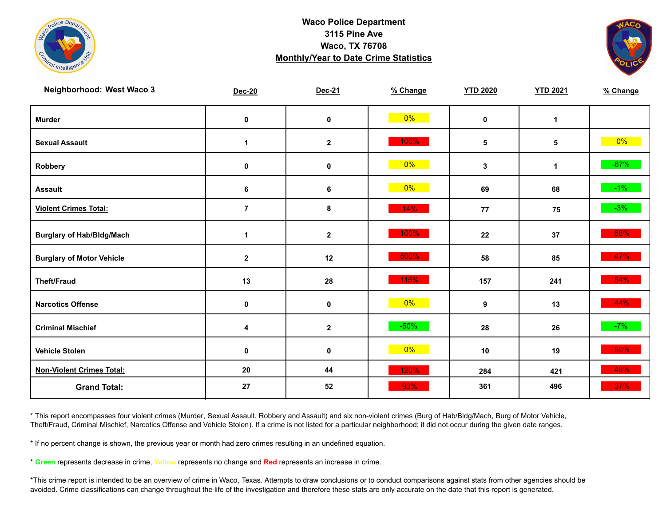



| Neighborhood: West Waco 3        | <b>Dec-20</b>  | Dec-21       | % Change | <b>YTD 2020</b> | <b>YTD 2021</b> | % Change |
|----------------------------------|----------------|--------------|----------|-----------------|-----------------|----------|
| <b>Murder</b>                    | $\pmb{0}$      | $\mathbf 0$  | $0\%$    | $\mathbf 0$     | $\mathbf{1}$    |          |
| <b>Sexual Assault</b>            | $\mathbf 1$    | $\mathbf{2}$ | 100%     | 5               | 5               | $0\%$    |
| Robbery                          | 0              | $\mathbf 0$  | $0\%$    | $\mathbf{3}$    | $\mathbf{1}$    | $-67%$   |
| <b>Assault</b>                   | 6              | 6            | $0\%$    | 69              | 68              | $-1\%$   |
| <b>Violent Crimes Total:</b>     | $\overline{7}$ | $\pmb{8}$    | 14%      | 77              | 75              | $-3%$    |
| <b>Burglary of Hab/Bldg/Mach</b> | 1              | $\mathbf{2}$ | 100%     | 22              | 37              | 68%      |
| <b>Burglary of Motor Vehicle</b> | $\mathbf{2}$   | 12           | 500%     | 58              | 85              | 47%      |
| <b>Theft/Fraud</b>               | 13             | 28           | 115%     | 157             | 241             | 54%      |
| <b>Narcotics Offense</b>         | 0              | $\mathbf 0$  | 0%       | 9               | 13              | 44%      |
| <b>Criminal Mischief</b>         | 4              | $\mathbf{2}$ | $-50%$   | 28              | 26              | $-7%$    |
| <b>Vehicle Stolen</b>            | $\pmb{0}$      | $\pmb{0}$    | $0\%$    | 10              | 19              | 90%      |
| <b>Non-Violent Crimes Total:</b> | 20             | 44           | 120%     | 284             | 421             | 48%      |
| <b>Grand Total:</b>              | 27             | 52           | 93%      | 361             | 496             | 37%      |

\* This report encompasses four violent crimes (Murder, Sexual Assault, Robbery and Assault) and six non-violent crimes (Burg of Hab/Bldg/Mach, Burg of Motor Vehicle, Theft/Fraud, Criminal Mischief, Narcotics Offense and Vehicle Stolen). If a crime is not listed for a particular neighborhood; it did not occur during the given date ranges.

\* If no percent change is shown, the previous year or month had zero crimes resulting in an undefined equation.

\* **Green** represents decrease in crime, **Yellow** represents no change and **Red** represents an increase in crime.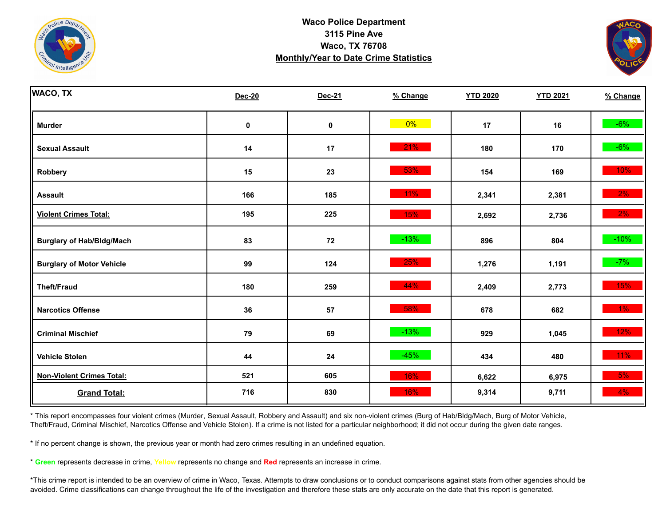



| <b>WACO, TX</b>                  | <b>Dec-20</b> | Dec-21 | % Change | <b>YTD 2020</b> | <b>YTD 2021</b> | % Change |
|----------------------------------|---------------|--------|----------|-----------------|-----------------|----------|
| <b>Murder</b>                    | $\pmb{0}$     | 0      | $0\%$    | 17              | 16              | $-6%$    |
| <b>Sexual Assault</b>            | 14            | 17     | 21%      | 180             | 170             | $-6%$    |
| Robbery                          | 15            | 23     | 53%      | 154             | 169             | $10\%$   |
| <b>Assault</b>                   | 166           | 185    | 11%      | 2,341           | 2,381           | $2\%$    |
| <b>Violent Crimes Total:</b>     | 195           | 225    | 15%      | 2,692           | 2,736           | $2\%$    |
| <b>Burglary of Hab/Bldg/Mach</b> | 83            | 72     | $-13%$   | 896             | 804             | $-10%$   |
| <b>Burglary of Motor Vehicle</b> | 99            | 124    | 25%      | 1,276           | 1,191           | $-7%$    |
| <b>Theft/Fraud</b>               | 180           | 259    | 44%      | 2,409           | 2,773           | 15%      |
| <b>Narcotics Offense</b>         | 36            | 57     | 58%      | 678             | 682             | $1\%$    |
| <b>Criminal Mischief</b>         | 79            | 69     | $-13%$   | 929             | 1,045           | 12%      |
| <b>Vehicle Stolen</b>            | 44            | 24     | $-45%$   | 434             | 480             | $11\%$   |
| <b>Non-Violent Crimes Total:</b> | 521           | 605    | 16%      | 6,622           | 6,975           | 5%       |
| <b>Grand Total:</b>              | 716           | 830    | 16%      | 9,314           | 9,711           | $4\%$    |

\* This report encompasses four violent crimes (Murder, Sexual Assault, Robbery and Assault) and six non-violent crimes (Burg of Hab/Bldg/Mach, Burg of Motor Vehicle, Theft/Fraud, Criminal Mischief, Narcotics Offense and Vehicle Stolen). If a crime is not listed for a particular neighborhood; it did not occur during the given date ranges.

\* If no percent change is shown, the previous year or month had zero crimes resulting in an undefined equation.

\* **Green** represents decrease in crime, **Yellow** represents no change and **Red** represents an increase in crime.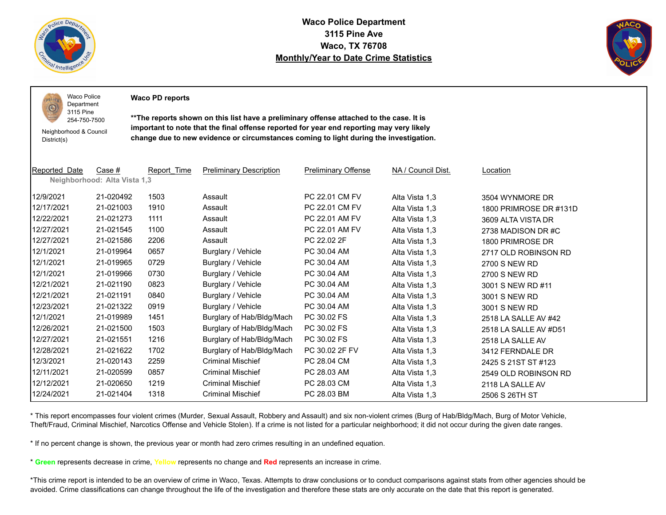

 $1011$ O

**Waco Police Department 3115 Pine Ave Waco, TX 76708 Monthly/Year to Date Crime Statistics**



Waco Police Department

**Waco PD reports**

254-750-7500 Neighborhood & Council District(s)

3115 Pine

**\*\*The reports shown on this list have a preliminary offense attached to the case. It is important to note that the final offense reported for year end reporting may very likely change due to new evidence or circumstances coming to light during the investigation.**

| Reported Date | Case #<br>Neighborhood: Alta Vista 1,3 | Report Time | <b>Preliminary Description</b> | <b>Preliminary Offense</b> | NA / Council Dist. | Location               |
|---------------|----------------------------------------|-------------|--------------------------------|----------------------------|--------------------|------------------------|
|               |                                        |             |                                |                            |                    |                        |
| 12/9/2021     | 21-020492                              | 1503        | Assault                        | PC 22.01 CM FV             | Alta Vista 1,3     | 3504 WYNMORE DR        |
| 12/17/2021    | 21-021003                              | 1910        | Assault                        | PC 22.01 CM FV             | Alta Vista 1,3     | 1800 PRIMROSE DR #131D |
| 12/22/2021    | 21-021273                              | 1111        | Assault                        | PC 22.01 AM FV             | Alta Vista 1,3     | 3609 ALTA VISTA DR     |
| 12/27/2021    | 21-021545                              | 1100        | Assault                        | PC 22.01 AM FV             | Alta Vista 1,3     | 2738 MADISON DR#C      |
| 12/27/2021    | 21-021586                              | 2206        | Assault                        | PC 22.02 2F                | Alta Vista 1,3     | 1800 PRIMROSE DR       |
| 12/1/2021     | 21-019964                              | 0657        | Burglary / Vehicle             | PC 30.04 AM                | Alta Vista 1,3     | 2717 OLD ROBINSON RD   |
| 12/1/2021     | 21-019965                              | 0729        | Burglary / Vehicle             | PC 30.04 AM                | Alta Vista 1,3     | 2700 S NEW RD          |
| 12/1/2021     | 21-019966                              | 0730        | Burglary / Vehicle             | PC 30.04 AM                | Alta Vista 1,3     | 2700 S NEW RD          |
| 12/21/2021    | 21-021190                              | 0823        | Burglary / Vehicle             | PC 30.04 AM                | Alta Vista 1,3     | 3001 S NEW RD #11      |
| 12/21/2021    | 21-021191                              | 0840        | Burglary / Vehicle             | PC 30.04 AM                | Alta Vista 1,3     | 3001 S NEW RD          |
| 12/23/2021    | 21-021322                              | 0919        | Burglary / Vehicle             | PC 30.04 AM                | Alta Vista 1,3     | 3001 S NEW RD          |
| 12/1/2021     | 21-019989                              | 1451        | Burglary of Hab/Bldg/Mach      | PC 30.02 FS                | Alta Vista 1,3     | 2518 LA SALLE AV #42   |
| 12/26/2021    | 21-021500                              | 1503        | Burglary of Hab/Bldg/Mach      | PC 30.02 FS                | Alta Vista 1,3     | 2518 LA SALLE AV #D51  |
| 12/27/2021    | 21-021551                              | 1216        | Burglary of Hab/Bldg/Mach      | PC 30.02 FS                | Alta Vista 1,3     | 2518 LA SALLE AV       |
| 12/28/2021    | 21-021622                              | 1702        | Burglary of Hab/Bldg/Mach      | PC 30.02 2F FV             | Alta Vista 1,3     | 3412 FERNDALE DR       |
| 12/3/2021     | 21-020143                              | 2259        | <b>Criminal Mischief</b>       | PC 28.04 CM                | Alta Vista 1,3     | 2425 S 21ST ST #123    |
| 12/11/2021    | 21-020599                              | 0857        | <b>Criminal Mischief</b>       | PC 28.03 AM                | Alta Vista 1,3     | 2549 OLD ROBINSON RD   |
| 12/12/2021    | 21-020650                              | 1219        | <b>Criminal Mischief</b>       | PC 28.03 CM                | Alta Vista 1,3     | 2118 LA SALLE AV       |
| 12/24/2021    | 21-021404                              | 1318        | <b>Criminal Mischief</b>       | PC 28.03 BM                | Alta Vista 1,3     | 2506 S 26TH ST         |

\* This report encompasses four violent crimes (Murder, Sexual Assault, Robbery and Assault) and six non-violent crimes (Burg of Hab/Bldg/Mach, Burg of Motor Vehicle, Theft/Fraud, Criminal Mischief, Narcotics Offense and Vehicle Stolen). If a crime is not listed for a particular neighborhood; it did not occur during the given date ranges.

\* If no percent change is shown, the previous year or month had zero crimes resulting in an undefined equation.

\* **Green** represents decrease in crime, **Yellow** represents no change and **Red** represents an increase in crime.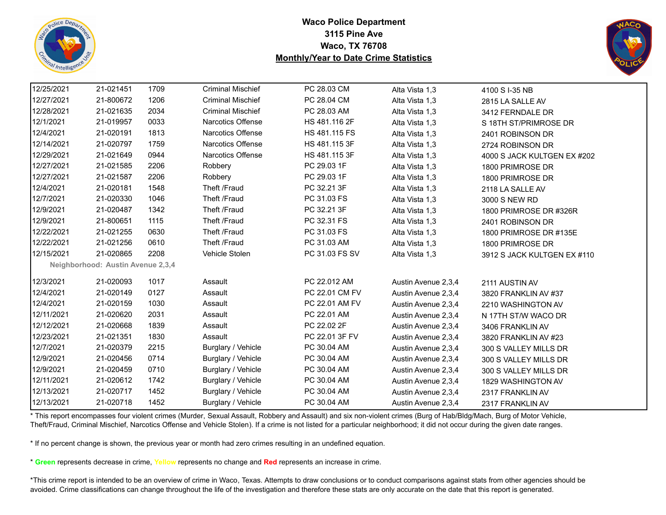



| 12/25/2021 | 21-021451                         | 1709 | <b>Criminal Mischief</b> | PC 28.03 CM    | Alta Vista 1,3      | 4100 S I-35 NB              |
|------------|-----------------------------------|------|--------------------------|----------------|---------------------|-----------------------------|
| 12/27/2021 | 21-800672                         | 1206 | <b>Criminal Mischief</b> | PC 28.04 CM    | Alta Vista 1,3      | 2815 LA SALLE AV            |
| 12/28/2021 | 21-021635                         | 2034 | <b>Criminal Mischief</b> | PC 28.03 AM    | Alta Vista 1,3      | 3412 FERNDALE DR            |
| 12/1/2021  | 21-019957                         | 0033 | Narcotics Offense        | HS 481.116 2F  | Alta Vista 1,3      | S 18TH ST/PRIMROSE DR       |
| 12/4/2021  | 21-020191                         | 1813 | Narcotics Offense        | HS 481.115 FS  | Alta Vista 1,3      | 2401 ROBINSON DR            |
| 12/14/2021 | 21-020797                         | 1759 | Narcotics Offense        | HS 481.115 3F  | Alta Vista 1,3      | 2724 ROBINSON DR            |
| 12/29/2021 | 21-021649                         | 0944 | Narcotics Offense        | HS 481.115 3F  | Alta Vista 1,3      | 4000 S JACK KULTGEN EX #202 |
| 12/27/2021 | 21-021585                         | 2206 | Robbery                  | PC 29.03 1F    | Alta Vista 1,3      | 1800 PRIMROSE DR            |
| 12/27/2021 | 21-021587                         | 2206 | Robbery                  | PC 29.03 1F    | Alta Vista 1,3      | 1800 PRIMROSE DR            |
| 12/4/2021  | 21-020181                         | 1548 | Theft /Fraud             | PC 32.21 3F    | Alta Vista 1,3      | 2118 LA SALLE AV            |
| 12/7/2021  | 21-020330                         | 1046 | Theft /Fraud             | PC 31.03 FS    | Alta Vista 1,3      | 3000 S NEW RD               |
| 12/9/2021  | 21-020487                         | 1342 | Theft /Fraud             | PC 32.21 3F    | Alta Vista 1,3      | 1800 PRIMROSE DR #326R      |
| 12/9/2021  | 21-800651                         | 1115 | Theft /Fraud             | PC 32.31 FS    | Alta Vista 1,3      | 2401 ROBINSON DR            |
| 12/22/2021 | 21-021255                         | 0630 | Theft /Fraud             | PC 31.03 FS    | Alta Vista 1,3      | 1800 PRIMROSE DR #135E      |
| 12/22/2021 | 21-021256                         | 0610 | Theft /Fraud             | PC 31.03 AM    | Alta Vista 1,3      | 1800 PRIMROSE DR            |
| 12/15/2021 | 21-020865                         | 2208 | Vehicle Stolen           | PC 31.03 FS SV | Alta Vista 1,3      | 3912 S JACK KULTGEN EX #110 |
|            | Neighborhood: Austin Avenue 2,3,4 |      |                          |                |                     |                             |
| 12/3/2021  | 21-020093                         | 1017 | Assault                  | PC 22.012 AM   | Austin Avenue 2,3,4 | 2111 AUSTIN AV              |
| 12/4/2021  | 21-020149                         | 0127 | Assault                  | PC 22.01 CM FV | Austin Avenue 2,3,4 | 3820 FRANKLIN AV #37        |
| 12/4/2021  | 21-020159                         | 1030 | Assault                  | PC 22.01 AM FV | Austin Avenue 2,3,4 | 2210 WASHINGTON AV          |
| 12/11/2021 | 21-020620                         | 2031 | Assault                  | PC 22.01 AM    | Austin Avenue 2,3,4 | N 17TH ST/W WACO DR         |
| 12/12/2021 | 21-020668                         | 1839 | Assault                  | PC 22.02 2F    | Austin Avenue 2,3,4 | 3406 FRANKLIN AV            |
| 12/23/2021 | 21-021351                         | 1830 | Assault                  | PC 22.01 3F FV | Austin Avenue 2,3,4 | 3820 FRANKLIN AV #23        |
| 12/7/2021  | 21-020379                         | 2215 | Burglary / Vehicle       | PC 30.04 AM    | Austin Avenue 2,3,4 | 300 S VALLEY MILLS DR       |
| 12/9/2021  | 21-020456                         | 0714 | Burglary / Vehicle       | PC 30.04 AM    | Austin Avenue 2,3,4 | 300 S VALLEY MILLS DR       |
| 12/9/2021  | 21-020459                         | 0710 | Burglary / Vehicle       | PC 30.04 AM    | Austin Avenue 2,3,4 | 300 S VALLEY MILLS DR       |
| 12/11/2021 | 21-020612                         | 1742 | Burglary / Vehicle       | PC 30.04 AM    | Austin Avenue 2,3,4 | 1829 WASHINGTON AV          |
| 12/13/2021 | 21-020717                         | 1452 | Burglary / Vehicle       | PC 30.04 AM    | Austin Avenue 2,3,4 | 2317 FRANKLIN AV            |
| 12/13/2021 | 21-020718                         | 1452 | Burglary / Vehicle       | PC 30.04 AM    | Austin Avenue 2,3,4 | 2317 FRANKLIN AV            |
|            |                                   |      |                          |                |                     |                             |

\* This report encompasses four violent crimes (Murder, Sexual Assault, Robbery and Assault) and six non-violent crimes (Burg of Hab/Bldg/Mach, Burg of Motor Vehicle, Theft/Fraud, Criminal Mischief, Narcotics Offense and Vehicle Stolen). If a crime is not listed for a particular neighborhood; it did not occur during the given date ranges.

\* If no percent change is shown, the previous year or month had zero crimes resulting in an undefined equation.

\* **Green** represents decrease in crime, **Yellow** represents no change and **Red** represents an increase in crime.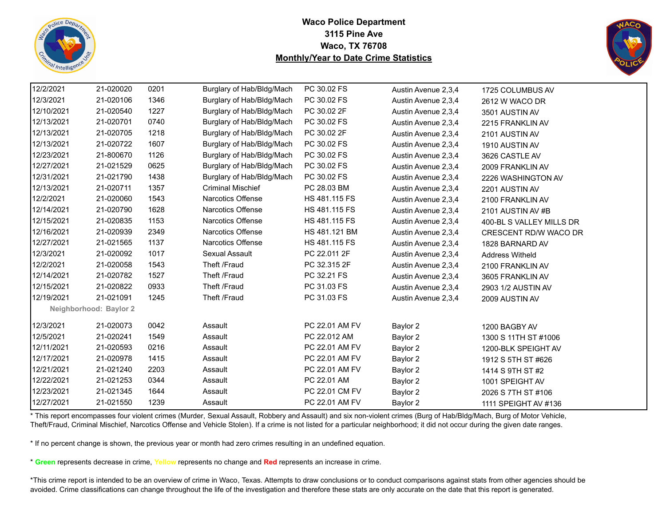



| 12/2/2021  | 21-020020              | 0201 | Burglary of Hab/Bldg/Mach | PC 30.02 FS    | Austin Avenue 2,3,4 | 1725 COLUMBUS AV         |  |
|------------|------------------------|------|---------------------------|----------------|---------------------|--------------------------|--|
| 12/3/2021  | 21-020106              | 1346 | Burglary of Hab/Bldg/Mach | PC 30.02 FS    | Austin Avenue 2,3,4 | 2612 W WACO DR           |  |
| 12/10/2021 | 21-020540              | 1227 | Burglary of Hab/Bldg/Mach | PC 30.02 2F    | Austin Avenue 2,3,4 | 3501 AUSTIN AV           |  |
| 12/13/2021 | 21-020701              | 0740 | Burglary of Hab/Bldg/Mach | PC 30.02 FS    | Austin Avenue 2,3,4 | 2215 FRANKLIN AV         |  |
| 12/13/2021 | 21-020705              | 1218 | Burglary of Hab/Bldg/Mach | PC 30.02 2F    | Austin Avenue 2,3,4 | 2101 AUSTIN AV           |  |
| 12/13/2021 | 21-020722              | 1607 | Burglary of Hab/Bldg/Mach | PC 30.02 FS    | Austin Avenue 2,3,4 | 1910 AUSTIN AV           |  |
| 12/23/2021 | 21-800670              | 1126 | Burglary of Hab/Bldg/Mach | PC 30.02 FS    | Austin Avenue 2,3,4 | 3626 CASTLE AV           |  |
| 12/27/2021 | 21-021529              | 0625 | Burglary of Hab/Bldg/Mach | PC 30.02 FS    | Austin Avenue 2,3,4 | 2009 FRANKLIN AV         |  |
| 12/31/2021 | 21-021790              | 1438 | Burglary of Hab/Bldg/Mach | PC 30.02 FS    | Austin Avenue 2,3,4 | 2226 WASHINGTON AV       |  |
| 12/13/2021 | 21-020711              | 1357 | <b>Criminal Mischief</b>  | PC 28.03 BM    | Austin Avenue 2,3,4 | 2201 AUSTIN AV           |  |
| 12/2/2021  | 21-020060              | 1543 | <b>Narcotics Offense</b>  | HS 481.115 FS  | Austin Avenue 2,3,4 | 2100 FRANKLIN AV         |  |
| 12/14/2021 | 21-020790              | 1628 | <b>Narcotics Offense</b>  | HS 481.115 FS  | Austin Avenue 2,3,4 | 2101 AUSTIN AV #B        |  |
| 12/15/2021 | 21-020835              | 1153 | <b>Narcotics Offense</b>  | HS 481.115 FS  | Austin Avenue 2,3,4 | 400-BL S VALLEY MILLS DR |  |
| 12/16/2021 | 21-020939              | 2349 | <b>Narcotics Offense</b>  | HS 481.121 BM  | Austin Avenue 2,3,4 | CRESCENT RD/W WACO DR    |  |
| 12/27/2021 | 21-021565              | 1137 | <b>Narcotics Offense</b>  | HS 481.115 FS  | Austin Avenue 2,3,4 | 1828 BARNARD AV          |  |
| 12/3/2021  | 21-020092              | 1017 | Sexual Assault            | PC 22.011 2F   | Austin Avenue 2,3,4 | <b>Address Witheld</b>   |  |
| 12/2/2021  | 21-020058              | 1543 | Theft /Fraud              | PC 32.315 2F   | Austin Avenue 2,3,4 | 2100 FRANKLIN AV         |  |
| 12/14/2021 | 21-020782              | 1527 | Theft /Fraud              | PC 32.21 FS    | Austin Avenue 2,3,4 | 3605 FRANKLIN AV         |  |
| 12/15/2021 | 21-020822              | 0933 | Theft /Fraud              | PC 31.03 FS    | Austin Avenue 2,3,4 | 2903 1/2 AUSTIN AV       |  |
| 12/19/2021 | 21-021091              | 1245 | Theft /Fraud              | PC 31.03 FS    | Austin Avenue 2,3,4 | 2009 AUSTIN AV           |  |
|            | Neighborhood: Baylor 2 |      |                           |                |                     |                          |  |
| 12/3/2021  | 21-020073              | 0042 | Assault                   | PC 22.01 AM FV | Baylor 2            | 1200 BAGBY AV            |  |
| 12/5/2021  | 21-020241              | 1549 | Assault                   | PC 22.012 AM   | Baylor 2            | 1300 S 11TH ST #1006     |  |
| 12/11/2021 | 21-020593              | 0216 | Assault                   | PC 22.01 AM FV | Baylor 2            | 1200-BLK SPEIGHT AV      |  |
| 12/17/2021 | 21-020978              | 1415 | Assault                   | PC 22.01 AM FV | Baylor 2            | 1912 S 5TH ST #626       |  |
| 12/21/2021 | 21-021240              | 2203 | Assault                   | PC 22.01 AM FV | Baylor 2            | 1414 S 9TH ST #2         |  |
| 12/22/2021 | 21-021253              | 0344 | Assault                   | PC 22.01 AM    | Baylor 2            | 1001 SPEIGHT AV          |  |
| 12/23/2021 | 21-021345              | 1644 | Assault                   | PC 22.01 CM FV | Baylor 2            | 2026 S 7TH ST #106       |  |
| 12/27/2021 | 21-021550              | 1239 | Assault                   | PC 22.01 AM FV | Baylor 2            | 1111 SPEIGHT AV #136     |  |

\* This report encompasses four violent crimes (Murder, Sexual Assault, Robbery and Assault) and six non-violent crimes (Burg of Hab/Bldg/Mach, Burg of Motor Vehicle, Theft/Fraud, Criminal Mischief, Narcotics Offense and Vehicle Stolen). If a crime is not listed for a particular neighborhood; it did not occur during the given date ranges.

\* If no percent change is shown, the previous year or month had zero crimes resulting in an undefined equation.

\* **Green** represents decrease in crime, **Yellow** represents no change and **Red** represents an increase in crime.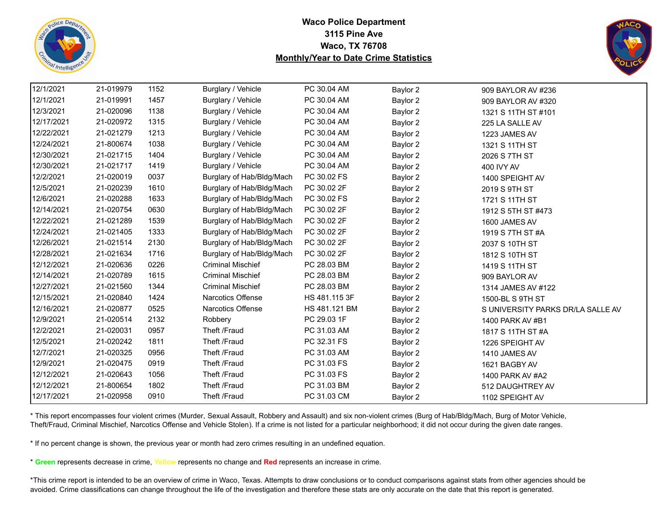



| 12/1/2021  | 21-019979 | 1152 | Burglary / Vehicle        | PC 30.04 AM   | Baylor 2 | 909 BAYLOR AV #236                |
|------------|-----------|------|---------------------------|---------------|----------|-----------------------------------|
| 12/1/2021  | 21-019991 | 1457 | Burglary / Vehicle        | PC 30.04 AM   | Baylor 2 | 909 BAYLOR AV #320                |
| 12/3/2021  | 21-020096 | 1138 | Burglary / Vehicle        | PC 30.04 AM   | Baylor 2 | 1321 S 11TH ST #101               |
| 12/17/2021 | 21-020972 | 1315 | Burglary / Vehicle        | PC 30.04 AM   | Baylor 2 | 225 LA SALLE AV                   |
| 12/22/2021 | 21-021279 | 1213 | Burglary / Vehicle        | PC 30.04 AM   | Baylor 2 | 1223 JAMES AV                     |
| 12/24/2021 | 21-800674 | 1038 | Burglary / Vehicle        | PC 30.04 AM   | Baylor 2 | 1321 S 11TH ST                    |
| 12/30/2021 | 21-021715 | 1404 | Burglary / Vehicle        | PC 30.04 AM   | Baylor 2 | 2026 S 7TH ST                     |
| 12/30/2021 | 21-021717 | 1419 | Burglary / Vehicle        | PC 30.04 AM   | Baylor 2 | 400 IVY AV                        |
| 12/2/2021  | 21-020019 | 0037 | Burglary of Hab/Bldg/Mach | PC 30.02 FS   | Baylor 2 | 1400 SPEIGHT AV                   |
| 12/5/2021  | 21-020239 | 1610 | Burglary of Hab/Bldg/Mach | PC 30.02 2F   | Baylor 2 | 2019 S 9TH ST                     |
| 12/6/2021  | 21-020288 | 1633 | Burglary of Hab/Bldg/Mach | PC 30.02 FS   | Baylor 2 | 1721 S 11TH ST                    |
| 12/14/2021 | 21-020754 | 0630 | Burglary of Hab/Bldg/Mach | PC 30.02 2F   | Baylor 2 | 1912 S 5TH ST #473                |
| 12/22/2021 | 21-021289 | 1539 | Burglary of Hab/Bldg/Mach | PC 30.02 2F   | Baylor 2 | 1600 JAMES AV                     |
| 12/24/2021 | 21-021405 | 1333 | Burglary of Hab/Bldg/Mach | PC 30.02 2F   | Baylor 2 | 1919 S 7TH ST #A                  |
| 12/26/2021 | 21-021514 | 2130 | Burglary of Hab/Bldg/Mach | PC 30.02 2F   | Baylor 2 | 2037 S 10TH ST                    |
| 12/28/2021 | 21-021634 | 1716 | Burglary of Hab/Bldg/Mach | PC 30.02 2F   | Baylor 2 | 1812 S 10TH ST                    |
| 12/12/2021 | 21-020636 | 0226 | <b>Criminal Mischief</b>  | PC 28.03 BM   | Baylor 2 | 1419 S 11TH ST                    |
| 12/14/2021 | 21-020789 | 1615 | <b>Criminal Mischief</b>  | PC 28.03 BM   | Baylor 2 | 909 BAYLOR AV                     |
| 12/27/2021 | 21-021560 | 1344 | <b>Criminal Mischief</b>  | PC 28.03 BM   | Baylor 2 | 1314 JAMES AV #122                |
| 12/15/2021 | 21-020840 | 1424 | <b>Narcotics Offense</b>  | HS 481.115 3F | Baylor 2 | 1500-BL S 9TH ST                  |
| 12/16/2021 | 21-020877 | 0525 | <b>Narcotics Offense</b>  | HS 481.121 BM | Baylor 2 | S UNIVERSITY PARKS DR/LA SALLE AV |
| 12/9/2021  | 21-020514 | 2132 | Robbery                   | PC 29.03 1F   | Baylor 2 | 1400 PARK AV #B1                  |
| 12/2/2021  | 21-020031 | 0957 | Theft /Fraud              | PC 31.03 AM   | Baylor 2 | 1817 S 11TH ST #A                 |
| 12/5/2021  | 21-020242 | 1811 | Theft /Fraud              | PC 32.31 FS   | Baylor 2 | 1226 SPEIGHT AV                   |
| 12/7/2021  | 21-020325 | 0956 | Theft /Fraud              | PC 31.03 AM   | Baylor 2 | 1410 JAMES AV                     |
| 12/9/2021  | 21-020475 | 0919 | Theft /Fraud              | PC 31.03 FS   | Baylor 2 | 1621 BAGBY AV                     |
| 12/12/2021 | 21-020643 | 1056 | Theft /Fraud              | PC 31.03 FS   | Baylor 2 | 1400 PARK AV #A2                  |
| 12/12/2021 | 21-800654 | 1802 | Theft /Fraud              | PC 31.03 BM   | Baylor 2 | 512 DAUGHTREY AV                  |
| 12/17/2021 | 21-020958 | 0910 | Theft /Fraud              | PC 31.03 CM   | Baylor 2 | 1102 SPEIGHT AV                   |

\* This report encompasses four violent crimes (Murder, Sexual Assault, Robbery and Assault) and six non-violent crimes (Burg of Hab/Bldg/Mach, Burg of Motor Vehicle, Theft/Fraud, Criminal Mischief, Narcotics Offense and Vehicle Stolen). If a crime is not listed for a particular neighborhood; it did not occur during the given date ranges.

\* If no percent change is shown, the previous year or month had zero crimes resulting in an undefined equation.

\* **Green** represents decrease in crime, **Yellow** represents no change and **Red** represents an increase in crime.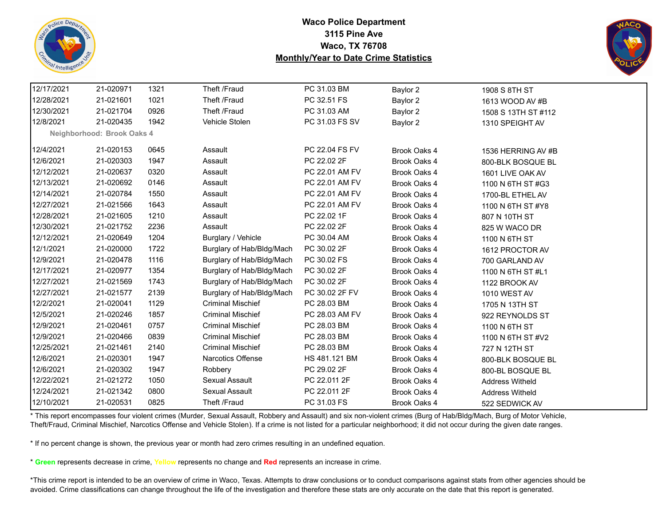



| 12/17/2021 | 21-020971                  | 1321 | Theft /Fraud              | PC 31.03 BM    | Baylor 2     | 1908 S 8TH ST          |  |
|------------|----------------------------|------|---------------------------|----------------|--------------|------------------------|--|
| 12/28/2021 | 21-021601                  | 1021 | Theft /Fraud              | PC 32.51 FS    | Baylor 2     | 1613 WOOD AV #B        |  |
| 12/30/2021 | 21-021704                  | 0926 | Theft /Fraud              | PC 31.03 AM    | Baylor 2     | 1508 S 13TH ST #112    |  |
| 12/8/2021  | 21-020435                  | 1942 | Vehicle Stolen            | PC 31.03 FS SV | Baylor 2     | 1310 SPEIGHT AV        |  |
|            | Neighborhood: Brook Oaks 4 |      |                           |                |              |                        |  |
| 12/4/2021  | 21-020153                  | 0645 | Assault                   | PC 22.04 FS FV | Brook Oaks 4 | 1536 HERRING AV #B     |  |
| 12/6/2021  | 21-020303                  | 1947 | Assault                   | PC 22.02 2F    | Brook Oaks 4 | 800-BLK BOSQUE BL      |  |
| 12/12/2021 | 21-020637                  | 0320 | Assault                   | PC 22.01 AM FV | Brook Oaks 4 | 1601 LIVE OAK AV       |  |
| 12/13/2021 | 21-020692                  | 0146 | Assault                   | PC 22.01 AM FV | Brook Oaks 4 | 1100 N 6TH ST #G3      |  |
| 12/14/2021 | 21-020784                  | 1550 | Assault                   | PC 22.01 AM FV | Brook Oaks 4 | 1700-BL ETHEL AV       |  |
| 12/27/2021 | 21-021566                  | 1643 | Assault                   | PC 22.01 AM FV | Brook Oaks 4 | 1100 N 6TH ST #Y8      |  |
| 12/28/2021 | 21-021605                  | 1210 | Assault                   | PC 22.02 1F    | Brook Oaks 4 | 807 N 10TH ST          |  |
| 12/30/2021 | 21-021752                  | 2236 | Assault                   | PC 22.02 2F    | Brook Oaks 4 | 825 W WACO DR          |  |
| 12/12/2021 | 21-020649                  | 1204 | Burglary / Vehicle        | PC 30.04 AM    | Brook Oaks 4 | 1100 N 6TH ST          |  |
| 12/1/2021  | 21-020000                  | 1722 | Burglary of Hab/Bldg/Mach | PC 30.02 2F    | Brook Oaks 4 | 1612 PROCTOR AV        |  |
| 12/9/2021  | 21-020478                  | 1116 | Burglary of Hab/Bldg/Mach | PC 30.02 FS    | Brook Oaks 4 | 700 GARLAND AV         |  |
| 12/17/2021 | 21-020977                  | 1354 | Burglary of Hab/Bldg/Mach | PC 30.02 2F    | Brook Oaks 4 | 1100 N 6TH ST #L1      |  |
| 12/27/2021 | 21-021569                  | 1743 | Burglary of Hab/Bldg/Mach | PC 30.02 2F    | Brook Oaks 4 | 1122 BROOK AV          |  |
| 12/27/2021 | 21-021577                  | 2139 | Burglary of Hab/Bldg/Mach | PC 30.02 2F FV | Brook Oaks 4 | 1010 WEST AV           |  |
| 12/2/2021  | 21-020041                  | 1129 | <b>Criminal Mischief</b>  | PC 28.03 BM    | Brook Oaks 4 | 1705 N 13TH ST         |  |
| 12/5/2021  | 21-020246                  | 1857 | <b>Criminal Mischief</b>  | PC 28.03 AM FV | Brook Oaks 4 | 922 REYNOLDS ST        |  |
| 12/9/2021  | 21-020461                  | 0757 | <b>Criminal Mischief</b>  | PC 28.03 BM    | Brook Oaks 4 | 1100 N 6TH ST          |  |
| 12/9/2021  | 21-020466                  | 0839 | <b>Criminal Mischief</b>  | PC 28.03 BM    | Brook Oaks 4 | 1100 N 6TH ST #V2      |  |
| 12/25/2021 | 21-021461                  | 2140 | <b>Criminal Mischief</b>  | PC 28.03 BM    | Brook Oaks 4 | 727 N 12TH ST          |  |
| 12/6/2021  | 21-020301                  | 1947 | Narcotics Offense         | HS 481.121 BM  | Brook Oaks 4 | 800-BLK BOSQUE BL      |  |
| 12/6/2021  | 21-020302                  | 1947 | Robbery                   | PC 29.02 2F    | Brook Oaks 4 | 800-BL BOSQUE BL       |  |
| 12/22/2021 | 21-021272                  | 1050 | Sexual Assault            | PC 22.011 2F   | Brook Oaks 4 | <b>Address Witheld</b> |  |
| 12/24/2021 | 21-021342                  | 0800 | Sexual Assault            | PC 22.011 2F   | Brook Oaks 4 | <b>Address Witheld</b> |  |
| 12/10/2021 | 21-020531                  | 0825 | Theft /Fraud              | PC 31.03 FS    | Brook Oaks 4 | 522 SEDWICK AV         |  |

\* This report encompasses four violent crimes (Murder, Sexual Assault, Robbery and Assault) and six non-violent crimes (Burg of Hab/Bldg/Mach, Burg of Motor Vehicle, Theft/Fraud, Criminal Mischief, Narcotics Offense and Vehicle Stolen). If a crime is not listed for a particular neighborhood; it did not occur during the given date ranges.

\* If no percent change is shown, the previous year or month had zero crimes resulting in an undefined equation.

\* **Green** represents decrease in crime, **Yellow** represents no change and **Red** represents an increase in crime.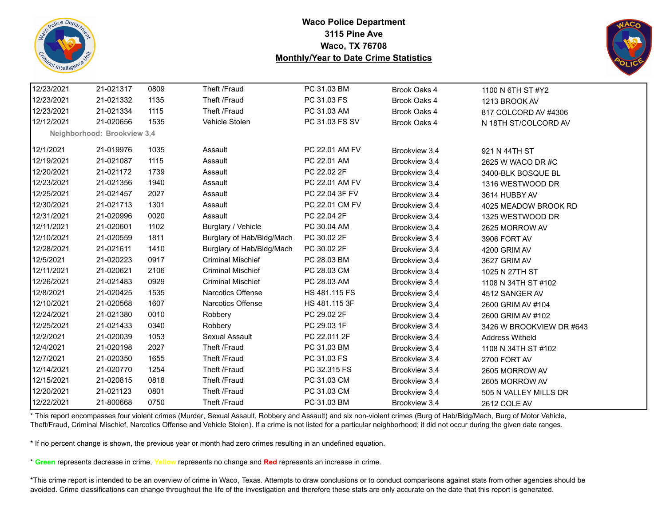



| 12/23/2021 | 21-021317                   | 0809 | Theft /Fraud              | PC 31.03 BM    | Brook Oaks 4  | 1100 N 6TH ST #Y2        |
|------------|-----------------------------|------|---------------------------|----------------|---------------|--------------------------|
| 12/23/2021 | 21-021332                   | 1135 | Theft /Fraud              | PC 31.03 FS    | Brook Oaks 4  | 1213 BROOK AV            |
| 12/23/2021 | 21-021334                   | 1115 | Theft /Fraud              | PC 31.03 AM    | Brook Oaks 4  | 817 COLCORD AV #4306     |
| 12/12/2021 | 21-020656                   | 1535 | Vehicle Stolen            | PC 31.03 FS SV | Brook Oaks 4  | N 18TH ST/COLCORD AV     |
|            | Neighborhood: Brookview 3,4 |      |                           |                |               |                          |
| 12/1/2021  | 21-019976                   | 1035 | Assault                   | PC 22.01 AM FV | Brookview 3,4 | 921 N 44TH ST            |
| 12/19/2021 | 21-021087                   | 1115 | Assault                   | PC 22.01 AM    | Brookview 3,4 | 2625 W WACO DR #C        |
| 12/20/2021 | 21-021172                   | 1739 | Assault                   | PC 22.02 2F    | Brookview 3,4 | 3400-BLK BOSQUE BL       |
| 12/23/2021 | 21-021356                   | 1940 | Assault                   | PC 22.01 AM FV | Brookview 3,4 | 1316 WESTWOOD DR         |
| 12/25/2021 | 21-021457                   | 2027 | Assault                   | PC 22.04 3F FV | Brookview 3,4 | 3614 HUBBY AV            |
| 12/30/2021 | 21-021713                   | 1301 | Assault                   | PC 22.01 CM FV | Brookview 3,4 | 4025 MEADOW BROOK RD     |
| 12/31/2021 | 21-020996                   | 0020 | Assault                   | PC 22.04 2F    | Brookview 3,4 | 1325 WESTWOOD DR         |
| 12/11/2021 | 21-020601                   | 1102 | Burglary / Vehicle        | PC 30.04 AM    | Brookview 3,4 | 2625 MORROW AV           |
| 12/10/2021 | 21-020559                   | 1811 | Burglary of Hab/Bldg/Mach | PC 30.02 2F    | Brookview 3,4 | 3906 FORT AV             |
| 12/28/2021 | 21-021611                   | 1410 | Burglary of Hab/Bldg/Mach | PC 30.02 2F    | Brookview 3,4 | 4200 GRIM AV             |
| 12/5/2021  | 21-020223                   | 0917 | <b>Criminal Mischief</b>  | PC 28.03 BM    | Brookview 3,4 | 3627 GRIM AV             |
| 12/11/2021 | 21-020621                   | 2106 | <b>Criminal Mischief</b>  | PC 28.03 CM    | Brookview 3,4 | 1025 N 27TH ST           |
| 12/26/2021 | 21-021483                   | 0929 | <b>Criminal Mischief</b>  | PC 28.03 AM    | Brookview 3,4 | 1108 N 34TH ST #102      |
| 12/8/2021  | 21-020425                   | 1535 | Narcotics Offense         | HS 481.115 FS  | Brookview 3,4 | 4512 SANGER AV           |
| 12/10/2021 | 21-020568                   | 1607 | Narcotics Offense         | HS 481.115 3F  | Brookview 3,4 | 2600 GRIM AV #104        |
| 12/24/2021 | 21-021380                   | 0010 | Robbery                   | PC 29.02 2F    | Brookview 3,4 | 2600 GRIM AV #102        |
| 12/25/2021 | 21-021433                   | 0340 | Robbery                   | PC 29.03 1F    | Brookview 3,4 | 3426 W BROOKVIEW DR #643 |
| 12/2/2021  | 21-020039                   | 1053 | Sexual Assault            | PC 22.011 2F   | Brookview 3,4 | <b>Address Witheld</b>   |
| 12/4/2021  | 21-020198                   | 2027 | Theft /Fraud              | PC 31.03 BM    | Brookview 3,4 | 1108 N 34TH ST #102      |
| 12/7/2021  | 21-020350                   | 1655 | Theft /Fraud              | PC 31.03 FS    | Brookview 3,4 | 2700 FORT AV             |
| 12/14/2021 | 21-020770                   | 1254 | Theft /Fraud              | PC 32.315 FS   | Brookview 3,4 | 2605 MORROW AV           |
| 12/15/2021 | 21-020815                   | 0818 | Theft /Fraud              | PC 31.03 CM    | Brookview 3,4 | 2605 MORROW AV           |
| 12/20/2021 | 21-021123                   | 0801 | Theft /Fraud              | PC 31.03 CM    | Brookview 3,4 | 505 N VALLEY MILLS DR    |
| 12/22/2021 | 21-800668                   | 0750 | Theft /Fraud              | PC 31.03 BM    | Brookview 3,4 | 2612 COLE AV             |

\* This report encompasses four violent crimes (Murder, Sexual Assault, Robbery and Assault) and six non-violent crimes (Burg of Hab/Bldg/Mach, Burg of Motor Vehicle, Theft/Fraud, Criminal Mischief, Narcotics Offense and Vehicle Stolen). If a crime is not listed for a particular neighborhood; it did not occur during the given date ranges.

\* If no percent change is shown, the previous year or month had zero crimes resulting in an undefined equation.

\* **Green** represents decrease in crime, **Yellow** represents no change and **Red** represents an increase in crime.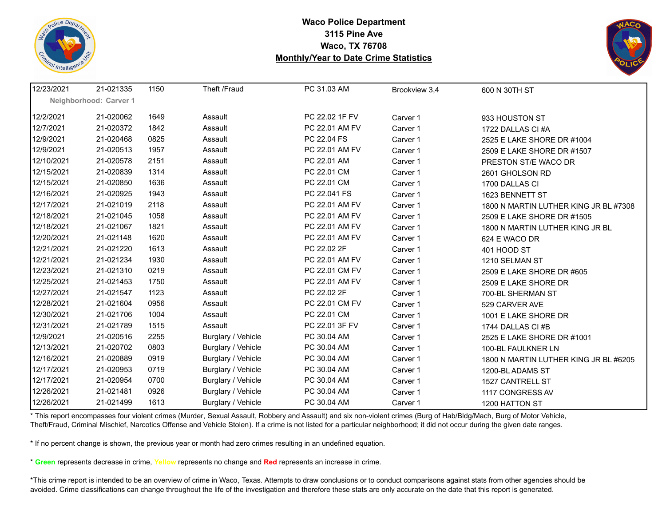



| 12/23/2021 | 21-021335              | 1150 | Theft /Fraud       | PC 31.03 AM    | Brookview 3,4 | 600 N 30TH ST                         |
|------------|------------------------|------|--------------------|----------------|---------------|---------------------------------------|
|            | Neighborhood: Carver 1 |      |                    |                |               |                                       |
| 12/2/2021  | 21-020062              | 1649 | Assault            | PC 22.02 1F FV | Carver 1      | 933 HOUSTON ST                        |
| 12/7/2021  | 21-020372              | 1842 | Assault            | PC 22.01 AM FV | Carver 1      | 1722 DALLAS CI#A                      |
| 12/9/2021  | 21-020468              | 0825 | Assault            | PC 22.04 FS    | Carver 1      | 2525 E LAKE SHORE DR #1004            |
| 12/9/2021  | 21-020513              | 1957 | Assault            | PC 22.01 AM FV | Carver 1      | 2509 E LAKE SHORE DR #1507            |
| 12/10/2021 | 21-020578              | 2151 | Assault            | PC 22.01 AM    | Carver 1      | PRESTON ST/E WACO DR                  |
| 12/15/2021 | 21-020839              | 1314 | Assault            | PC 22.01 CM    | Carver 1      | 2601 GHOLSON RD                       |
| 12/15/2021 | 21-020850              | 1636 | Assault            | PC 22.01 CM    | Carver 1      | 1700 DALLAS CI                        |
| 12/16/2021 | 21-020925              | 1943 | Assault            | PC 22.041 FS   | Carver 1      | 1623 BENNETT ST                       |
| 12/17/2021 | 21-021019              | 2118 | Assault            | PC 22.01 AM FV | Carver 1      | 1800 N MARTIN LUTHER KING JR BL #7308 |
| 12/18/2021 | 21-021045              | 1058 | Assault            | PC 22.01 AM FV | Carver 1      | 2509 E LAKE SHORE DR #1505            |
| 12/18/2021 | 21-021067              | 1821 | Assault            | PC 22.01 AM FV | Carver 1      | 1800 N MARTIN LUTHER KING JR BL       |
| 12/20/2021 | 21-021148              | 1620 | Assault            | PC 22.01 AM FV | Carver 1      | 624 E WACO DR                         |
| 12/21/2021 | 21-021220              | 1613 | Assault            | PC 22.02 2F    | Carver 1      | 401 HOOD ST                           |
| 12/21/2021 | 21-021234              | 1930 | Assault            | PC 22.01 AM FV | Carver 1      | 1210 SELMAN ST                        |
| 12/23/2021 | 21-021310              | 0219 | Assault            | PC 22.01 CM FV | Carver 1      | 2509 E LAKE SHORE DR #605             |
| 12/25/2021 | 21-021453              | 1750 | Assault            | PC 22.01 AM FV | Carver 1      | 2509 E LAKE SHORE DR                  |
| 12/27/2021 | 21-021547              | 1123 | Assault            | PC 22.02 2F    | Carver 1      | 700-BL SHERMAN ST                     |
| 12/28/2021 | 21-021604              | 0956 | Assault            | PC 22.01 CM FV | Carver 1      | 529 CARVER AVE                        |
| 12/30/2021 | 21-021706              | 1004 | Assault            | PC 22.01 CM    | Carver 1      | 1001 E LAKE SHORE DR                  |
| 12/31/2021 | 21-021789              | 1515 | Assault            | PC 22.01 3F FV | Carver 1      | 1744 DALLAS CI#B                      |
| 12/9/2021  | 21-020516              | 2255 | Burglary / Vehicle | PC 30.04 AM    | Carver 1      | 2525 E LAKE SHORE DR #1001            |
| 12/13/2021 | 21-020702              | 0803 | Burglary / Vehicle | PC 30.04 AM    | Carver 1      | 100-BL FAULKNER LN                    |
| 12/16/2021 | 21-020889              | 0919 | Burglary / Vehicle | PC 30.04 AM    | Carver 1      | 1800 N MARTIN LUTHER KING JR BL #6205 |
| 12/17/2021 | 21-020953              | 0719 | Burglary / Vehicle | PC 30.04 AM    | Carver 1      | 1200-BL ADAMS ST                      |
| 12/17/2021 | 21-020954              | 0700 | Burglary / Vehicle | PC 30.04 AM    | Carver 1      | 1527 CANTRELL ST                      |
| 12/26/2021 | 21-021481              | 0926 | Burglary / Vehicle | PC 30.04 AM    | Carver 1      | 1117 CONGRESS AV                      |
| 12/26/2021 | 21-021499              | 1613 | Burglary / Vehicle | PC 30.04 AM    | Carver 1      | 1200 HATTON ST                        |

\* This report encompasses four violent crimes (Murder, Sexual Assault, Robbery and Assault) and six non-violent crimes (Burg of Hab/Bldg/Mach, Burg of Motor Vehicle, Theft/Fraud, Criminal Mischief, Narcotics Offense and Vehicle Stolen). If a crime is not listed for a particular neighborhood; it did not occur during the given date ranges.

\* If no percent change is shown, the previous year or month had zero crimes resulting in an undefined equation.

\* **Green** represents decrease in crime, **Yellow** represents no change and **Red** represents an increase in crime.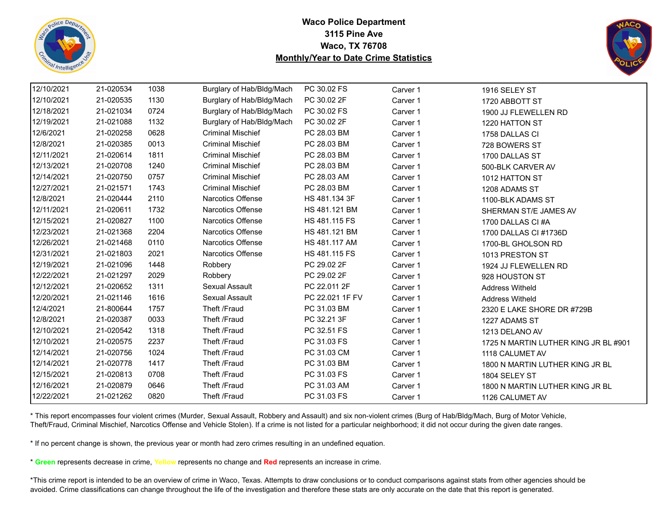



| 12/10/2021 | 21-020534 | 1038 | Burglary of Hab/Bldg/Mach | PC 30.02 FS     | Carver 1 | 1916 SELEY ST                        |
|------------|-----------|------|---------------------------|-----------------|----------|--------------------------------------|
| 12/10/2021 | 21-020535 | 1130 | Burglary of Hab/Bldg/Mach | PC 30.02 2F     | Carver 1 | 1720 ABBOTT ST                       |
| 12/18/2021 | 21-021034 | 0724 | Burglary of Hab/Bldg/Mach | PC 30.02 FS     | Carver 1 | 1900 JJ FLEWELLEN RD                 |
| 12/19/2021 | 21-021088 | 1132 | Burglary of Hab/Bldg/Mach | PC 30.02 2F     | Carver 1 | 1220 HATTON ST                       |
| 12/6/2021  | 21-020258 | 0628 | <b>Criminal Mischief</b>  | PC 28.03 BM     | Carver 1 | 1758 DALLAS CI                       |
| 12/8/2021  | 21-020385 | 0013 | <b>Criminal Mischief</b>  | PC 28.03 BM     | Carver 1 | 728 BOWERS ST                        |
| 12/11/2021 | 21-020614 | 1811 | <b>Criminal Mischief</b>  | PC 28.03 BM     | Carver 1 | 1700 DALLAS ST                       |
| 12/13/2021 | 21-020708 | 1240 | <b>Criminal Mischief</b>  | PC 28.03 BM     | Carver 1 | 500-BLK CARVER AV                    |
| 12/14/2021 | 21-020750 | 0757 | <b>Criminal Mischief</b>  | PC 28.03 AM     | Carver 1 | 1012 HATTON ST                       |
| 12/27/2021 | 21-021571 | 1743 | <b>Criminal Mischief</b>  | PC 28.03 BM     | Carver 1 | 1208 ADAMS ST                        |
| 12/8/2021  | 21-020444 | 2110 | Narcotics Offense         | HS 481.134 3F   | Carver 1 | 1100-BLK ADAMS ST                    |
| 12/11/2021 | 21-020611 | 1732 | <b>Narcotics Offense</b>  | HS 481.121 BM   | Carver 1 | SHERMAN ST/E JAMES AV                |
| 12/15/2021 | 21-020827 | 1100 | <b>Narcotics Offense</b>  | HS 481.115 FS   | Carver 1 | 1700 DALLAS CI #A                    |
| 12/23/2021 | 21-021368 | 2204 | <b>Narcotics Offense</b>  | HS 481.121 BM   | Carver 1 | 1700 DALLAS CI #1736D                |
| 12/26/2021 | 21-021468 | 0110 | <b>Narcotics Offense</b>  | HS 481.117 AM   | Carver 1 | 1700-BL GHOLSON RD                   |
| 12/31/2021 | 21-021803 | 2021 | Narcotics Offense         | HS 481.115 FS   | Carver 1 | 1013 PRESTON ST                      |
| 12/19/2021 | 21-021096 | 1448 | Robbery                   | PC 29.02 2F     | Carver 1 | 1924 JJ FLEWELLEN RD                 |
| 12/22/2021 | 21-021297 | 2029 | Robbery                   | PC 29.02 2F     | Carver 1 | 928 HOUSTON ST                       |
| 12/12/2021 | 21-020652 | 1311 | Sexual Assault            | PC 22.011 2F    | Carver 1 | <b>Address Witheld</b>               |
| 12/20/2021 | 21-021146 | 1616 | Sexual Assault            | PC 22.021 1F FV | Carver 1 | <b>Address Witheld</b>               |
| 12/4/2021  | 21-800644 | 1757 | Theft /Fraud              | PC 31.03 BM     | Carver 1 | 2320 E LAKE SHORE DR #729B           |
| 12/8/2021  | 21-020387 | 0033 | Theft /Fraud              | PC 32.21 3F     | Carver 1 | 1227 ADAMS ST                        |
| 12/10/2021 | 21-020542 | 1318 | Theft /Fraud              | PC 32.51 FS     | Carver 1 | 1213 DELANO AV                       |
| 12/10/2021 | 21-020575 | 2237 | Theft /Fraud              | PC 31.03 FS     | Carver 1 | 1725 N MARTIN LUTHER KING JR BL #901 |
| 12/14/2021 | 21-020756 | 1024 | Theft /Fraud              | PC 31.03 CM     | Carver 1 | 1118 CALUMET AV                      |
| 12/14/2021 | 21-020778 | 1417 | Theft /Fraud              | PC 31.03 BM     | Carver 1 | 1800 N MARTIN LUTHER KING JR BL      |
| 12/15/2021 | 21-020813 | 0708 | Theft /Fraud              | PC 31.03 FS     | Carver 1 | 1804 SELEY ST                        |
| 12/16/2021 | 21-020879 | 0646 | Theft /Fraud              | PC 31.03 AM     | Carver 1 | 1800 N MARTIN LUTHER KING JR BL      |
| 12/22/2021 | 21-021262 | 0820 | Theft /Fraud              | PC 31.03 FS     | Carver 1 | 1126 CALUMET AV                      |

\* This report encompasses four violent crimes (Murder, Sexual Assault, Robbery and Assault) and six non-violent crimes (Burg of Hab/Bldg/Mach, Burg of Motor Vehicle, Theft/Fraud, Criminal Mischief, Narcotics Offense and Vehicle Stolen). If a crime is not listed for a particular neighborhood; it did not occur during the given date ranges.

\* If no percent change is shown, the previous year or month had zero crimes resulting in an undefined equation.

\* **Green** represents decrease in crime, **Yellow** represents no change and **Red** represents an increase in crime.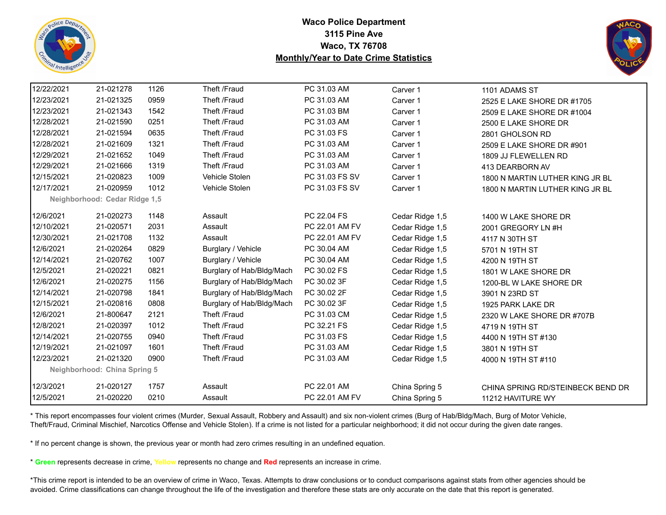



| 12/22/2021 | 21-021278                     | 1126 | Theft /Fraud              | PC 31.03 AM    | Carver 1        | 1101 ADAMS ST                     |
|------------|-------------------------------|------|---------------------------|----------------|-----------------|-----------------------------------|
| 12/23/2021 | 21-021325                     | 0959 | Theft /Fraud              | PC 31.03 AM    | Carver 1        | 2525 E LAKE SHORE DR #1705        |
| 12/23/2021 | 21-021343                     | 1542 | Theft /Fraud              | PC 31.03 BM    | Carver 1        | 2509 E LAKE SHORE DR #1004        |
| 12/28/2021 | 21-021590                     | 0251 | Theft /Fraud              | PC 31.03 AM    | Carver 1        | 2500 E LAKE SHORE DR              |
| 12/28/2021 | 21-021594                     | 0635 | Theft /Fraud              | PC 31.03 FS    | Carver 1        | 2801 GHOLSON RD                   |
| 12/28/2021 | 21-021609                     | 1321 | Theft /Fraud              | PC 31.03 AM    | Carver 1        | 2509 E LAKE SHORE DR #901         |
| 12/29/2021 | 21-021652                     | 1049 | Theft /Fraud              | PC 31.03 AM    | Carver 1        | 1809 JJ FLEWELLEN RD              |
| 12/29/2021 | 21-021666                     | 1319 | Theft /Fraud              | PC 31.03 AM    | Carver 1        | 413 DEARBORN AV                   |
| 12/15/2021 | 21-020823                     | 1009 | Vehicle Stolen            | PC 31.03 FS SV | Carver 1        | 1800 N MARTIN LUTHER KING JR BL   |
| 12/17/2021 | 21-020959                     | 1012 | Vehicle Stolen            | PC 31.03 FS SV | Carver 1        | 1800 N MARTIN LUTHER KING JR BL   |
|            | Neighborhood: Cedar Ridge 1,5 |      |                           |                |                 |                                   |
| 12/6/2021  | 21-020273                     | 1148 | Assault                   | PC 22.04 FS    | Cedar Ridge 1,5 | 1400 W LAKE SHORE DR              |
| 12/10/2021 | 21-020571                     | 2031 | Assault                   | PC 22.01 AM FV | Cedar Ridge 1,5 | 2001 GREGORY LN #H                |
| 12/30/2021 | 21-021708                     | 1132 | Assault                   | PC 22.01 AM FV | Cedar Ridge 1,5 | 4117 N 30TH ST                    |
| 12/6/2021  | 21-020264                     | 0829 | Burglary / Vehicle        | PC 30.04 AM    | Cedar Ridge 1,5 | 5701 N 19TH ST                    |
| 12/14/2021 | 21-020762                     | 1007 | Burglary / Vehicle        | PC 30.04 AM    | Cedar Ridge 1,5 | 4200 N 19TH ST                    |
| 12/5/2021  | 21-020221                     | 0821 | Burglary of Hab/Bldg/Mach | PC 30.02 FS    | Cedar Ridge 1,5 | 1801 W LAKE SHORE DR              |
| 12/6/2021  | 21-020275                     | 1156 | Burglary of Hab/Bldg/Mach | PC 30.02 3F    | Cedar Ridge 1,5 | 1200-BL W LAKE SHORE DR           |
| 12/14/2021 | 21-020798                     | 1841 | Burglary of Hab/Bldg/Mach | PC 30.02 2F    | Cedar Ridge 1,5 | 3901 N 23RD ST                    |
| 12/15/2021 | 21-020816                     | 0808 | Burglary of Hab/Bldg/Mach | PC 30.02 3F    | Cedar Ridge 1,5 | 1925 PARK LAKE DR                 |
| 12/6/2021  | 21-800647                     | 2121 | Theft /Fraud              | PC 31.03 CM    | Cedar Ridge 1,5 | 2320 W LAKE SHORE DR #707B        |
| 12/8/2021  | 21-020397                     | 1012 | Theft /Fraud              | PC 32.21 FS    | Cedar Ridge 1,5 | 4719 N 19TH ST                    |
| 12/14/2021 | 21-020755                     | 0940 | Theft /Fraud              | PC 31.03 FS    | Cedar Ridge 1,5 | 4400 N 19TH ST #130               |
| 12/19/2021 | 21-021097                     | 1601 | Theft /Fraud              | PC 31.03 AM    | Cedar Ridge 1,5 | 3801 N 19TH ST                    |
| 12/23/2021 | 21-021320                     | 0900 | Theft /Fraud              | PC 31.03 AM    | Cedar Ridge 1,5 | 4000 N 19TH ST #110               |
|            | Neighborhood: China Spring 5  |      |                           |                |                 |                                   |
| 12/3/2021  | 21-020127                     | 1757 | Assault                   | PC 22.01 AM    | China Spring 5  | CHINA SPRING RD/STEINBECK BEND DR |
| 12/5/2021  | 21-020220                     | 0210 | Assault                   | PC 22.01 AM FV | China Spring 5  | 11212 HAVITURE WY                 |
|            |                               |      |                           |                |                 |                                   |

\* This report encompasses four violent crimes (Murder, Sexual Assault, Robbery and Assault) and six non-violent crimes (Burg of Hab/Bldg/Mach, Burg of Motor Vehicle, Theft/Fraud, Criminal Mischief, Narcotics Offense and Vehicle Stolen). If a crime is not listed for a particular neighborhood; it did not occur during the given date ranges.

\* If no percent change is shown, the previous year or month had zero crimes resulting in an undefined equation.

\* **Green** represents decrease in crime, **Yellow** represents no change and **Red** represents an increase in crime.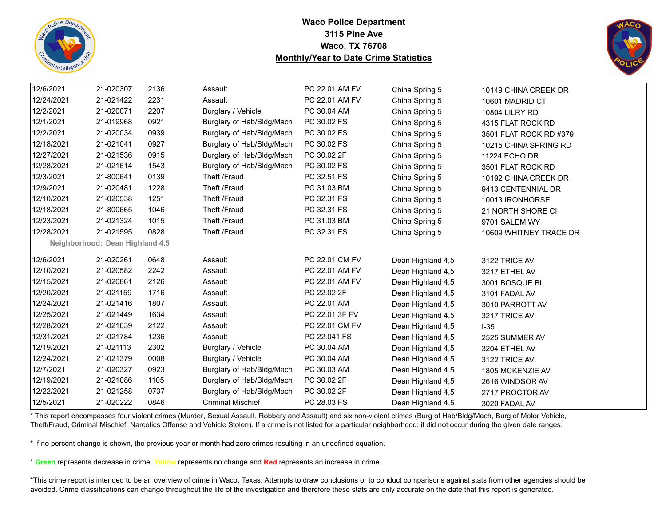



| 12/6/2021<br>21-020307<br>2136<br>PC 22.01 AM FV<br>Assault<br>China Spring 5<br>10149 CHINA CREEK DR<br>12/24/2021<br>21-021422<br>2231<br>PC 22.01 AM FV<br>Assault<br>China Spring 5<br>10601 MADRID CT<br>12/2/2021<br>2207<br>21-020071<br>Burglary / Vehicle<br>PC 30.04 AM<br>China Spring 5<br><b>10804 LILRY RD</b><br>12/1/2021<br>21-019968<br>0921<br>Burglary of Hab/Bldg/Mach<br>PC 30.02 FS<br>China Spring 5<br>4315 FLAT ROCK RD<br>12/2/2021<br>21-020034<br>0939<br>Burglary of Hab/Bldg/Mach<br>PC 30.02 FS<br>China Spring 5<br>3501 FLAT ROCK RD #379<br>12/18/2021<br>21-021041<br>0927<br>Burglary of Hab/Bldg/Mach<br>PC 30.02 FS<br>China Spring 5<br>10215 CHINA SPRING RD<br>12/27/2021<br>21-021536<br>0915<br>Burglary of Hab/Bldg/Mach<br>PC 30.02 2F<br>China Spring 5<br>11224 ECHO DR<br>12/28/2021<br>Burglary of Hab/Bldg/Mach<br>PC 30.02 FS<br>21-021614<br>1543<br>China Spring 5<br>3501 FLAT ROCK RD<br>12/3/2021<br>0139<br>PC 32.51 FS<br>21-800641<br>Theft /Fraud<br>China Spring 5<br>10192 CHINA CREEK DR<br>12/9/2021<br>21-020481<br>1228<br>Theft /Fraud<br>PC 31.03 BM<br>China Spring 5<br>9413 CENTENNIAL DR<br>12/10/2021<br>1251<br>Theft /Fraud<br>21-020538<br>PC 32.31 FS<br>China Spring 5<br>10013 IRONHORSE<br>Theft /Fraud<br>12/18/2021<br>21-800665<br>1046<br>PC 32.31 FS<br>China Spring 5<br>21 NORTH SHORE CI<br>12/23/2021<br>21-021324<br>1015<br>Theft /Fraud<br>PC 31.03 BM<br>China Spring 5<br>9701 SALEM WY<br>12/28/2021<br>21-021595<br>0828<br>Theft /Fraud<br>PC 32.31 FS<br>China Spring 5<br>10609 WHITNEY TRACE DR<br>Neighborhood: Dean Highland 4,5<br>12/6/2021<br>21-020261<br>0648<br>PC 22.01 CM FV<br>Assault<br>Dean Highland 4,5<br>3122 TRICE AV<br>12/10/2021<br>21-020582<br>2242<br>PC 22.01 AM FV<br>Assault<br>Dean Highland 4,5<br>3217 ETHEL AV<br>2126<br>12/15/2021<br>21-020861<br>Assault<br>PC 22.01 AM FV<br>Dean Highland 4,5<br>3001 BOSQUE BL<br>12/20/2021<br>21-021159<br>1716<br>PC 22.02 2F<br>Assault<br>Dean Highland 4,5<br>3101 FADAL AV<br>12/24/2021<br>1807<br>PC 22.01 AM<br>21-021416<br>Assault<br>Dean Highland 4,5<br>3010 PARROTT AV<br>12/25/2021<br>21-021449<br>1634<br>PC 22.01 3F FV<br>Assault<br>Dean Highland 4,5<br>3217 TRICE AV<br>12/28/2021<br>21-021639<br>2122<br>PC 22.01 CM FV<br>Assault<br>Dean Highland 4,5<br>$I-35$<br>1236<br>PC 22.041 FS<br>12/31/2021<br>21-021784<br>Assault<br>Dean Highland 4,5<br>2525 SUMMER AV<br>PC 30.04 AM<br>12/19/2021<br>21-021113<br>2302<br>Burglary / Vehicle<br>Dean Highland 4,5<br>3204 ETHEL AV<br>0008<br>Burglary / Vehicle<br>PC 30.04 AM<br>12/24/2021<br>21-021379<br>Dean Highland 4,5<br>3122 TRICE AV<br>12/7/2021<br>0923<br>PC 30.03 AM<br>21-020327<br>Burglary of Hab/Bldg/Mach<br>Dean Highland 4,5<br>1805 MCKENZIE AV<br>12/19/2021<br>21-021086<br>1105<br>Burglary of Hab/Bldg/Mach<br>PC 30.02 2F<br>Dean Highland 4,5<br>2616 WINDSOR AV<br>12/22/2021<br>Burglary of Hab/Bldg/Mach<br>21-021258<br>0737<br>PC 30.02 2F<br>Dean Highland 4,5<br>2717 PROCTOR AV<br>12/5/2021<br>21-020222<br><b>Criminal Mischief</b><br>PC 28.03 FS<br>0846<br>Dean Highland 4,5<br>3020 FADAL AV |  |  |  |  |
|-------------------------------------------------------------------------------------------------------------------------------------------------------------------------------------------------------------------------------------------------------------------------------------------------------------------------------------------------------------------------------------------------------------------------------------------------------------------------------------------------------------------------------------------------------------------------------------------------------------------------------------------------------------------------------------------------------------------------------------------------------------------------------------------------------------------------------------------------------------------------------------------------------------------------------------------------------------------------------------------------------------------------------------------------------------------------------------------------------------------------------------------------------------------------------------------------------------------------------------------------------------------------------------------------------------------------------------------------------------------------------------------------------------------------------------------------------------------------------------------------------------------------------------------------------------------------------------------------------------------------------------------------------------------------------------------------------------------------------------------------------------------------------------------------------------------------------------------------------------------------------------------------------------------------------------------------------------------------------------------------------------------------------------------------------------------------------------------------------------------------------------------------------------------------------------------------------------------------------------------------------------------------------------------------------------------------------------------------------------------------------------------------------------------------------------------------------------------------------------------------------------------------------------------------------------------------------------------------------------------------------------------------------------------------------------------------------------------------------------------------------------------------------------------------------------------------------------------------------------------------------------------------------------------------------------------------------------------------------------------------------------------------------------------------------------------------------------------------------------------------------------------------------------------------------------------------|--|--|--|--|
|                                                                                                                                                                                                                                                                                                                                                                                                                                                                                                                                                                                                                                                                                                                                                                                                                                                                                                                                                                                                                                                                                                                                                                                                                                                                                                                                                                                                                                                                                                                                                                                                                                                                                                                                                                                                                                                                                                                                                                                                                                                                                                                                                                                                                                                                                                                                                                                                                                                                                                                                                                                                                                                                                                                                                                                                                                                                                                                                                                                                                                                                                                                                                                                                 |  |  |  |  |
|                                                                                                                                                                                                                                                                                                                                                                                                                                                                                                                                                                                                                                                                                                                                                                                                                                                                                                                                                                                                                                                                                                                                                                                                                                                                                                                                                                                                                                                                                                                                                                                                                                                                                                                                                                                                                                                                                                                                                                                                                                                                                                                                                                                                                                                                                                                                                                                                                                                                                                                                                                                                                                                                                                                                                                                                                                                                                                                                                                                                                                                                                                                                                                                                 |  |  |  |  |
|                                                                                                                                                                                                                                                                                                                                                                                                                                                                                                                                                                                                                                                                                                                                                                                                                                                                                                                                                                                                                                                                                                                                                                                                                                                                                                                                                                                                                                                                                                                                                                                                                                                                                                                                                                                                                                                                                                                                                                                                                                                                                                                                                                                                                                                                                                                                                                                                                                                                                                                                                                                                                                                                                                                                                                                                                                                                                                                                                                                                                                                                                                                                                                                                 |  |  |  |  |
|                                                                                                                                                                                                                                                                                                                                                                                                                                                                                                                                                                                                                                                                                                                                                                                                                                                                                                                                                                                                                                                                                                                                                                                                                                                                                                                                                                                                                                                                                                                                                                                                                                                                                                                                                                                                                                                                                                                                                                                                                                                                                                                                                                                                                                                                                                                                                                                                                                                                                                                                                                                                                                                                                                                                                                                                                                                                                                                                                                                                                                                                                                                                                                                                 |  |  |  |  |
|                                                                                                                                                                                                                                                                                                                                                                                                                                                                                                                                                                                                                                                                                                                                                                                                                                                                                                                                                                                                                                                                                                                                                                                                                                                                                                                                                                                                                                                                                                                                                                                                                                                                                                                                                                                                                                                                                                                                                                                                                                                                                                                                                                                                                                                                                                                                                                                                                                                                                                                                                                                                                                                                                                                                                                                                                                                                                                                                                                                                                                                                                                                                                                                                 |  |  |  |  |
|                                                                                                                                                                                                                                                                                                                                                                                                                                                                                                                                                                                                                                                                                                                                                                                                                                                                                                                                                                                                                                                                                                                                                                                                                                                                                                                                                                                                                                                                                                                                                                                                                                                                                                                                                                                                                                                                                                                                                                                                                                                                                                                                                                                                                                                                                                                                                                                                                                                                                                                                                                                                                                                                                                                                                                                                                                                                                                                                                                                                                                                                                                                                                                                                 |  |  |  |  |
|                                                                                                                                                                                                                                                                                                                                                                                                                                                                                                                                                                                                                                                                                                                                                                                                                                                                                                                                                                                                                                                                                                                                                                                                                                                                                                                                                                                                                                                                                                                                                                                                                                                                                                                                                                                                                                                                                                                                                                                                                                                                                                                                                                                                                                                                                                                                                                                                                                                                                                                                                                                                                                                                                                                                                                                                                                                                                                                                                                                                                                                                                                                                                                                                 |  |  |  |  |
|                                                                                                                                                                                                                                                                                                                                                                                                                                                                                                                                                                                                                                                                                                                                                                                                                                                                                                                                                                                                                                                                                                                                                                                                                                                                                                                                                                                                                                                                                                                                                                                                                                                                                                                                                                                                                                                                                                                                                                                                                                                                                                                                                                                                                                                                                                                                                                                                                                                                                                                                                                                                                                                                                                                                                                                                                                                                                                                                                                                                                                                                                                                                                                                                 |  |  |  |  |
|                                                                                                                                                                                                                                                                                                                                                                                                                                                                                                                                                                                                                                                                                                                                                                                                                                                                                                                                                                                                                                                                                                                                                                                                                                                                                                                                                                                                                                                                                                                                                                                                                                                                                                                                                                                                                                                                                                                                                                                                                                                                                                                                                                                                                                                                                                                                                                                                                                                                                                                                                                                                                                                                                                                                                                                                                                                                                                                                                                                                                                                                                                                                                                                                 |  |  |  |  |
|                                                                                                                                                                                                                                                                                                                                                                                                                                                                                                                                                                                                                                                                                                                                                                                                                                                                                                                                                                                                                                                                                                                                                                                                                                                                                                                                                                                                                                                                                                                                                                                                                                                                                                                                                                                                                                                                                                                                                                                                                                                                                                                                                                                                                                                                                                                                                                                                                                                                                                                                                                                                                                                                                                                                                                                                                                                                                                                                                                                                                                                                                                                                                                                                 |  |  |  |  |
|                                                                                                                                                                                                                                                                                                                                                                                                                                                                                                                                                                                                                                                                                                                                                                                                                                                                                                                                                                                                                                                                                                                                                                                                                                                                                                                                                                                                                                                                                                                                                                                                                                                                                                                                                                                                                                                                                                                                                                                                                                                                                                                                                                                                                                                                                                                                                                                                                                                                                                                                                                                                                                                                                                                                                                                                                                                                                                                                                                                                                                                                                                                                                                                                 |  |  |  |  |
|                                                                                                                                                                                                                                                                                                                                                                                                                                                                                                                                                                                                                                                                                                                                                                                                                                                                                                                                                                                                                                                                                                                                                                                                                                                                                                                                                                                                                                                                                                                                                                                                                                                                                                                                                                                                                                                                                                                                                                                                                                                                                                                                                                                                                                                                                                                                                                                                                                                                                                                                                                                                                                                                                                                                                                                                                                                                                                                                                                                                                                                                                                                                                                                                 |  |  |  |  |
|                                                                                                                                                                                                                                                                                                                                                                                                                                                                                                                                                                                                                                                                                                                                                                                                                                                                                                                                                                                                                                                                                                                                                                                                                                                                                                                                                                                                                                                                                                                                                                                                                                                                                                                                                                                                                                                                                                                                                                                                                                                                                                                                                                                                                                                                                                                                                                                                                                                                                                                                                                                                                                                                                                                                                                                                                                                                                                                                                                                                                                                                                                                                                                                                 |  |  |  |  |
|                                                                                                                                                                                                                                                                                                                                                                                                                                                                                                                                                                                                                                                                                                                                                                                                                                                                                                                                                                                                                                                                                                                                                                                                                                                                                                                                                                                                                                                                                                                                                                                                                                                                                                                                                                                                                                                                                                                                                                                                                                                                                                                                                                                                                                                                                                                                                                                                                                                                                                                                                                                                                                                                                                                                                                                                                                                                                                                                                                                                                                                                                                                                                                                                 |  |  |  |  |
|                                                                                                                                                                                                                                                                                                                                                                                                                                                                                                                                                                                                                                                                                                                                                                                                                                                                                                                                                                                                                                                                                                                                                                                                                                                                                                                                                                                                                                                                                                                                                                                                                                                                                                                                                                                                                                                                                                                                                                                                                                                                                                                                                                                                                                                                                                                                                                                                                                                                                                                                                                                                                                                                                                                                                                                                                                                                                                                                                                                                                                                                                                                                                                                                 |  |  |  |  |
|                                                                                                                                                                                                                                                                                                                                                                                                                                                                                                                                                                                                                                                                                                                                                                                                                                                                                                                                                                                                                                                                                                                                                                                                                                                                                                                                                                                                                                                                                                                                                                                                                                                                                                                                                                                                                                                                                                                                                                                                                                                                                                                                                                                                                                                                                                                                                                                                                                                                                                                                                                                                                                                                                                                                                                                                                                                                                                                                                                                                                                                                                                                                                                                                 |  |  |  |  |
|                                                                                                                                                                                                                                                                                                                                                                                                                                                                                                                                                                                                                                                                                                                                                                                                                                                                                                                                                                                                                                                                                                                                                                                                                                                                                                                                                                                                                                                                                                                                                                                                                                                                                                                                                                                                                                                                                                                                                                                                                                                                                                                                                                                                                                                                                                                                                                                                                                                                                                                                                                                                                                                                                                                                                                                                                                                                                                                                                                                                                                                                                                                                                                                                 |  |  |  |  |
|                                                                                                                                                                                                                                                                                                                                                                                                                                                                                                                                                                                                                                                                                                                                                                                                                                                                                                                                                                                                                                                                                                                                                                                                                                                                                                                                                                                                                                                                                                                                                                                                                                                                                                                                                                                                                                                                                                                                                                                                                                                                                                                                                                                                                                                                                                                                                                                                                                                                                                                                                                                                                                                                                                                                                                                                                                                                                                                                                                                                                                                                                                                                                                                                 |  |  |  |  |
|                                                                                                                                                                                                                                                                                                                                                                                                                                                                                                                                                                                                                                                                                                                                                                                                                                                                                                                                                                                                                                                                                                                                                                                                                                                                                                                                                                                                                                                                                                                                                                                                                                                                                                                                                                                                                                                                                                                                                                                                                                                                                                                                                                                                                                                                                                                                                                                                                                                                                                                                                                                                                                                                                                                                                                                                                                                                                                                                                                                                                                                                                                                                                                                                 |  |  |  |  |
|                                                                                                                                                                                                                                                                                                                                                                                                                                                                                                                                                                                                                                                                                                                                                                                                                                                                                                                                                                                                                                                                                                                                                                                                                                                                                                                                                                                                                                                                                                                                                                                                                                                                                                                                                                                                                                                                                                                                                                                                                                                                                                                                                                                                                                                                                                                                                                                                                                                                                                                                                                                                                                                                                                                                                                                                                                                                                                                                                                                                                                                                                                                                                                                                 |  |  |  |  |
|                                                                                                                                                                                                                                                                                                                                                                                                                                                                                                                                                                                                                                                                                                                                                                                                                                                                                                                                                                                                                                                                                                                                                                                                                                                                                                                                                                                                                                                                                                                                                                                                                                                                                                                                                                                                                                                                                                                                                                                                                                                                                                                                                                                                                                                                                                                                                                                                                                                                                                                                                                                                                                                                                                                                                                                                                                                                                                                                                                                                                                                                                                                                                                                                 |  |  |  |  |
|                                                                                                                                                                                                                                                                                                                                                                                                                                                                                                                                                                                                                                                                                                                                                                                                                                                                                                                                                                                                                                                                                                                                                                                                                                                                                                                                                                                                                                                                                                                                                                                                                                                                                                                                                                                                                                                                                                                                                                                                                                                                                                                                                                                                                                                                                                                                                                                                                                                                                                                                                                                                                                                                                                                                                                                                                                                                                                                                                                                                                                                                                                                                                                                                 |  |  |  |  |
|                                                                                                                                                                                                                                                                                                                                                                                                                                                                                                                                                                                                                                                                                                                                                                                                                                                                                                                                                                                                                                                                                                                                                                                                                                                                                                                                                                                                                                                                                                                                                                                                                                                                                                                                                                                                                                                                                                                                                                                                                                                                                                                                                                                                                                                                                                                                                                                                                                                                                                                                                                                                                                                                                                                                                                                                                                                                                                                                                                                                                                                                                                                                                                                                 |  |  |  |  |
|                                                                                                                                                                                                                                                                                                                                                                                                                                                                                                                                                                                                                                                                                                                                                                                                                                                                                                                                                                                                                                                                                                                                                                                                                                                                                                                                                                                                                                                                                                                                                                                                                                                                                                                                                                                                                                                                                                                                                                                                                                                                                                                                                                                                                                                                                                                                                                                                                                                                                                                                                                                                                                                                                                                                                                                                                                                                                                                                                                                                                                                                                                                                                                                                 |  |  |  |  |
|                                                                                                                                                                                                                                                                                                                                                                                                                                                                                                                                                                                                                                                                                                                                                                                                                                                                                                                                                                                                                                                                                                                                                                                                                                                                                                                                                                                                                                                                                                                                                                                                                                                                                                                                                                                                                                                                                                                                                                                                                                                                                                                                                                                                                                                                                                                                                                                                                                                                                                                                                                                                                                                                                                                                                                                                                                                                                                                                                                                                                                                                                                                                                                                                 |  |  |  |  |
|                                                                                                                                                                                                                                                                                                                                                                                                                                                                                                                                                                                                                                                                                                                                                                                                                                                                                                                                                                                                                                                                                                                                                                                                                                                                                                                                                                                                                                                                                                                                                                                                                                                                                                                                                                                                                                                                                                                                                                                                                                                                                                                                                                                                                                                                                                                                                                                                                                                                                                                                                                                                                                                                                                                                                                                                                                                                                                                                                                                                                                                                                                                                                                                                 |  |  |  |  |
|                                                                                                                                                                                                                                                                                                                                                                                                                                                                                                                                                                                                                                                                                                                                                                                                                                                                                                                                                                                                                                                                                                                                                                                                                                                                                                                                                                                                                                                                                                                                                                                                                                                                                                                                                                                                                                                                                                                                                                                                                                                                                                                                                                                                                                                                                                                                                                                                                                                                                                                                                                                                                                                                                                                                                                                                                                                                                                                                                                                                                                                                                                                                                                                                 |  |  |  |  |
|                                                                                                                                                                                                                                                                                                                                                                                                                                                                                                                                                                                                                                                                                                                                                                                                                                                                                                                                                                                                                                                                                                                                                                                                                                                                                                                                                                                                                                                                                                                                                                                                                                                                                                                                                                                                                                                                                                                                                                                                                                                                                                                                                                                                                                                                                                                                                                                                                                                                                                                                                                                                                                                                                                                                                                                                                                                                                                                                                                                                                                                                                                                                                                                                 |  |  |  |  |
|                                                                                                                                                                                                                                                                                                                                                                                                                                                                                                                                                                                                                                                                                                                                                                                                                                                                                                                                                                                                                                                                                                                                                                                                                                                                                                                                                                                                                                                                                                                                                                                                                                                                                                                                                                                                                                                                                                                                                                                                                                                                                                                                                                                                                                                                                                                                                                                                                                                                                                                                                                                                                                                                                                                                                                                                                                                                                                                                                                                                                                                                                                                                                                                                 |  |  |  |  |

\* This report encompasses four violent crimes (Murder, Sexual Assault, Robbery and Assault) and six non-violent crimes (Burg of Hab/Bldg/Mach, Burg of Motor Vehicle, Theft/Fraud, Criminal Mischief, Narcotics Offense and Vehicle Stolen). If a crime is not listed for a particular neighborhood; it did not occur during the given date ranges.

\* If no percent change is shown, the previous year or month had zero crimes resulting in an undefined equation.

\* **Green** represents decrease in crime, **Yellow** represents no change and **Red** represents an increase in crime.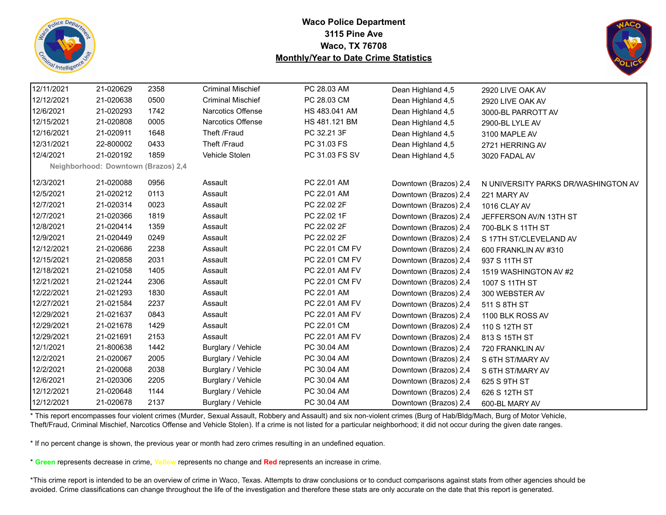



| 12/11/2021<br>21-020629<br>2358<br><b>Criminal Mischief</b><br>PC 28.03 AM<br>Dean Highland 4,5<br>2920 LIVE OAK AV<br><b>Criminal Mischief</b><br>12/12/2021<br>21-020638<br>0500<br>PC 28.03 CM<br>Dean Highland 4,5<br>2920 LIVE OAK AV<br>12/6/2021<br>21-020293<br><b>Narcotics Offense</b><br>1742<br>HS 483.041 AM<br>Dean Highland 4,5<br>3000-BL PARROTT AV<br>12/15/2021<br>21-020808<br>0005<br><b>Narcotics Offense</b><br>HS 481.121 BM<br>Dean Highland 4,5<br>2900-BL LYLE AV<br>12/16/2021<br>1648<br>PC 32.21 3F<br>21-020911<br>Theft /Fraud<br>Dean Highland 4,5<br>3100 MAPLE AV<br>Theft /Fraud<br>12/31/2021<br>22-800002<br>0433<br>PC 31.03 FS<br>Dean Highland 4,5<br>2721 HERRING AV<br>Vehicle Stolen<br>12/4/2021<br>21-020192<br>1859<br>PC 31.03 FS SV<br>Dean Highland 4,5<br>3020 FADAL AV<br>Neighborhood: Downtown (Brazos) 2,4<br>PC 22.01 AM<br>12/3/2021<br>21-020088<br>0956<br>Assault<br>Downtown (Brazos) 2,4<br>12/5/2021<br>PC 22.01 AM<br>21-020212<br>0113<br>Assault<br>Downtown (Brazos) 2,4<br>221 MARY AV<br>12/7/2021<br>21-020314<br>0023<br>PC 22.02 2F<br>Assault<br>Downtown (Brazos) 2,4<br>1016 CLAY AV<br>12/7/2021<br>21-020366<br>1819<br>PC 22.02 1F<br>Assault<br>Downtown (Brazos) 2,4<br>12/8/2021<br>21-020414<br>1359<br>PC 22.02 2F<br>Assault<br>Downtown (Brazos) 2,4<br>700-BLK S 11TH ST<br>12/9/2021<br>21-020449<br>0249<br>PC 22.02 2F<br>Assault<br>Downtown (Brazos) 2,4<br>12/12/2021<br>21-020686<br>PC 22.01 CM FV<br>2238<br>Assault<br>Downtown (Brazos) 2,4<br>12/15/2021<br>PC 22.01 CM FV<br>21-020858<br>2031<br>Assault<br>Downtown (Brazos) 2,4<br>937 S 11TH ST<br>12/18/2021<br>21-021058<br>1405<br>Assault<br>PC 22.01 AM FV<br>Downtown (Brazos) 2,4<br>12/21/2021<br>21-021244<br>2306<br>Assault<br>PC 22.01 CM FV<br>Downtown (Brazos) 2,4<br>1007 S 11TH ST<br>12/22/2021<br>21-021293<br>1830<br>PC 22.01 AM<br>Assault<br>Downtown (Brazos) 2,4<br>300 WEBSTER AV<br>12/27/2021<br>21-021584<br>PC 22.01 AM FV<br>2237<br>Assault<br>Downtown (Brazos) 2,4<br>511 S 8TH ST<br>12/29/2021<br>21-021637<br>0843<br>PC 22.01 AM FV<br>Assault<br>Downtown (Brazos) 2,4<br>1100 BLK ROSS AV<br>12/29/2021<br>1429<br>PC 22.01 CM<br>21-021678<br>Assault<br>Downtown (Brazos) 2,4<br>110 S 12TH ST<br>12/29/2021<br>21-021691<br>2153<br>PC 22.01 AM FV<br>Assault<br>Downtown (Brazos) 2,4<br>813 S 15TH ST<br>12/1/2021<br>PC 30.04 AM<br>21-800638<br>1442<br>Burglary / Vehicle<br>Downtown (Brazos) 2,4<br>720 FRANKLIN AV<br>12/2/2021<br>21-020067<br>2005<br>Burglary / Vehicle<br>PC 30.04 AM<br>Downtown (Brazos) 2,4<br>S 6TH ST/MARY AV<br>12/2/2021<br>21-020068<br>2038<br>Burglary / Vehicle<br>PC 30.04 AM<br>Downtown (Brazos) 2,4<br>S 6TH ST/MARY AV<br>12/6/2021<br>21-020306<br>2205<br>Burglary / Vehicle<br>PC 30.04 AM<br>Downtown (Brazos) 2,4<br>625 S 9TH ST<br>12/12/2021<br>21-020648<br>1144<br>Burglary / Vehicle<br>PC 30.04 AM<br>Downtown (Brazos) 2,4<br>626 S 12TH ST |                                     |
|--------------------------------------------------------------------------------------------------------------------------------------------------------------------------------------------------------------------------------------------------------------------------------------------------------------------------------------------------------------------------------------------------------------------------------------------------------------------------------------------------------------------------------------------------------------------------------------------------------------------------------------------------------------------------------------------------------------------------------------------------------------------------------------------------------------------------------------------------------------------------------------------------------------------------------------------------------------------------------------------------------------------------------------------------------------------------------------------------------------------------------------------------------------------------------------------------------------------------------------------------------------------------------------------------------------------------------------------------------------------------------------------------------------------------------------------------------------------------------------------------------------------------------------------------------------------------------------------------------------------------------------------------------------------------------------------------------------------------------------------------------------------------------------------------------------------------------------------------------------------------------------------------------------------------------------------------------------------------------------------------------------------------------------------------------------------------------------------------------------------------------------------------------------------------------------------------------------------------------------------------------------------------------------------------------------------------------------------------------------------------------------------------------------------------------------------------------------------------------------------------------------------------------------------------------------------------------------------------------------------------------------------------------------------------------------------------------------------------------------------------------------------------------------------------------------------------------------------------------------------------------------------------------------------------------------------------------------------------------------------------------|-------------------------------------|
|                                                                                                                                                                                                                                                                                                                                                                                                                                                                                                                                                                                                                                                                                                                                                                                                                                                                                                                                                                                                                                                                                                                                                                                                                                                                                                                                                                                                                                                                                                                                                                                                                                                                                                                                                                                                                                                                                                                                                                                                                                                                                                                                                                                                                                                                                                                                                                                                                                                                                                                                                                                                                                                                                                                                                                                                                                                                                                                                                                                                        |                                     |
|                                                                                                                                                                                                                                                                                                                                                                                                                                                                                                                                                                                                                                                                                                                                                                                                                                                                                                                                                                                                                                                                                                                                                                                                                                                                                                                                                                                                                                                                                                                                                                                                                                                                                                                                                                                                                                                                                                                                                                                                                                                                                                                                                                                                                                                                                                                                                                                                                                                                                                                                                                                                                                                                                                                                                                                                                                                                                                                                                                                                        |                                     |
|                                                                                                                                                                                                                                                                                                                                                                                                                                                                                                                                                                                                                                                                                                                                                                                                                                                                                                                                                                                                                                                                                                                                                                                                                                                                                                                                                                                                                                                                                                                                                                                                                                                                                                                                                                                                                                                                                                                                                                                                                                                                                                                                                                                                                                                                                                                                                                                                                                                                                                                                                                                                                                                                                                                                                                                                                                                                                                                                                                                                        |                                     |
|                                                                                                                                                                                                                                                                                                                                                                                                                                                                                                                                                                                                                                                                                                                                                                                                                                                                                                                                                                                                                                                                                                                                                                                                                                                                                                                                                                                                                                                                                                                                                                                                                                                                                                                                                                                                                                                                                                                                                                                                                                                                                                                                                                                                                                                                                                                                                                                                                                                                                                                                                                                                                                                                                                                                                                                                                                                                                                                                                                                                        |                                     |
|                                                                                                                                                                                                                                                                                                                                                                                                                                                                                                                                                                                                                                                                                                                                                                                                                                                                                                                                                                                                                                                                                                                                                                                                                                                                                                                                                                                                                                                                                                                                                                                                                                                                                                                                                                                                                                                                                                                                                                                                                                                                                                                                                                                                                                                                                                                                                                                                                                                                                                                                                                                                                                                                                                                                                                                                                                                                                                                                                                                                        |                                     |
|                                                                                                                                                                                                                                                                                                                                                                                                                                                                                                                                                                                                                                                                                                                                                                                                                                                                                                                                                                                                                                                                                                                                                                                                                                                                                                                                                                                                                                                                                                                                                                                                                                                                                                                                                                                                                                                                                                                                                                                                                                                                                                                                                                                                                                                                                                                                                                                                                                                                                                                                                                                                                                                                                                                                                                                                                                                                                                                                                                                                        |                                     |
|                                                                                                                                                                                                                                                                                                                                                                                                                                                                                                                                                                                                                                                                                                                                                                                                                                                                                                                                                                                                                                                                                                                                                                                                                                                                                                                                                                                                                                                                                                                                                                                                                                                                                                                                                                                                                                                                                                                                                                                                                                                                                                                                                                                                                                                                                                                                                                                                                                                                                                                                                                                                                                                                                                                                                                                                                                                                                                                                                                                                        |                                     |
|                                                                                                                                                                                                                                                                                                                                                                                                                                                                                                                                                                                                                                                                                                                                                                                                                                                                                                                                                                                                                                                                                                                                                                                                                                                                                                                                                                                                                                                                                                                                                                                                                                                                                                                                                                                                                                                                                                                                                                                                                                                                                                                                                                                                                                                                                                                                                                                                                                                                                                                                                                                                                                                                                                                                                                                                                                                                                                                                                                                                        |                                     |
|                                                                                                                                                                                                                                                                                                                                                                                                                                                                                                                                                                                                                                                                                                                                                                                                                                                                                                                                                                                                                                                                                                                                                                                                                                                                                                                                                                                                                                                                                                                                                                                                                                                                                                                                                                                                                                                                                                                                                                                                                                                                                                                                                                                                                                                                                                                                                                                                                                                                                                                                                                                                                                                                                                                                                                                                                                                                                                                                                                                                        | N UNIVERSITY PARKS DR/WASHINGTON AV |
|                                                                                                                                                                                                                                                                                                                                                                                                                                                                                                                                                                                                                                                                                                                                                                                                                                                                                                                                                                                                                                                                                                                                                                                                                                                                                                                                                                                                                                                                                                                                                                                                                                                                                                                                                                                                                                                                                                                                                                                                                                                                                                                                                                                                                                                                                                                                                                                                                                                                                                                                                                                                                                                                                                                                                                                                                                                                                                                                                                                                        |                                     |
|                                                                                                                                                                                                                                                                                                                                                                                                                                                                                                                                                                                                                                                                                                                                                                                                                                                                                                                                                                                                                                                                                                                                                                                                                                                                                                                                                                                                                                                                                                                                                                                                                                                                                                                                                                                                                                                                                                                                                                                                                                                                                                                                                                                                                                                                                                                                                                                                                                                                                                                                                                                                                                                                                                                                                                                                                                                                                                                                                                                                        |                                     |
|                                                                                                                                                                                                                                                                                                                                                                                                                                                                                                                                                                                                                                                                                                                                                                                                                                                                                                                                                                                                                                                                                                                                                                                                                                                                                                                                                                                                                                                                                                                                                                                                                                                                                                                                                                                                                                                                                                                                                                                                                                                                                                                                                                                                                                                                                                                                                                                                                                                                                                                                                                                                                                                                                                                                                                                                                                                                                                                                                                                                        | JEFFERSON AV/N 13TH ST              |
|                                                                                                                                                                                                                                                                                                                                                                                                                                                                                                                                                                                                                                                                                                                                                                                                                                                                                                                                                                                                                                                                                                                                                                                                                                                                                                                                                                                                                                                                                                                                                                                                                                                                                                                                                                                                                                                                                                                                                                                                                                                                                                                                                                                                                                                                                                                                                                                                                                                                                                                                                                                                                                                                                                                                                                                                                                                                                                                                                                                                        |                                     |
|                                                                                                                                                                                                                                                                                                                                                                                                                                                                                                                                                                                                                                                                                                                                                                                                                                                                                                                                                                                                                                                                                                                                                                                                                                                                                                                                                                                                                                                                                                                                                                                                                                                                                                                                                                                                                                                                                                                                                                                                                                                                                                                                                                                                                                                                                                                                                                                                                                                                                                                                                                                                                                                                                                                                                                                                                                                                                                                                                                                                        | S 17TH ST/CLEVELAND AV              |
|                                                                                                                                                                                                                                                                                                                                                                                                                                                                                                                                                                                                                                                                                                                                                                                                                                                                                                                                                                                                                                                                                                                                                                                                                                                                                                                                                                                                                                                                                                                                                                                                                                                                                                                                                                                                                                                                                                                                                                                                                                                                                                                                                                                                                                                                                                                                                                                                                                                                                                                                                                                                                                                                                                                                                                                                                                                                                                                                                                                                        | 600 FRANKLIN AV #310                |
|                                                                                                                                                                                                                                                                                                                                                                                                                                                                                                                                                                                                                                                                                                                                                                                                                                                                                                                                                                                                                                                                                                                                                                                                                                                                                                                                                                                                                                                                                                                                                                                                                                                                                                                                                                                                                                                                                                                                                                                                                                                                                                                                                                                                                                                                                                                                                                                                                                                                                                                                                                                                                                                                                                                                                                                                                                                                                                                                                                                                        |                                     |
|                                                                                                                                                                                                                                                                                                                                                                                                                                                                                                                                                                                                                                                                                                                                                                                                                                                                                                                                                                                                                                                                                                                                                                                                                                                                                                                                                                                                                                                                                                                                                                                                                                                                                                                                                                                                                                                                                                                                                                                                                                                                                                                                                                                                                                                                                                                                                                                                                                                                                                                                                                                                                                                                                                                                                                                                                                                                                                                                                                                                        | 1519 WASHINGTON AV #2               |
|                                                                                                                                                                                                                                                                                                                                                                                                                                                                                                                                                                                                                                                                                                                                                                                                                                                                                                                                                                                                                                                                                                                                                                                                                                                                                                                                                                                                                                                                                                                                                                                                                                                                                                                                                                                                                                                                                                                                                                                                                                                                                                                                                                                                                                                                                                                                                                                                                                                                                                                                                                                                                                                                                                                                                                                                                                                                                                                                                                                                        |                                     |
|                                                                                                                                                                                                                                                                                                                                                                                                                                                                                                                                                                                                                                                                                                                                                                                                                                                                                                                                                                                                                                                                                                                                                                                                                                                                                                                                                                                                                                                                                                                                                                                                                                                                                                                                                                                                                                                                                                                                                                                                                                                                                                                                                                                                                                                                                                                                                                                                                                                                                                                                                                                                                                                                                                                                                                                                                                                                                                                                                                                                        |                                     |
|                                                                                                                                                                                                                                                                                                                                                                                                                                                                                                                                                                                                                                                                                                                                                                                                                                                                                                                                                                                                                                                                                                                                                                                                                                                                                                                                                                                                                                                                                                                                                                                                                                                                                                                                                                                                                                                                                                                                                                                                                                                                                                                                                                                                                                                                                                                                                                                                                                                                                                                                                                                                                                                                                                                                                                                                                                                                                                                                                                                                        |                                     |
|                                                                                                                                                                                                                                                                                                                                                                                                                                                                                                                                                                                                                                                                                                                                                                                                                                                                                                                                                                                                                                                                                                                                                                                                                                                                                                                                                                                                                                                                                                                                                                                                                                                                                                                                                                                                                                                                                                                                                                                                                                                                                                                                                                                                                                                                                                                                                                                                                                                                                                                                                                                                                                                                                                                                                                                                                                                                                                                                                                                                        |                                     |
|                                                                                                                                                                                                                                                                                                                                                                                                                                                                                                                                                                                                                                                                                                                                                                                                                                                                                                                                                                                                                                                                                                                                                                                                                                                                                                                                                                                                                                                                                                                                                                                                                                                                                                                                                                                                                                                                                                                                                                                                                                                                                                                                                                                                                                                                                                                                                                                                                                                                                                                                                                                                                                                                                                                                                                                                                                                                                                                                                                                                        |                                     |
|                                                                                                                                                                                                                                                                                                                                                                                                                                                                                                                                                                                                                                                                                                                                                                                                                                                                                                                                                                                                                                                                                                                                                                                                                                                                                                                                                                                                                                                                                                                                                                                                                                                                                                                                                                                                                                                                                                                                                                                                                                                                                                                                                                                                                                                                                                                                                                                                                                                                                                                                                                                                                                                                                                                                                                                                                                                                                                                                                                                                        |                                     |
|                                                                                                                                                                                                                                                                                                                                                                                                                                                                                                                                                                                                                                                                                                                                                                                                                                                                                                                                                                                                                                                                                                                                                                                                                                                                                                                                                                                                                                                                                                                                                                                                                                                                                                                                                                                                                                                                                                                                                                                                                                                                                                                                                                                                                                                                                                                                                                                                                                                                                                                                                                                                                                                                                                                                                                                                                                                                                                                                                                                                        |                                     |
|                                                                                                                                                                                                                                                                                                                                                                                                                                                                                                                                                                                                                                                                                                                                                                                                                                                                                                                                                                                                                                                                                                                                                                                                                                                                                                                                                                                                                                                                                                                                                                                                                                                                                                                                                                                                                                                                                                                                                                                                                                                                                                                                                                                                                                                                                                                                                                                                                                                                                                                                                                                                                                                                                                                                                                                                                                                                                                                                                                                                        |                                     |
|                                                                                                                                                                                                                                                                                                                                                                                                                                                                                                                                                                                                                                                                                                                                                                                                                                                                                                                                                                                                                                                                                                                                                                                                                                                                                                                                                                                                                                                                                                                                                                                                                                                                                                                                                                                                                                                                                                                                                                                                                                                                                                                                                                                                                                                                                                                                                                                                                                                                                                                                                                                                                                                                                                                                                                                                                                                                                                                                                                                                        |                                     |
|                                                                                                                                                                                                                                                                                                                                                                                                                                                                                                                                                                                                                                                                                                                                                                                                                                                                                                                                                                                                                                                                                                                                                                                                                                                                                                                                                                                                                                                                                                                                                                                                                                                                                                                                                                                                                                                                                                                                                                                                                                                                                                                                                                                                                                                                                                                                                                                                                                                                                                                                                                                                                                                                                                                                                                                                                                                                                                                                                                                                        |                                     |
|                                                                                                                                                                                                                                                                                                                                                                                                                                                                                                                                                                                                                                                                                                                                                                                                                                                                                                                                                                                                                                                                                                                                                                                                                                                                                                                                                                                                                                                                                                                                                                                                                                                                                                                                                                                                                                                                                                                                                                                                                                                                                                                                                                                                                                                                                                                                                                                                                                                                                                                                                                                                                                                                                                                                                                                                                                                                                                                                                                                                        |                                     |
| 12/12/2021<br>21-020678<br>2137<br>Burglary / Vehicle<br>PC 30.04 AM<br>Downtown (Brazos) 2,4<br>600-BL MARY AV                                                                                                                                                                                                                                                                                                                                                                                                                                                                                                                                                                                                                                                                                                                                                                                                                                                                                                                                                                                                                                                                                                                                                                                                                                                                                                                                                                                                                                                                                                                                                                                                                                                                                                                                                                                                                                                                                                                                                                                                                                                                                                                                                                                                                                                                                                                                                                                                                                                                                                                                                                                                                                                                                                                                                                                                                                                                                        |                                     |

\* This report encompasses four violent crimes (Murder, Sexual Assault, Robbery and Assault) and six non-violent crimes (Burg of Hab/Bldg/Mach, Burg of Motor Vehicle, Theft/Fraud, Criminal Mischief, Narcotics Offense and Vehicle Stolen). If a crime is not listed for a particular neighborhood; it did not occur during the given date ranges.

\* If no percent change is shown, the previous year or month had zero crimes resulting in an undefined equation.

\* **Green** represents decrease in crime, **Yellow** represents no change and **Red** represents an increase in crime.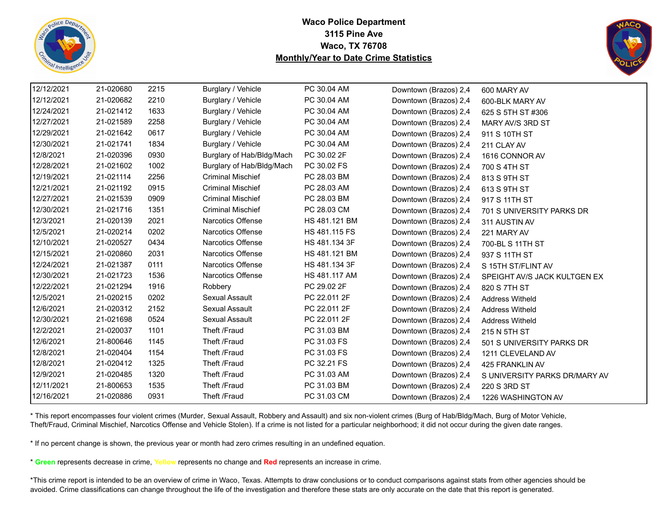



| 12/12/2021 | 21-020680 | 2215 | Burglary / Vehicle        | PC 30.04 AM   | Downtown (Brazos) 2,4 | 600 MARY AV                   |
|------------|-----------|------|---------------------------|---------------|-----------------------|-------------------------------|
| 12/12/2021 | 21-020682 | 2210 | Burglary / Vehicle        | PC 30.04 AM   | Downtown (Brazos) 2,4 | 600-BLK MARY AV               |
| 12/24/2021 | 21-021412 | 1633 | Burglary / Vehicle        | PC 30.04 AM   | Downtown (Brazos) 2,4 | 625 S 5TH ST #306             |
| 12/27/2021 | 21-021589 | 2258 | Burglary / Vehicle        | PC 30.04 AM   | Downtown (Brazos) 2,4 | MARY AV/S 3RD ST              |
| 12/29/2021 | 21-021642 | 0617 | Burglary / Vehicle        | PC 30.04 AM   | Downtown (Brazos) 2,4 | 911 S 10TH ST                 |
| 12/30/2021 | 21-021741 | 1834 | Burglary / Vehicle        | PC 30.04 AM   | Downtown (Brazos) 2,4 | 211 CLAY AV                   |
| 12/8/2021  | 21-020396 | 0930 | Burglary of Hab/Bldg/Mach | PC 30.02 2F   | Downtown (Brazos) 2,4 | 1616 CONNOR AV                |
| 12/28/2021 | 21-021602 | 1002 | Burglary of Hab/Bldg/Mach | PC 30.02 FS   | Downtown (Brazos) 2,4 | 700 S 4TH ST                  |
| 12/19/2021 | 21-021114 | 2256 | <b>Criminal Mischief</b>  | PC 28.03 BM   | Downtown (Brazos) 2,4 | 813 S 9TH ST                  |
| 12/21/2021 | 21-021192 | 0915 | <b>Criminal Mischief</b>  | PC 28.03 AM   | Downtown (Brazos) 2,4 | 613 S 9TH ST                  |
| 12/27/2021 | 21-021539 | 0909 | <b>Criminal Mischief</b>  | PC 28.03 BM   | Downtown (Brazos) 2,4 | 917 S 11TH ST                 |
| 12/30/2021 | 21-021716 | 1351 | <b>Criminal Mischief</b>  | PC 28.03 CM   | Downtown (Brazos) 2,4 | 701 S UNIVERSITY PARKS DR     |
| 12/3/2021  | 21-020139 | 2021 | <b>Narcotics Offense</b>  | HS 481.121 BM | Downtown (Brazos) 2,4 | 311 AUSTIN AV                 |
| 12/5/2021  | 21-020214 | 0202 | <b>Narcotics Offense</b>  | HS 481.115 FS | Downtown (Brazos) 2,4 | 221 MARY AV                   |
| 12/10/2021 | 21-020527 | 0434 | <b>Narcotics Offense</b>  | HS 481.134 3F | Downtown (Brazos) 2,4 | 700-BL S 11TH ST              |
| 12/15/2021 | 21-020860 | 2031 | Narcotics Offense         | HS 481.121 BM | Downtown (Brazos) 2,4 | 937 S 11TH ST                 |
| 12/24/2021 | 21-021387 | 0111 | Narcotics Offense         | HS 481.134 3F | Downtown (Brazos) 2,4 | S 15TH ST/FLINT AV            |
| 12/30/2021 | 21-021723 | 1536 | <b>Narcotics Offense</b>  | HS 481.117 AM | Downtown (Brazos) 2,4 | SPEIGHT AV/S JACK KULTGEN EX  |
| 12/22/2021 | 21-021294 | 1916 | Robbery                   | PC 29.02 2F   | Downtown (Brazos) 2,4 | 820 S 7TH ST                  |
| 12/5/2021  | 21-020215 | 0202 | Sexual Assault            | PC 22.011 2F  | Downtown (Brazos) 2,4 | <b>Address Witheld</b>        |
| 12/6/2021  | 21-020312 | 2152 | Sexual Assault            | PC 22.011 2F  | Downtown (Brazos) 2,4 | <b>Address Witheld</b>        |
| 12/30/2021 | 21-021698 | 0524 | Sexual Assault            | PC 22.011 2F  | Downtown (Brazos) 2,4 | <b>Address Witheld</b>        |
| 12/2/2021  | 21-020037 | 1101 | Theft /Fraud              | PC 31.03 BM   | Downtown (Brazos) 2,4 | 215 N 5TH ST                  |
| 12/6/2021  | 21-800646 | 1145 | Theft /Fraud              | PC 31.03 FS   | Downtown (Brazos) 2,4 | 501 S UNIVERSITY PARKS DR     |
| 12/8/2021  | 21-020404 | 1154 | Theft /Fraud              | PC 31.03 FS   | Downtown (Brazos) 2,4 | 1211 CLEVELAND AV             |
| 12/8/2021  | 21-020412 | 1325 | Theft /Fraud              | PC 32.21 FS   | Downtown (Brazos) 2,4 | 425 FRANKLIN AV               |
| 12/9/2021  | 21-020485 | 1320 | Theft /Fraud              | PC 31.03 AM   | Downtown (Brazos) 2,4 | S UNIVERSITY PARKS DR/MARY AV |
| 12/11/2021 | 21-800653 | 1535 | Theft /Fraud              | PC 31.03 BM   | Downtown (Brazos) 2,4 | 220 S 3RD ST                  |
| 12/16/2021 | 21-020886 | 0931 | Theft /Fraud              | PC 31.03 CM   | Downtown (Brazos) 2,4 | 1226 WASHINGTON AV            |

\* This report encompasses four violent crimes (Murder, Sexual Assault, Robbery and Assault) and six non-violent crimes (Burg of Hab/Bldg/Mach, Burg of Motor Vehicle, Theft/Fraud, Criminal Mischief, Narcotics Offense and Vehicle Stolen). If a crime is not listed for a particular neighborhood; it did not occur during the given date ranges.

\* If no percent change is shown, the previous year or month had zero crimes resulting in an undefined equation.

\* **Green** represents decrease in crime, **Yellow** represents no change and **Red** represents an increase in crime.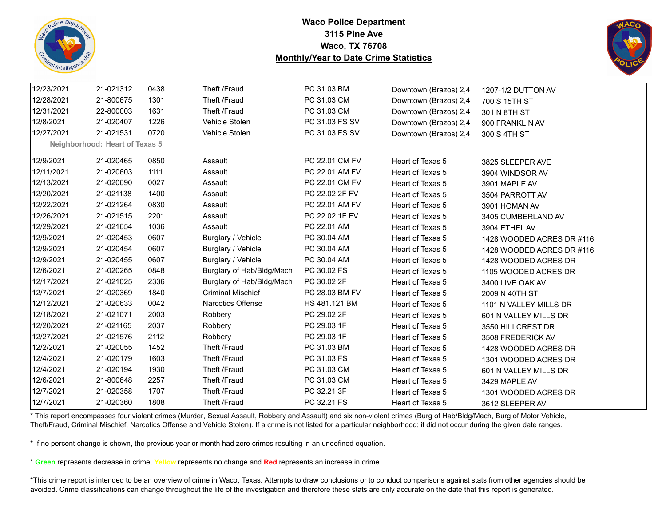



| 12/23/2021 | 21-021312                      | 0438 | Theft /Fraud              | PC 31.03 BM    | Downtown (Brazos) 2,4 | 1207-1/2 DUTTON AV        |
|------------|--------------------------------|------|---------------------------|----------------|-----------------------|---------------------------|
| 12/28/2021 | 21-800675                      | 1301 | Theft /Fraud              | PC 31.03 CM    | Downtown (Brazos) 2,4 | 700 S 15TH ST             |
| 12/31/2021 | 22-800003                      | 1631 | Theft /Fraud              | PC 31.03 CM    | Downtown (Brazos) 2,4 | 301 N 8TH ST              |
| 12/8/2021  | 21-020407                      | 1226 | Vehicle Stolen            | PC 31.03 FS SV | Downtown (Brazos) 2,4 | 900 FRANKLIN AV           |
| 12/27/2021 | 21-021531                      | 0720 | Vehicle Stolen            | PC 31.03 FS SV | Downtown (Brazos) 2,4 | 300 S 4TH ST              |
|            | Neighborhood: Heart of Texas 5 |      |                           |                |                       |                           |
| 12/9/2021  | 21-020465                      | 0850 | Assault                   | PC 22.01 CM FV | Heart of Texas 5      | 3825 SLEEPER AVE          |
| 12/11/2021 | 21-020603                      | 1111 | Assault                   | PC 22.01 AM FV | Heart of Texas 5      | 3904 WINDSOR AV           |
| 12/13/2021 | 21-020690                      | 0027 | Assault                   | PC 22.01 CM FV | Heart of Texas 5      | 3901 MAPLE AV             |
| 12/20/2021 | 21-021138                      | 1400 | Assault                   | PC 22.02 2F FV | Heart of Texas 5      | 3504 PARROTT AV           |
| 12/22/2021 | 21-021264                      | 0830 | Assault                   | PC 22.01 AM FV | Heart of Texas 5      | 3901 HOMAN AV             |
| 12/26/2021 | 21-021515                      | 2201 | Assault                   | PC 22.02 1F FV | Heart of Texas 5      | 3405 CUMBERLAND AV        |
| 12/29/2021 | 21-021654                      | 1036 | Assault                   | PC 22.01 AM    | Heart of Texas 5      | 3904 ETHEL AV             |
| 12/9/2021  | 21-020453                      | 0607 | Burglary / Vehicle        | PC 30.04 AM    | Heart of Texas 5      | 1428 WOODED ACRES DR #116 |
| 12/9/2021  | 21-020454                      | 0607 | Burglary / Vehicle        | PC 30.04 AM    | Heart of Texas 5      | 1428 WOODED ACRES DR #116 |
| 12/9/2021  | 21-020455                      | 0607 | Burglary / Vehicle        | PC 30.04 AM    | Heart of Texas 5      | 1428 WOODED ACRES DR      |
| 12/6/2021  | 21-020265                      | 0848 | Burglary of Hab/Bldg/Mach | PC 30.02 FS    | Heart of Texas 5      | 1105 WOODED ACRES DR      |
| 12/17/2021 | 21-021025                      | 2336 | Burglary of Hab/Bldg/Mach | PC 30.02 2F    | Heart of Texas 5      | 3400 LIVE OAK AV          |
| 12/7/2021  | 21-020369                      | 1840 | <b>Criminal Mischief</b>  | PC 28.03 BM FV | Heart of Texas 5      | 2009 N 40TH ST            |
| 12/12/2021 | 21-020633                      | 0042 | <b>Narcotics Offense</b>  | HS 481.121 BM  | Heart of Texas 5      | 1101 N VALLEY MILLS DR    |
| 12/18/2021 | 21-021071                      | 2003 | Robbery                   | PC 29.02 2F    | Heart of Texas 5      | 601 N VALLEY MILLS DR     |
| 12/20/2021 | 21-021165                      | 2037 | Robbery                   | PC 29.03 1F    | Heart of Texas 5      | 3550 HILLCREST DR         |
| 12/27/2021 | 21-021576                      | 2112 | Robbery                   | PC 29.03 1F    | Heart of Texas 5      | 3508 FREDERICK AV         |
| 12/2/2021  | 21-020055                      | 1452 | Theft /Fraud              | PC 31.03 BM    | Heart of Texas 5      | 1428 WOODED ACRES DR      |
| 12/4/2021  | 21-020179                      | 1603 | Theft /Fraud              | PC 31.03 FS    | Heart of Texas 5      | 1301 WOODED ACRES DR      |
| 12/4/2021  | 21-020194                      | 1930 | Theft /Fraud              | PC 31.03 CM    | Heart of Texas 5      | 601 N VALLEY MILLS DR     |
| 12/6/2021  | 21-800648                      | 2257 | Theft /Fraud              | PC 31.03 CM    | Heart of Texas 5      | 3429 MAPLE AV             |
| 12/7/2021  | 21-020358                      | 1707 | Theft /Fraud              | PC 32.21 3F    | Heart of Texas 5      | 1301 WOODED ACRES DR      |
| 12/7/2021  | 21-020360                      | 1808 | Theft /Fraud              | PC 32.21 FS    | Heart of Texas 5      | 3612 SLEEPER AV           |

\* This report encompasses four violent crimes (Murder, Sexual Assault, Robbery and Assault) and six non-violent crimes (Burg of Hab/Bldg/Mach, Burg of Motor Vehicle, Theft/Fraud, Criminal Mischief, Narcotics Offense and Vehicle Stolen). If a crime is not listed for a particular neighborhood; it did not occur during the given date ranges.

\* If no percent change is shown, the previous year or month had zero crimes resulting in an undefined equation.

\* **Green** represents decrease in crime, **Yellow** represents no change and **Red** represents an increase in crime.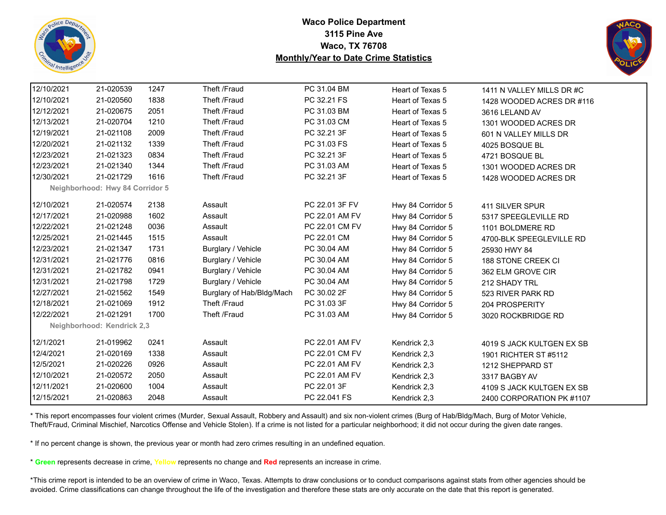



| 12/10/2021 | 21-020539                       | 1247 | Theft /Fraud              | PC 31.04 BM    | Heart of Texas 5  | 1411 N VALLEY MILLS DR #C |
|------------|---------------------------------|------|---------------------------|----------------|-------------------|---------------------------|
| 12/10/2021 | 21-020560                       | 1838 | Theft /Fraud              | PC 32.21 FS    | Heart of Texas 5  | 1428 WOODED ACRES DR #116 |
| 12/12/2021 | 21-020675                       | 2051 | Theft /Fraud              | PC 31.03 BM    | Heart of Texas 5  | 3616 LELAND AV            |
| 12/13/2021 | 21-020704                       | 1210 | Theft /Fraud              | PC 31.03 CM    | Heart of Texas 5  | 1301 WOODED ACRES DR      |
| 12/19/2021 | 21-021108                       | 2009 | Theft /Fraud              | PC 32.21 3F    | Heart of Texas 5  | 601 N VALLEY MILLS DR     |
| 12/20/2021 | 21-021132                       | 1339 | Theft /Fraud              | PC 31.03 FS    | Heart of Texas 5  | 4025 BOSQUE BL            |
| 12/23/2021 | 21-021323                       | 0834 | Theft /Fraud              | PC 32.21 3F    | Heart of Texas 5  | 4721 BOSQUE BL            |
| 12/23/2021 | 21-021340                       | 1344 | Theft /Fraud              | PC 31.03 AM    | Heart of Texas 5  | 1301 WOODED ACRES DR      |
| 12/30/2021 | 21-021729                       | 1616 | Theft /Fraud              | PC 32.21 3F    | Heart of Texas 5  | 1428 WOODED ACRES DR      |
|            | Neighborhood: Hwy 84 Corridor 5 |      |                           |                |                   |                           |
| 12/10/2021 | 21-020574                       | 2138 | Assault                   | PC 22.01 3F FV | Hwy 84 Corridor 5 | 411 SILVER SPUR           |
| 12/17/2021 | 21-020988                       | 1602 | Assault                   | PC 22.01 AM FV | Hwy 84 Corridor 5 | 5317 SPEEGLEVILLE RD      |
| 12/22/2021 | 21-021248                       | 0036 | Assault                   | PC 22.01 CM FV | Hwy 84 Corridor 5 | 1101 BOLDMERE RD          |
| 12/25/2021 | 21-021445                       | 1515 | Assault                   | PC 22.01 CM    | Hwy 84 Corridor 5 | 4700-BLK SPEEGLEVILLE RD  |
| 12/23/2021 | 21-021347                       | 1731 | Burglary / Vehicle        | PC 30.04 AM    | Hwy 84 Corridor 5 | 25930 HWY 84              |
| 12/31/2021 | 21-021776                       | 0816 | Burglary / Vehicle        | PC 30.04 AM    | Hwy 84 Corridor 5 | 188 STONE CREEK CI        |
| 12/31/2021 | 21-021782                       | 0941 | Burglary / Vehicle        | PC 30.04 AM    | Hwy 84 Corridor 5 | 362 ELM GROVE CIR         |
| 12/31/2021 | 21-021798                       | 1729 | Burglary / Vehicle        | PC 30.04 AM    | Hwy 84 Corridor 5 | 212 SHADY TRL             |
| 12/27/2021 | 21-021562                       | 1549 | Burglary of Hab/Bldg/Mach | PC 30.02 2F    | Hwy 84 Corridor 5 | 523 RIVER PARK RD         |
| 12/18/2021 | 21-021069                       | 1912 | Theft /Fraud              | PC 31.03 3F    | Hwy 84 Corridor 5 | 204 PROSPERITY            |
| 12/22/2021 | 21-021291                       | 1700 | Theft /Fraud              | PC 31.03 AM    | Hwy 84 Corridor 5 | 3020 ROCKBRIDGE RD        |
|            | Neighborhood: Kendrick 2,3      |      |                           |                |                   |                           |
| 12/1/2021  | 21-019962                       | 0241 | Assault                   | PC 22.01 AM FV | Kendrick 2,3      | 4019 S JACK KULTGEN EX SB |
| 12/4/2021  | 21-020169                       | 1338 | Assault                   | PC 22.01 CM FV | Kendrick 2,3      | 1901 RICHTER ST #5112     |
| 12/5/2021  | 21-020226                       | 0926 | Assault                   | PC 22.01 AM FV | Kendrick 2,3      | 1212 SHEPPARD ST          |
| 12/10/2021 | 21-020572                       | 2050 | Assault                   | PC 22.01 AM FV | Kendrick 2,3      | 3317 BAGBY AV             |
| 12/11/2021 | 21-020600                       | 1004 | Assault                   | PC 22.01 3F    | Kendrick 2,3      | 4109 S JACK KULTGEN EX SB |
| 12/15/2021 | 21-020863                       | 2048 | Assault                   | PC 22.041 FS   | Kendrick 2,3      | 2400 CORPORATION PK #1107 |
|            |                                 |      |                           |                |                   |                           |

\* This report encompasses four violent crimes (Murder, Sexual Assault, Robbery and Assault) and six non-violent crimes (Burg of Hab/Bldg/Mach, Burg of Motor Vehicle, Theft/Fraud, Criminal Mischief, Narcotics Offense and Vehicle Stolen). If a crime is not listed for a particular neighborhood; it did not occur during the given date ranges.

\* If no percent change is shown, the previous year or month had zero crimes resulting in an undefined equation.

\* **Green** represents decrease in crime, **Yellow** represents no change and **Red** represents an increase in crime.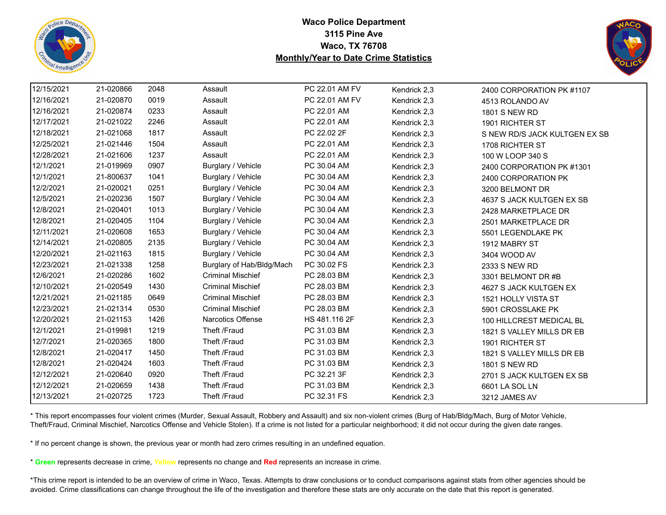



| 12/15/2021 | 21-020866 | 2048 | Assault                   | PC 22.01 AM FV | Kendrick 2,3 | 2400 CORPORATION PK #1107     |
|------------|-----------|------|---------------------------|----------------|--------------|-------------------------------|
| 12/16/2021 | 21-020870 | 0019 | Assault                   | PC 22.01 AM FV | Kendrick 2,3 | 4513 ROLANDO AV               |
| 12/16/2021 | 21-020874 | 0233 | Assault                   | PC 22.01 AM    | Kendrick 2,3 | 1801 S NEW RD                 |
| 12/17/2021 | 21-021022 | 2246 | Assault                   | PC 22.01 AM    | Kendrick 2,3 | 1901 RICHTER ST               |
| 12/18/2021 | 21-021068 | 1817 | Assault                   | PC 22.02 2F    | Kendrick 2,3 | S NEW RD/S JACK KULTGEN EX SB |
| 12/25/2021 | 21-021446 | 1504 | Assault                   | PC 22.01 AM    | Kendrick 2,3 | 1708 RICHTER ST               |
| 12/28/2021 | 21-021606 | 1237 | Assault                   | PC 22.01 AM    | Kendrick 2,3 | 100 W LOOP 340 S              |
| 12/1/2021  | 21-019969 | 0907 | Burglary / Vehicle        | PC 30.04 AM    | Kendrick 2,3 | 2400 CORPORATION PK #1301     |
| 12/1/2021  | 21-800637 | 1041 | Burglary / Vehicle        | PC 30.04 AM    | Kendrick 2,3 | 2400 CORPORATION PK           |
| 12/2/2021  | 21-020021 | 0251 | Burglary / Vehicle        | PC 30.04 AM    | Kendrick 2,3 | 3200 BELMONT DR               |
| 12/5/2021  | 21-020236 | 1507 | Burglary / Vehicle        | PC 30.04 AM    | Kendrick 2,3 | 4637 S JACK KULTGEN EX SB     |
| 12/8/2021  | 21-020401 | 1013 | Burglary / Vehicle        | PC 30.04 AM    | Kendrick 2,3 | 2428 MARKETPLACE DR           |
| 12/8/2021  | 21-020405 | 1104 | Burglary / Vehicle        | PC 30.04 AM    | Kendrick 2,3 | 2501 MARKETPLACE DR           |
| 12/11/2021 | 21-020608 | 1653 | Burglary / Vehicle        | PC 30.04 AM    | Kendrick 2,3 | 5501 LEGENDLAKE PK            |
| 12/14/2021 | 21-020805 | 2135 | Burglary / Vehicle        | PC 30.04 AM    | Kendrick 2,3 | 1912 MABRY ST                 |
| 12/20/2021 | 21-021163 | 1815 | Burglary / Vehicle        | PC 30.04 AM    | Kendrick 2,3 | 3404 WOOD AV                  |
| 12/23/2021 | 21-021338 | 1258 | Burglary of Hab/Bldg/Mach | PC 30.02 FS    | Kendrick 2,3 | 2333 S NEW RD                 |
| 12/6/2021  | 21-020286 | 1602 | <b>Criminal Mischief</b>  | PC 28.03 BM    | Kendrick 2,3 | 3301 BELMONT DR #B            |
| 12/10/2021 | 21-020549 | 1430 | <b>Criminal Mischief</b>  | PC 28.03 BM    | Kendrick 2,3 | 4627 S JACK KULTGEN EX        |
| 12/21/2021 | 21-021185 | 0649 | <b>Criminal Mischief</b>  | PC 28.03 BM    | Kendrick 2,3 | 1521 HOLLY VISTA ST           |
| 12/23/2021 | 21-021314 | 0530 | <b>Criminal Mischief</b>  | PC 28.03 BM    | Kendrick 2,3 | 5901 CROSSLAKE PK             |
| 12/20/2021 | 21-021153 | 1426 | <b>Narcotics Offense</b>  | HS 481.116 2F  | Kendrick 2,3 | 100 HILLCREST MEDICAL BL      |
| 12/1/2021  | 21-019981 | 1219 | Theft /Fraud              | PC 31.03 BM    | Kendrick 2,3 | 1821 S VALLEY MILLS DR EB     |
| 12/7/2021  | 21-020365 | 1800 | Theft /Fraud              | PC 31.03 BM    | Kendrick 2,3 | 1901 RICHTER ST               |
| 12/8/2021  | 21-020417 | 1450 | Theft /Fraud              | PC 31.03 BM    | Kendrick 2,3 | 1821 S VALLEY MILLS DR EB     |
| 12/8/2021  | 21-020424 | 1603 | Theft /Fraud              | PC 31.03 BM    | Kendrick 2,3 | 1801 S NEW RD                 |
| 12/12/2021 | 21-020640 | 0920 | Theft /Fraud              | PC 32.21 3F    | Kendrick 2,3 | 2701 S JACK KULTGEN EX SB     |
| 12/12/2021 | 21-020659 | 1438 | Theft /Fraud              | PC 31.03 BM    | Kendrick 2,3 | 6601 LA SOL LN                |
| 12/13/2021 | 21-020725 | 1723 | Theft /Fraud              | PC 32.31 FS    | Kendrick 2,3 | 3212 JAMES AV                 |
|            |           |      |                           |                |              |                               |

\* This report encompasses four violent crimes (Murder, Sexual Assault, Robbery and Assault) and six non-violent crimes (Burg of Hab/Bldg/Mach, Burg of Motor Vehicle, Theft/Fraud, Criminal Mischief, Narcotics Offense and Vehicle Stolen). If a crime is not listed for a particular neighborhood; it did not occur during the given date ranges.

\* If no percent change is shown, the previous year or month had zero crimes resulting in an undefined equation.

\* **Green** represents decrease in crime, **Yellow** represents no change and **Red** represents an increase in crime.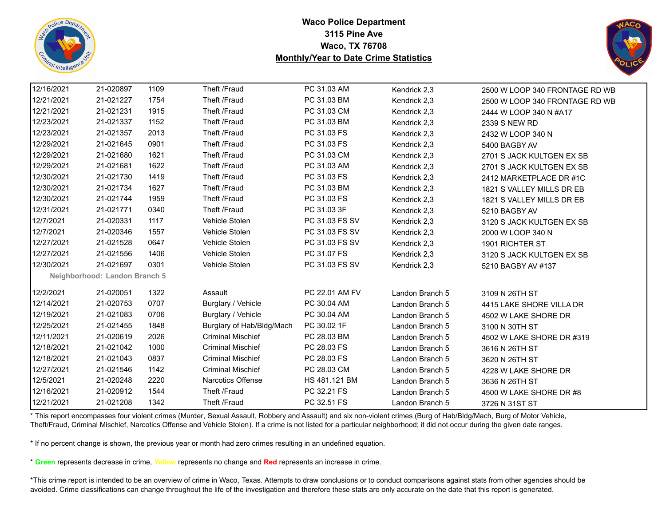



| 12/16/2021 | 21-020897                     | 1109 | Theft /Fraud              | PC 31.03 AM    | Kendrick 2,3    | 2500 W LOOP 340 FRONTAGE RD WB |
|------------|-------------------------------|------|---------------------------|----------------|-----------------|--------------------------------|
| 12/21/2021 | 21-021227                     | 1754 | Theft /Fraud              | PC 31.03 BM    | Kendrick 2,3    | 2500 W LOOP 340 FRONTAGE RD WB |
| 12/21/2021 | 21-021231                     | 1915 | Theft /Fraud              | PC 31.03 CM    | Kendrick 2,3    | 2444 W LOOP 340 N #A17         |
| 12/23/2021 | 21-021337                     | 1152 | Theft /Fraud              | PC 31.03 BM    | Kendrick 2,3    | 2339 S NEW RD                  |
| 12/23/2021 | 21-021357                     | 2013 | Theft /Fraud              | PC 31.03 FS    | Kendrick 2,3    | 2432 W LOOP 340 N              |
| 12/29/2021 | 21-021645                     | 0901 | Theft /Fraud              | PC 31.03 FS    | Kendrick 2,3    | 5400 BAGBY AV                  |
| 12/29/2021 | 21-021680                     | 1621 | Theft /Fraud              | PC 31.03 CM    | Kendrick 2,3    | 2701 S JACK KULTGEN EX SB      |
| 12/29/2021 | 21-021681                     | 1622 | Theft /Fraud              | PC 31.03 AM    | Kendrick 2,3    | 2701 S JACK KULTGEN EX SB      |
| 12/30/2021 | 21-021730                     | 1419 | Theft /Fraud              | PC 31.03 FS    | Kendrick 2,3    | 2412 MARKETPLACE DR #1C        |
| 12/30/2021 | 21-021734                     | 1627 | Theft /Fraud              | PC 31.03 BM    | Kendrick 2,3    | 1821 S VALLEY MILLS DR EB      |
| 12/30/2021 | 21-021744                     | 1959 | Theft /Fraud              | PC 31.03 FS    | Kendrick 2,3    | 1821 S VALLEY MILLS DR EB      |
| 12/31/2021 | 21-021771                     | 0340 | Theft /Fraud              | PC 31.03 3F    | Kendrick 2,3    | 5210 BAGBY AV                  |
| 12/7/2021  | 21-020331                     | 1117 | Vehicle Stolen            | PC 31.03 FS SV | Kendrick 2,3    | 3120 S JACK KULTGEN EX SB      |
| 12/7/2021  | 21-020346                     | 1557 | Vehicle Stolen            | PC 31.03 FS SV | Kendrick 2,3    | 2000 W LOOP 340 N              |
| 12/27/2021 | 21-021528                     | 0647 | Vehicle Stolen            | PC 31.03 FS SV | Kendrick 2,3    | 1901 RICHTER ST                |
| 12/27/2021 | 21-021556                     | 1406 | Vehicle Stolen            | PC 31.07 FS    | Kendrick 2,3    | 3120 S JACK KULTGEN EX SB      |
| 12/30/2021 | 21-021697                     | 0301 | Vehicle Stolen            | PC 31.03 FS SV | Kendrick 2,3    | 5210 BAGBY AV #137             |
|            | Neighborhood: Landon Branch 5 |      |                           |                |                 |                                |
| 12/2/2021  | 21-020051                     | 1322 | Assault                   | PC 22.01 AM FV | Landon Branch 5 | 3109 N 26TH ST                 |
| 12/14/2021 | 21-020753                     | 0707 | Burglary / Vehicle        | PC 30.04 AM    | Landon Branch 5 | 4415 LAKE SHORE VILLA DR       |
| 12/19/2021 | 21-021083                     | 0706 | Burglary / Vehicle        | PC 30.04 AM    | Landon Branch 5 | 4502 W LAKE SHORE DR           |
| 12/25/2021 | 21-021455                     | 1848 | Burglary of Hab/Bldg/Mach | PC 30.02 1F    | Landon Branch 5 | 3100 N 30TH ST                 |
| 12/11/2021 | 21-020619                     | 2026 | <b>Criminal Mischief</b>  | PC 28.03 BM    | Landon Branch 5 | 4502 W LAKE SHORE DR #319      |
| 12/18/2021 | 21-021042                     | 1000 | <b>Criminal Mischief</b>  | PC 28.03 FS    | Landon Branch 5 | 3616 N 26TH ST                 |
| 12/18/2021 | 21-021043                     | 0837 | <b>Criminal Mischief</b>  | PC 28.03 FS    | Landon Branch 5 | 3620 N 26TH ST                 |
| 12/27/2021 | 21-021546                     | 1142 | <b>Criminal Mischief</b>  | PC 28.03 CM    | Landon Branch 5 | 4228 W LAKE SHORE DR           |
| 12/5/2021  | 21-020248                     | 2220 | <b>Narcotics Offense</b>  | HS 481.121 BM  | Landon Branch 5 | 3636 N 26TH ST                 |
| 12/16/2021 | 21-020912                     | 1544 | Theft /Fraud              | PC 32.21 FS    | Landon Branch 5 | 4500 W LAKE SHORE DR #8        |
| 12/21/2021 | 21-021208                     | 1342 | Theft /Fraud              | PC 32.51 FS    | Landon Branch 5 | 3726 N 31ST ST                 |

\* This report encompasses four violent crimes (Murder, Sexual Assault, Robbery and Assault) and six non-violent crimes (Burg of Hab/Bldg/Mach, Burg of Motor Vehicle, Theft/Fraud, Criminal Mischief, Narcotics Offense and Vehicle Stolen). If a crime is not listed for a particular neighborhood; it did not occur during the given date ranges.

\* If no percent change is shown, the previous year or month had zero crimes resulting in an undefined equation.

\* **Green** represents decrease in crime, **Yellow** represents no change and **Red** represents an increase in crime.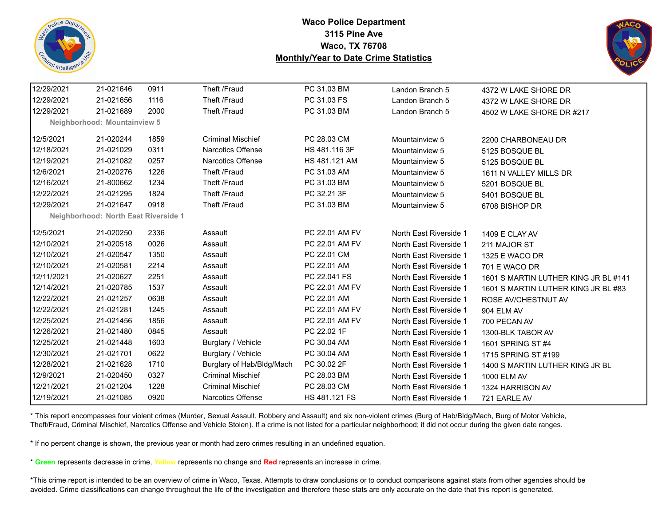



| 12/29/2021 | 21-021646                                   | 0911 | Theft /Fraud              | PC 31.03 BM    | Landon Branch 5        | 4372 W LAKE SHORE DR                 |
|------------|---------------------------------------------|------|---------------------------|----------------|------------------------|--------------------------------------|
| 12/29/2021 | 21-021656                                   | 1116 | Theft /Fraud              | PC 31.03 FS    | Landon Branch 5        | 4372 W LAKE SHORE DR                 |
| 12/29/2021 | 21-021689                                   | 2000 | Theft /Fraud              | PC 31.03 BM    | Landon Branch 5        | 4502 W LAKE SHORE DR #217            |
|            | Neighborhood: Mountainview 5                |      |                           |                |                        |                                      |
| 12/5/2021  | 21-020244                                   | 1859 | <b>Criminal Mischief</b>  | PC 28.03 CM    | Mountainview 5         | 2200 CHARBONEAU DR                   |
| 12/18/2021 | 21-021029                                   | 0311 | <b>Narcotics Offense</b>  | HS 481.116 3F  | Mountainview 5         | 5125 BOSQUE BL                       |
| 12/19/2021 | 21-021082                                   | 0257 | <b>Narcotics Offense</b>  | HS 481.121 AM  | Mountainview 5         | 5125 BOSQUE BL                       |
| 12/6/2021  | 21-020276                                   | 1226 | Theft /Fraud              | PC 31.03 AM    | Mountainview 5         | 1611 N VALLEY MILLS DR               |
| 12/16/2021 | 21-800662                                   | 1234 | Theft /Fraud              | PC 31.03 BM    | Mountainview 5         | 5201 BOSQUE BL                       |
| 12/22/2021 | 21-021295                                   | 1824 | Theft /Fraud              | PC 32.21 3F    | Mountainview 5         | 5401 BOSQUE BL                       |
| 12/29/2021 | 21-021647                                   | 0918 | Theft /Fraud              | PC 31.03 BM    | Mountainview 5         | 6708 BISHOP DR                       |
|            | <b>Neighborhood: North East Riverside 1</b> |      |                           |                |                        |                                      |
| 12/5/2021  | 21-020250                                   | 2336 | Assault                   | PC 22.01 AM FV | North East Riverside 1 | 1409 E CLAY AV                       |
| 12/10/2021 | 21-020518                                   | 0026 | Assault                   | PC 22.01 AM FV | North East Riverside 1 | 211 MAJOR ST                         |
| 12/10/2021 | 21-020547                                   | 1350 | Assault                   | PC 22.01 CM    | North East Riverside 1 | 1325 E WACO DR                       |
| 12/10/2021 | 21-020581                                   | 2214 | Assault                   | PC 22.01 AM    | North East Riverside 1 | 701 E WACO DR                        |
| 12/11/2021 | 21-020627                                   | 2251 | Assault                   | PC 22.041 FS   | North East Riverside 1 | 1601 S MARTIN LUTHER KING JR BL #141 |
| 12/14/2021 | 21-020785                                   | 1537 | Assault                   | PC 22.01 AM FV | North East Riverside 1 | 1601 S MARTIN LUTHER KING JR BL #83  |
| 12/22/2021 | 21-021257                                   | 0638 | Assault                   | PC 22.01 AM    | North East Riverside 1 | ROSE AV/CHESTNUT AV                  |
| 12/22/2021 | 21-021281                                   | 1245 | Assault                   | PC 22.01 AM FV | North East Riverside 1 | 904 ELM AV                           |
| 12/25/2021 | 21-021456                                   | 1856 | Assault                   | PC 22.01 AM FV | North East Riverside 1 | 700 PECAN AV                         |
| 12/26/2021 | 21-021480                                   | 0845 | Assault                   | PC 22.02 1F    | North East Riverside 1 | 1300-BLK TABOR AV                    |
| 12/25/2021 | 21-021448                                   | 1603 | Burglary / Vehicle        | PC 30.04 AM    | North East Riverside 1 | 1601 SPRING ST #4                    |
| 12/30/2021 | 21-021701                                   | 0622 | Burglary / Vehicle        | PC 30.04 AM    | North East Riverside 1 | 1715 SPRING ST #199                  |
| 12/28/2021 | 21-021628                                   | 1710 | Burglary of Hab/Bldg/Mach | PC 30.02 2F    | North East Riverside 1 | 1400 S MARTIN LUTHER KING JR BL      |
| 12/9/2021  | 21-020450                                   | 0327 | <b>Criminal Mischief</b>  | PC 28.03 BM    | North East Riverside 1 | 1000 ELM AV                          |
| 12/21/2021 | 21-021204                                   | 1228 | <b>Criminal Mischief</b>  | PC 28.03 CM    | North East Riverside 1 | 1324 HARRISON AV                     |
| 12/19/2021 | 21-021085                                   | 0920 | <b>Narcotics Offense</b>  | HS 481.121 FS  | North East Riverside 1 | 721 EARLE AV                         |
|            |                                             |      |                           |                |                        |                                      |

\* This report encompasses four violent crimes (Murder, Sexual Assault, Robbery and Assault) and six non-violent crimes (Burg of Hab/Bldg/Mach, Burg of Motor Vehicle, Theft/Fraud, Criminal Mischief, Narcotics Offense and Vehicle Stolen). If a crime is not listed for a particular neighborhood; it did not occur during the given date ranges.

\* If no percent change is shown, the previous year or month had zero crimes resulting in an undefined equation.

\* **Green** represents decrease in crime, **Yellow** represents no change and **Red** represents an increase in crime.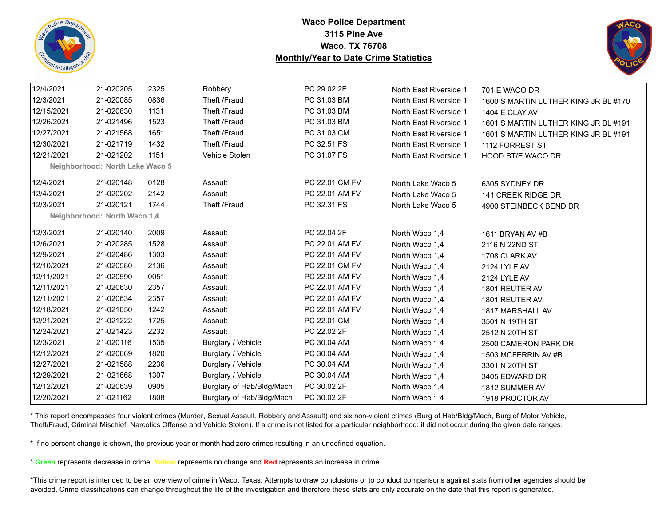



| 12/4/2021  | 21-020205                       | 2325 | Robbery                   | PC 29.02 2F    | North East Riverside 1 | 701 E WACO DR                        |
|------------|---------------------------------|------|---------------------------|----------------|------------------------|--------------------------------------|
| 12/3/2021  | 21-020085                       | 0836 | Theft /Fraud              | PC 31.03 BM    | North East Riverside 1 | 1600 S MARTIN LUTHER KING JR BL #170 |
| 12/15/2021 | 21-020830                       | 1131 | Theft /Fraud              | PC 31.03 BM    | North East Riverside 1 | 1404 E CLAY AV                       |
| 12/26/2021 | 21-021496                       | 1523 | Theft /Fraud              | PC 31.03 BM    | North East Riverside 1 | 1601 S MARTIN LUTHER KING JR BL #191 |
| 12/27/2021 | 21-021568                       | 1651 | Theft /Fraud              | PC 31.03 CM    | North East Riverside 1 | 1601 S MARTIN LUTHER KING JR BL #191 |
| 12/30/2021 | 21-021719                       | 1432 | Theft /Fraud              | PC 32.51 FS    | North East Riverside 1 | 1112 FORREST ST                      |
| 12/21/2021 | 21-021202                       | 1151 | Vehicle Stolen            | PC 31.07 FS    | North East Riverside 1 | HOOD ST/E WACO DR                    |
|            | Neighborhood: North Lake Waco 5 |      |                           |                |                        |                                      |
| 12/4/2021  | 21-020148                       | 0128 | Assault                   | PC 22.01 CM FV | North Lake Waco 5      | 6305 SYDNEY DR                       |
| 12/4/2021  | 21-020202                       | 2142 | Assault                   | PC 22.01 AM FV | North Lake Waco 5      | 141 CREEK RIDGE DR                   |
| 12/3/2021  | 21-020121                       | 1744 | Theft /Fraud              | PC 32.31 FS    | North Lake Waco 5      | 4900 STEINBECK BEND DR               |
|            | Neighborhood: North Waco 1,4    |      |                           |                |                        |                                      |
| 12/3/2021  | 21-020140                       | 2009 | Assault                   | PC 22.04 2F    | North Waco 1,4         | 1611 BRYAN AV #B                     |
| 12/6/2021  | 21-020285                       | 1528 | Assault                   | PC 22.01 AM FV | North Waco 1,4         | 2116 N 22ND ST                       |
| 12/9/2021  | 21-020486                       | 1303 | Assault                   | PC 22.01 AM FV | North Waco 1,4         | 1708 CLARK AV                        |
| 12/10/2021 | 21-020580                       | 2136 | Assault                   | PC 22.01 CM FV | North Waco 1,4         | 2124 LYLE AV                         |
| 12/11/2021 | 21-020590                       | 0051 | Assault                   | PC 22.01 AM FV | North Waco 1.4         | <b>2124 LYLE AV</b>                  |
| 12/11/2021 | 21-020630                       | 2357 | Assault                   | PC 22.01 AM FV | North Waco 1,4         | 1801 REUTER AV                       |
| 12/11/2021 | 21-020634                       | 2357 | Assault                   | PC 22.01 AM FV | North Waco 1,4         | 1801 REUTER AV                       |
| 12/18/2021 | 21-021050                       | 1242 | Assault                   | PC 22.01 AM FV | North Waco 1,4         | 1817 MARSHALL AV                     |
| 12/21/2021 | 21-021222                       | 1725 | Assault                   | PC 22.01 CM    | North Waco 1,4         | 3501 N 19TH ST                       |
| 12/24/2021 | 21-021423                       | 2232 | Assault                   | PC 22.02 2F    | North Waco 1,4         | 2512 N 20TH ST                       |
| 12/3/2021  | 21-020116                       | 1535 | Burglary / Vehicle        | PC 30.04 AM    | North Waco 1,4         | 2500 CAMERON PARK DR                 |
| 12/12/2021 | 21-020669                       | 1820 | Burglary / Vehicle        | PC 30.04 AM    | North Waco 1,4         | 1503 MCFERRIN AV #B                  |
| 12/27/2021 | 21-021588                       | 2236 | Burglary / Vehicle        | PC 30.04 AM    | North Waco 1,4         | 3301 N 20TH ST                       |
| 12/29/2021 | 21-021668                       | 1307 | Burglary / Vehicle        | PC 30.04 AM    | North Waco 1,4         | 3405 EDWARD DR                       |
| 12/12/2021 | 21-020639                       | 0905 | Burglary of Hab/Bldg/Mach | PC 30.02 2F    | North Waco 1,4         | 1812 SUMMER AV                       |
| 12/20/2021 | 21-021162                       | 1808 | Burglary of Hab/Bldg/Mach | PC 30.02 2F    | North Waco 1,4         | 1918 PROCTOR AV                      |
|            |                                 |      |                           |                |                        |                                      |

\* This report encompasses four violent crimes (Murder, Sexual Assault, Robbery and Assault) and six non-violent crimes (Burg of Hab/Bldg/Mach, Burg of Motor Vehicle, Theft/Fraud, Criminal Mischief, Narcotics Offense and Vehicle Stolen). If a crime is not listed for a particular neighborhood; it did not occur during the given date ranges.

\* If no percent change is shown, the previous year or month had zero crimes resulting in an undefined equation.

\* **Green** represents decrease in crime, **Yellow** represents no change and **Red** represents an increase in crime.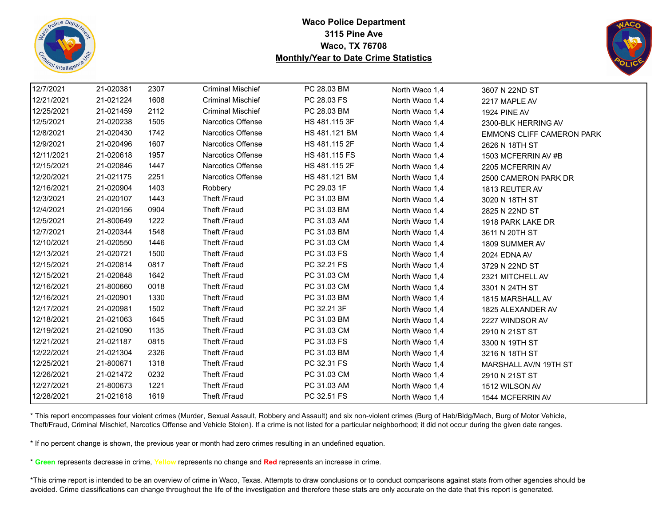



| 12/7/2021  | 21-020381 | 2307 | <b>Criminal Mischief</b> | PC 28.03 BM   | North Waco 1,4 | 3607 N 22ND ST                   |
|------------|-----------|------|--------------------------|---------------|----------------|----------------------------------|
| 12/21/2021 | 21-021224 | 1608 | <b>Criminal Mischief</b> | PC 28.03 FS   | North Waco 1,4 | 2217 MAPLE AV                    |
| 12/25/2021 | 21-021459 | 2112 | <b>Criminal Mischief</b> | PC 28.03 BM   | North Waco 1,4 | <b>1924 PINE AV</b>              |
| 12/5/2021  | 21-020238 | 1505 | Narcotics Offense        | HS 481.115 3F | North Waco 1,4 | 2300-BLK HERRING AV              |
| 12/8/2021  | 21-020430 | 1742 | Narcotics Offense        | HS 481.121 BM | North Waco 1,4 | <b>EMMONS CLIFF CAMERON PARK</b> |
| 12/9/2021  | 21-020496 | 1607 | Narcotics Offense        | HS 481.115 2F | North Waco 1,4 | 2626 N 18TH ST                   |
| 12/11/2021 | 21-020618 | 1957 | Narcotics Offense        | HS 481.115 FS | North Waco 1,4 | 1503 MCFERRIN AV #B              |
| 12/15/2021 | 21-020846 | 1447 | Narcotics Offense        | HS 481.115 2F | North Waco 1,4 | 2205 MCFERRIN AV                 |
| 12/20/2021 | 21-021175 | 2251 | <b>Narcotics Offense</b> | HS 481.121 BM | North Waco 1,4 | 2500 CAMERON PARK DR             |
| 12/16/2021 | 21-020904 | 1403 | Robbery                  | PC 29.03 1F   | North Waco 1,4 | 1813 REUTER AV                   |
| 12/3/2021  | 21-020107 | 1443 | Theft /Fraud             | PC 31.03 BM   | North Waco 1,4 | 3020 N 18TH ST                   |
| 12/4/2021  | 21-020156 | 0904 | Theft /Fraud             | PC 31.03 BM   | North Waco 1,4 | 2825 N 22ND ST                   |
| 12/5/2021  | 21-800649 | 1222 | Theft /Fraud             | PC 31.03 AM   | North Waco 1,4 | 1918 PARK LAKE DR                |
| 12/7/2021  | 21-020344 | 1548 | Theft /Fraud             | PC 31.03 BM   | North Waco 1,4 | 3611 N 20TH ST                   |
| 12/10/2021 | 21-020550 | 1446 | Theft /Fraud             | PC 31.03 CM   | North Waco 1,4 | 1809 SUMMER AV                   |
| 12/13/2021 | 21-020721 | 1500 | Theft /Fraud             | PC 31.03 FS   | North Waco 1,4 | 2024 EDNA AV                     |
| 12/15/2021 | 21-020814 | 0817 | Theft /Fraud             | PC 32.21 FS   | North Waco 1,4 | 3729 N 22ND ST                   |
| 12/15/2021 | 21-020848 | 1642 | Theft /Fraud             | PC 31.03 CM   | North Waco 1,4 | 2321 MITCHELL AV                 |
| 12/16/2021 | 21-800660 | 0018 | Theft /Fraud             | PC 31.03 CM   | North Waco 1,4 | 3301 N 24TH ST                   |
| 12/16/2021 | 21-020901 | 1330 | Theft /Fraud             | PC 31.03 BM   | North Waco 1,4 | 1815 MARSHALL AV                 |
| 12/17/2021 | 21-020981 | 1502 | Theft /Fraud             | PC 32.21 3F   | North Waco 1,4 | 1825 ALEXANDER AV                |
| 12/18/2021 | 21-021063 | 1645 | Theft /Fraud             | PC 31.03 BM   | North Waco 1,4 | 2227 WINDSOR AV                  |
| 12/19/2021 | 21-021090 | 1135 | Theft /Fraud             | PC 31.03 CM   | North Waco 1,4 | 2910 N 21ST ST                   |
| 12/21/2021 | 21-021187 | 0815 | Theft /Fraud             | PC 31.03 FS   | North Waco 1,4 | 3300 N 19TH ST                   |
| 12/22/2021 | 21-021304 | 2326 | Theft /Fraud             | PC 31.03 BM   | North Waco 1,4 | 3216 N 18TH ST                   |
| 12/25/2021 | 21-800671 | 1318 | Theft /Fraud             | PC 32.31 FS   | North Waco 1,4 | MARSHALL AV/N 19TH ST            |
| 12/26/2021 | 21-021472 | 0232 | Theft /Fraud             | PC 31.03 CM   | North Waco 1,4 | 2910 N 21ST ST                   |
| 12/27/2021 | 21-800673 | 1221 | Theft /Fraud             | PC 31.03 AM   | North Waco 1,4 | 1512 WILSON AV                   |
| 12/28/2021 | 21-021618 | 1619 | Theft /Fraud             | PC 32.51 FS   | North Waco 1,4 | 1544 MCFERRIN AV                 |

\* This report encompasses four violent crimes (Murder, Sexual Assault, Robbery and Assault) and six non-violent crimes (Burg of Hab/Bldg/Mach, Burg of Motor Vehicle, Theft/Fraud, Criminal Mischief, Narcotics Offense and Vehicle Stolen). If a crime is not listed for a particular neighborhood; it did not occur during the given date ranges.

\* If no percent change is shown, the previous year or month had zero crimes resulting in an undefined equation.

\* **Green** represents decrease in crime, **Yellow** represents no change and **Red** represents an increase in crime.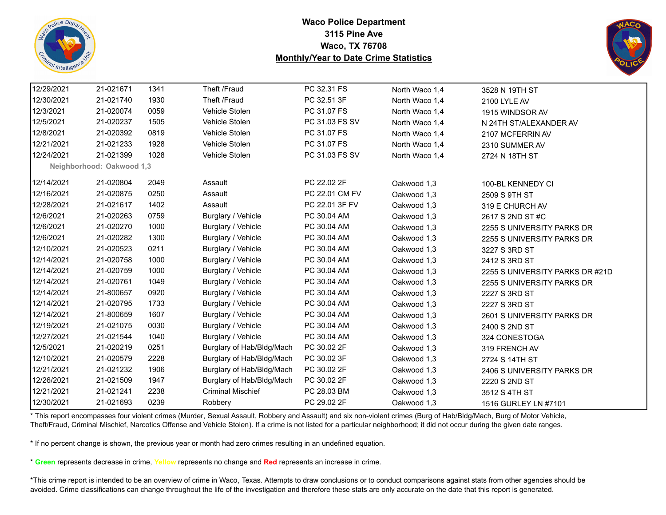



| 12/29/2021 | 21-021671                 | 1341 | Theft /Fraud              | PC 32.31 FS    | North Waco 1,4 | 3528 N 19TH ST                  |
|------------|---------------------------|------|---------------------------|----------------|----------------|---------------------------------|
| 12/30/2021 | 21-021740                 | 1930 | Theft /Fraud              | PC 32.51 3F    | North Waco 1.4 | 2100 LYLE AV                    |
| 12/3/2021  | 21-020074                 | 0059 | Vehicle Stolen            | PC 31.07 FS    | North Waco 1,4 | 1915 WINDSOR AV                 |
| 12/5/2021  | 21-020237                 | 1505 | Vehicle Stolen            | PC 31.03 FS SV | North Waco 1,4 | N 24TH ST/ALEXANDER AV          |
| 12/8/2021  | 21-020392                 | 0819 | Vehicle Stolen            | PC 31.07 FS    | North Waco 1,4 | 2107 MCFERRIN AV                |
| 12/21/2021 | 21-021233                 | 1928 | Vehicle Stolen            | PC 31.07 FS    | North Waco 1,4 | 2310 SUMMER AV                  |
| 12/24/2021 | 21-021399                 | 1028 | Vehicle Stolen            | PC 31.03 FS SV | North Waco 1,4 | 2724 N 18TH ST                  |
|            | Neighborhood: Oakwood 1,3 |      |                           |                |                |                                 |
| 12/14/2021 | 21-020804                 | 2049 | Assault                   | PC 22.02 2F    | Oakwood 1,3    | 100-BL KENNEDY CI               |
| 12/16/2021 | 21-020875                 | 0250 | Assault                   | PC 22.01 CM FV | Oakwood 1,3    | 2509 S 9TH ST                   |
| 12/28/2021 | 21-021617                 | 1402 | Assault                   | PC 22.01 3F FV | Oakwood 1,3    | 319 E CHURCH AV                 |
| 12/6/2021  | 21-020263                 | 0759 | Burglary / Vehicle        | PC 30.04 AM    | Oakwood 1,3    | 2617 S 2ND ST #C                |
| 12/6/2021  | 21-020270                 | 1000 | Burglary / Vehicle        | PC 30.04 AM    | Oakwood 1,3    | 2255 S UNIVERSITY PARKS DR      |
| 12/6/2021  | 21-020282                 | 1300 | Burglary / Vehicle        | PC 30.04 AM    | Oakwood 1,3    | 2255 S UNIVERSITY PARKS DR      |
| 12/10/2021 | 21-020523                 | 0211 | Burglary / Vehicle        | PC 30.04 AM    | Oakwood 1,3    | 3227 S 3RD ST                   |
| 12/14/2021 | 21-020758                 | 1000 | Burglary / Vehicle        | PC 30.04 AM    | Oakwood 1,3    | 2412 S 3RD ST                   |
| 12/14/2021 | 21-020759                 | 1000 | Burglary / Vehicle        | PC 30.04 AM    | Oakwood 1,3    | 2255 S UNIVERSITY PARKS DR #21D |
| 12/14/2021 | 21-020761                 | 1049 | Burglary / Vehicle        | PC 30.04 AM    | Oakwood 1,3    | 2255 S UNIVERSITY PARKS DR      |
| 12/14/2021 | 21-800657                 | 0920 | Burglary / Vehicle        | PC 30.04 AM    | Oakwood 1,3    | 2227 S 3RD ST                   |
| 12/14/2021 | 21-020795                 | 1733 | Burglary / Vehicle        | PC 30.04 AM    | Oakwood 1,3    | 2227 S 3RD ST                   |
| 12/14/2021 | 21-800659                 | 1607 | Burglary / Vehicle        | PC 30.04 AM    | Oakwood 1,3    | 2601 S UNIVERSITY PARKS DR      |
| 12/19/2021 | 21-021075                 | 0030 | Burglary / Vehicle        | PC 30.04 AM    | Oakwood 1,3    | 2400 S 2ND ST                   |
| 12/27/2021 | 21-021544                 | 1040 | Burglary / Vehicle        | PC 30.04 AM    | Oakwood 1,3    | 324 CONESTOGA                   |
| 12/5/2021  | 21-020219                 | 0251 | Burglary of Hab/Bldg/Mach | PC 30.02 2F    | Oakwood 1,3    | 319 FRENCH AV                   |
| 12/10/2021 | 21-020579                 | 2228 | Burglary of Hab/Bldg/Mach | PC 30.02 3F    | Oakwood 1,3    | 2724 S 14TH ST                  |
| 12/21/2021 | 21-021232                 | 1906 | Burglary of Hab/Bldg/Mach | PC 30.02 2F    | Oakwood 1,3    | 2406 S UNIVERSITY PARKS DR      |
| 12/26/2021 | 21-021509                 | 1947 | Burglary of Hab/Bldg/Mach | PC 30.02 2F    | Oakwood 1,3    | 2220 S 2ND ST                   |
| 12/21/2021 | 21-021241                 | 2238 | <b>Criminal Mischief</b>  | PC 28.03 BM    | Oakwood 1,3    | 3512 S 4TH ST                   |
| 12/30/2021 | 21-021693                 | 0239 | Robbery                   | PC 29.02 2F    | Oakwood 1,3    | 1516 GURLEY LN #7101            |

\* This report encompasses four violent crimes (Murder, Sexual Assault, Robbery and Assault) and six non-violent crimes (Burg of Hab/Bldg/Mach, Burg of Motor Vehicle, Theft/Fraud, Criminal Mischief, Narcotics Offense and Vehicle Stolen). If a crime is not listed for a particular neighborhood; it did not occur during the given date ranges.

\* If no percent change is shown, the previous year or month had zero crimes resulting in an undefined equation.

\* **Green** represents decrease in crime, **Yellow** represents no change and **Red** represents an increase in crime.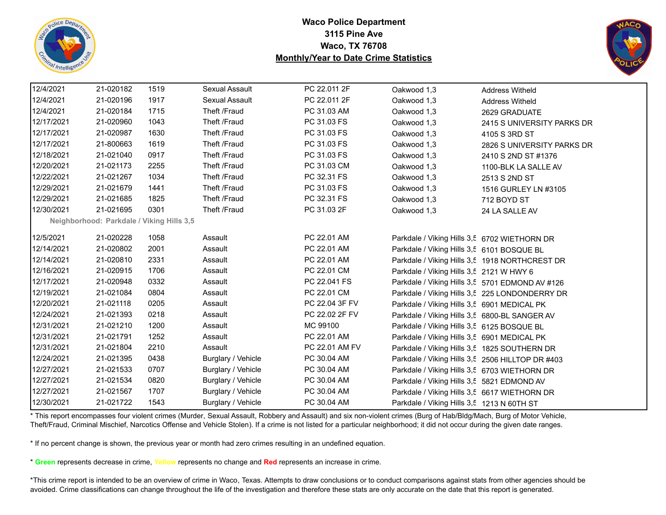



| 12/4/2021  | 21-020182                                 | 1519 | Sexual Assault     | PC 22.011 2F   | Oakwood 1,3                                      | <b>Address Witheld</b>                         |
|------------|-------------------------------------------|------|--------------------|----------------|--------------------------------------------------|------------------------------------------------|
| 12/4/2021  | 21-020196                                 | 1917 | Sexual Assault     | PC 22.011 2F   | Oakwood 1,3                                      | <b>Address Witheld</b>                         |
| 12/4/2021  | 21-020184                                 | 1715 | Theft /Fraud       | PC 31.03 AM    | Oakwood 1,3                                      | 2629 GRADUATE                                  |
| 12/17/2021 | 21-020960                                 | 1043 | Theft /Fraud       | PC 31.03 FS    | Oakwood 1,3                                      | 2415 S UNIVERSITY PARKS DR                     |
| 12/17/2021 | 21-020987                                 | 1630 | Theft /Fraud       | PC 31.03 FS    | Oakwood 1,3                                      | 4105 S 3RD ST                                  |
| 12/17/2021 | 21-800663                                 | 1619 | Theft /Fraud       | PC 31.03 FS    | Oakwood 1,3                                      | 2826 S UNIVERSITY PARKS DR                     |
| 12/18/2021 | 21-021040                                 | 0917 | Theft /Fraud       | PC 31.03 FS    | Oakwood 1,3                                      | 2410 S 2ND ST #1376                            |
| 12/20/2021 | 21-021173                                 | 2255 | Theft /Fraud       | PC 31.03 CM    | Oakwood 1,3                                      | 1100-BLK LA SALLE AV                           |
| 12/22/2021 | 21-021267                                 | 1034 | Theft /Fraud       | PC 32.31 FS    | Oakwood 1,3                                      | 2513 S 2ND ST                                  |
| 12/29/2021 | 21-021679                                 | 1441 | Theft /Fraud       | PC 31.03 FS    | Oakwood 1,3                                      | 1516 GURLEY LN #3105                           |
| 12/29/2021 | 21-021685                                 | 1825 | Theft /Fraud       | PC 32.31 FS    | Oakwood 1,3                                      | 712 BOYD ST                                    |
| 12/30/2021 | 21-021695                                 | 0301 | Theft /Fraud       | PC 31.03 2F    | Oakwood 1,3                                      | 24 LA SALLE AV                                 |
|            | Neighborhood: Parkdale / Viking Hills 3,5 |      |                    |                |                                                  |                                                |
| 12/5/2021  | 21-020228                                 | 1058 | Assault            | PC 22.01 AM    | Parkdale / Viking Hills 3,5 6702 WIETHORN DR     |                                                |
| 12/14/2021 | 21-020802                                 | 2001 | Assault            | PC 22.01 AM    | Parkdale / Viking Hills 3,5 6101 BOSQUE BL       |                                                |
| 12/14/2021 | 21-020810                                 | 2331 | Assault            | PC 22.01 AM    |                                                  | Parkdale / Viking Hills 3,5 1918 NORTHCREST DR |
| 12/16/2021 | 21-020915                                 | 1706 | Assault            | PC 22.01 CM    | Parkdale / Viking Hills 3,5 2121 W HWY 6         |                                                |
| 12/17/2021 | 21-020948                                 | 0332 | Assault            | PC 22.041 FS   | Parkdale / Viking Hills 3,5 5701 EDMOND AV #126  |                                                |
| 12/19/2021 | 21-021084                                 | 0804 | Assault            | PC 22.01 CM    |                                                  | Parkdale / Viking Hills 3,5 225 LONDONDERRY DR |
| 12/20/2021 | 21-021118                                 | 0205 | Assault            | PC 22.04 3F FV | Parkdale / Viking Hills 3,5 6901 MEDICAL PK      |                                                |
| 12/24/2021 | 21-021393                                 | 0218 | Assault            | PC 22.02 2F FV | Parkdale / Viking Hills 3,5 6800-BL SANGER AV    |                                                |
| 12/31/2021 | 21-021210                                 | 1200 | Assault            | MC 99100       | Parkdale / Viking Hills 3,5 6125 BOSQUE BL       |                                                |
| 12/31/2021 | 21-021791                                 | 1252 | Assault            | PC 22.01 AM    | Parkdale / Viking Hills 3,5 6901 MEDICAL PK      |                                                |
| 12/31/2021 | 21-021804                                 | 2210 | Assault            | PC 22.01 AM FV | Parkdale / Viking Hills 3,5 1825 SOUTHERN DR     |                                                |
| 12/24/2021 | 21-021395                                 | 0438 | Burglary / Vehicle | PC 30.04 AM    | Parkdale / Viking Hills 3,5 2506 HILLTOP DR #403 |                                                |
| 12/27/2021 | 21-021533                                 | 0707 | Burglary / Vehicle | PC 30.04 AM    | Parkdale / Viking Hills 3,5 6703 WIETHORN DR     |                                                |
| 12/27/2021 | 21-021534                                 | 0820 | Burglary / Vehicle | PC 30.04 AM    | Parkdale / Viking Hills 3,5 5821 EDMOND AV       |                                                |
| 12/27/2021 | 21-021567                                 | 1707 | Burglary / Vehicle | PC 30.04 AM    | Parkdale / Viking Hills 3,5 6617 WIETHORN DR     |                                                |
| 12/30/2021 | 21-021722                                 | 1543 | Burglary / Vehicle | PC 30.04 AM    | Parkdale / Viking Hills 3,5 1213 N 60TH ST       |                                                |

\* This report encompasses four violent crimes (Murder, Sexual Assault, Robbery and Assault) and six non-violent crimes (Burg of Hab/Bldg/Mach, Burg of Motor Vehicle, Theft/Fraud, Criminal Mischief, Narcotics Offense and Vehicle Stolen). If a crime is not listed for a particular neighborhood; it did not occur during the given date ranges.

\* If no percent change is shown, the previous year or month had zero crimes resulting in an undefined equation.

\* **Green** represents decrease in crime, **Yellow** represents no change and **Red** represents an increase in crime.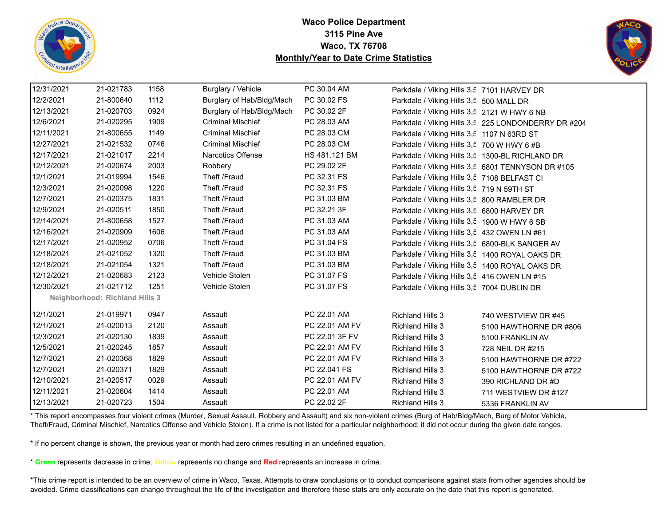



| 12/31/2021 | 21-021783                             | 1158 | Burglary / Vehicle        | PC 30.04 AM    | Parkdale / Viking Hills 3,5 7101 HARVEY DR      |                                                     |
|------------|---------------------------------------|------|---------------------------|----------------|-------------------------------------------------|-----------------------------------------------------|
| 12/2/2021  | 21-800640                             | 1112 | Burglary of Hab/Bldg/Mach | PC 30.02 FS    | Parkdale / Viking Hills 3,5 500 MALL DR         |                                                     |
| 12/13/2021 | 21-020703                             | 0924 | Burglary of Hab/Bldg/Mach | PC 30.02 2F    | Parkdale / Viking Hills 3,5 2121 W HWY 6 NB     |                                                     |
| 12/6/2021  | 21-020295                             | 1909 | <b>Criminal Mischief</b>  | PC 28.03 AM    |                                                 | Parkdale / Viking Hills 3,5 225 LONDONDERRY DR #204 |
| 12/11/2021 | 21-800655                             | 1149 | <b>Criminal Mischief</b>  | PC 28.03 CM    | Parkdale / Viking Hills 3,5 1107 N 63RD ST      |                                                     |
| 12/27/2021 | 21-021532                             | 0746 | <b>Criminal Mischief</b>  | PC 28.03 CM    | Parkdale / Viking Hills 3,5 700 W HWY 6 #B      |                                                     |
| 12/17/2021 | 21-021017                             | 2214 | Narcotics Offense         | HS 481.121 BM  | Parkdale / Viking Hills 3,5 1300-BL RICHLAND DR |                                                     |
| 12/12/2021 | 21-020674                             | 2003 | Robbery                   | PC 29.02 2F    |                                                 | Parkdale / Viking Hills 3,5 6801 TENNYSON DR #105   |
| 12/1/2021  | 21-019994                             | 1546 | Theft /Fraud              | PC 32.31 FS    | Parkdale / Viking Hills 3,5 7108 BELFAST CI     |                                                     |
| 12/3/2021  | 21-020098                             | 1220 | Theft /Fraud              | PC 32.31 FS    | Parkdale / Viking Hills 3,5 719 N 59TH ST       |                                                     |
| 12/7/2021  | 21-020375                             | 1831 | Theft /Fraud              | PC 31.03 BM    | Parkdale / Viking Hills 3,5 800 RAMBLER DR      |                                                     |
| 12/9/2021  | 21-020511                             | 1850 | Theft /Fraud              | PC 32.21 3F    | Parkdale / Viking Hills 3,5 6800 HARVEY DR      |                                                     |
| 12/14/2021 | 21-800658                             | 1527 | Theft /Fraud              | PC 31.03 AM    | Parkdale / Viking Hills 3,5 1900 W HWY 6 SB     |                                                     |
| 12/16/2021 | 21-020909                             | 1606 | Theft /Fraud              | PC 31.03 AM    | Parkdale / Viking Hills 3,5 432 OWEN LN #61     |                                                     |
| 12/17/2021 | 21-020952                             | 0706 | Theft /Fraud              | PC 31.04 FS    | Parkdale / Viking Hills 3,5 6800-BLK SANGER AV  |                                                     |
| 12/18/2021 | 21-021052                             | 1320 | Theft /Fraud              | PC 31.03 BM    | Parkdale / Viking Hills 3,5 1400 ROYAL OAKS DR  |                                                     |
| 12/18/2021 | 21-021054                             | 1321 | Theft /Fraud              | PC 31.03 BM    | Parkdale / Viking Hills 3,5 1400 ROYAL OAKS DR  |                                                     |
| 12/12/2021 | 21-020683                             | 2123 | Vehicle Stolen            | PC 31.07 FS    | Parkdale / Viking Hills 3,5 416 OWEN LN #15     |                                                     |
| 12/30/2021 | 21-021712                             | 1251 | Vehicle Stolen            | PC 31.07 FS    | Parkdale / Viking Hills 3,5 7004 DUBLIN DR      |                                                     |
|            | <b>Neighborhood: Richland Hills 3</b> |      |                           |                |                                                 |                                                     |
| 12/1/2021  | 21-019971                             | 0947 | Assault                   | PC 22.01 AM    | <b>Richland Hills 3</b>                         | 740 WESTVIEW DR #45                                 |
| 12/1/2021  | 21-020013                             | 2120 | Assault                   | PC 22.01 AM FV | <b>Richland Hills 3</b>                         | 5100 HAWTHORNE DR #806                              |
| 12/3/2021  | 21-020130                             | 1839 | Assault                   | PC 22.01 3F FV | <b>Richland Hills 3</b>                         | 5100 FRANKLIN AV                                    |
| 12/5/2021  | 21-020245                             | 1857 | Assault                   | PC 22.01 AM FV | <b>Richland Hills 3</b>                         | 728 NEIL DR #215                                    |
| 12/7/2021  | 21-020368                             | 1829 | Assault                   | PC 22.01 AM FV | <b>Richland Hills 3</b>                         | 5100 HAWTHORNE DR #722                              |
| 12/7/2021  | 21-020371                             | 1829 | Assault                   | PC 22.041 FS   | <b>Richland Hills 3</b>                         | 5100 HAWTHORNE DR #722                              |
| 12/10/2021 | 21-020517                             | 0029 | Assault                   | PC 22.01 AM FV | <b>Richland Hills 3</b>                         | 390 RICHLAND DR #D                                  |
| 12/11/2021 | 21-020604                             | 1414 | Assault                   | PC 22.01 AM    | <b>Richland Hills 3</b>                         | 711 WESTVIEW DR #127                                |
| 12/13/2021 | 21-020723                             | 1504 | Assault                   | PC 22.02 2F    | <b>Richland Hills 3</b>                         | 5336 FRANKLIN AV                                    |

\* This report encompasses four violent crimes (Murder, Sexual Assault, Robbery and Assault) and six non-violent crimes (Burg of Hab/Bldg/Mach, Burg of Motor Vehicle, Theft/Fraud, Criminal Mischief, Narcotics Offense and Vehicle Stolen). If a crime is not listed for a particular neighborhood; it did not occur during the given date ranges.

\* If no percent change is shown, the previous year or month had zero crimes resulting in an undefined equation.

\* **Green** represents decrease in crime, **Yellow** represents no change and **Red** represents an increase in crime.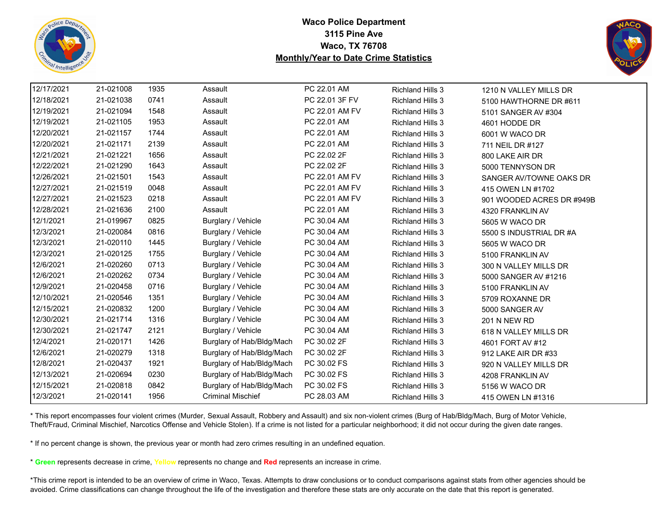



| 12/17/2021 | 21-021008 | 1935 | Assault                   | PC 22.01 AM    | <b>Richland Hills 3</b> | 1210 N VALLEY MILLS DR    |
|------------|-----------|------|---------------------------|----------------|-------------------------|---------------------------|
| 12/18/2021 | 21-021038 | 0741 | Assault                   | PC 22.01 3F FV | <b>Richland Hills 3</b> | 5100 HAWTHORNE DR #611    |
| 12/19/2021 | 21-021094 | 1548 | Assault                   | PC 22.01 AM FV | <b>Richland Hills 3</b> | 5101 SANGER AV #304       |
| 12/19/2021 | 21-021105 | 1953 | Assault                   | PC 22.01 AM    | <b>Richland Hills 3</b> | 4601 HODDE DR             |
| 12/20/2021 | 21-021157 | 1744 | Assault                   | PC 22.01 AM    | <b>Richland Hills 3</b> | 6001 W WACO DR            |
| 12/20/2021 | 21-021171 | 2139 | Assault                   | PC 22.01 AM    | <b>Richland Hills 3</b> | 711 NEIL DR #127          |
| 12/21/2021 | 21-021221 | 1656 | Assault                   | PC 22.02 2F    | <b>Richland Hills 3</b> | 800 LAKE AIR DR           |
| 12/22/2021 | 21-021290 | 1643 | Assault                   | PC 22.02 2F    | <b>Richland Hills 3</b> | 5000 TENNYSON DR          |
| 12/26/2021 | 21-021501 | 1543 | Assault                   | PC 22.01 AM FV | Richland Hills 3        | SANGER AV/TOWNE OAKS DR   |
| 12/27/2021 | 21-021519 | 0048 | Assault                   | PC 22.01 AM FV | <b>Richland Hills 3</b> | 415 OWEN LN #1702         |
| 12/27/2021 | 21-021523 | 0218 | Assault                   | PC 22.01 AM FV | <b>Richland Hills 3</b> | 901 WOODED ACRES DR #949B |
| 12/28/2021 | 21-021636 | 2100 | Assault                   | PC 22.01 AM    | <b>Richland Hills 3</b> | 4320 FRANKLIN AV          |
| 12/1/2021  | 21-019967 | 0825 | Burglary / Vehicle        | PC 30.04 AM    | <b>Richland Hills 3</b> | 5605 W WACO DR            |
| 12/3/2021  | 21-020084 | 0816 | Burglary / Vehicle        | PC 30.04 AM    | <b>Richland Hills 3</b> | 5500 S INDUSTRIAL DR #A   |
| 12/3/2021  | 21-020110 | 1445 | Burglary / Vehicle        | PC 30.04 AM    | <b>Richland Hills 3</b> | 5605 W WACO DR            |
| 12/3/2021  | 21-020125 | 1755 | Burglary / Vehicle        | PC 30.04 AM    | <b>Richland Hills 3</b> | 5100 FRANKLIN AV          |
| 12/6/2021  | 21-020260 | 0713 | Burglary / Vehicle        | PC 30.04 AM    | <b>Richland Hills 3</b> | 300 N VALLEY MILLS DR     |
| 12/6/2021  | 21-020262 | 0734 | Burglary / Vehicle        | PC 30.04 AM    | <b>Richland Hills 3</b> | 5000 SANGER AV #1216      |
| 12/9/2021  | 21-020458 | 0716 | Burglary / Vehicle        | PC 30.04 AM    | <b>Richland Hills 3</b> | 5100 FRANKLIN AV          |
| 12/10/2021 | 21-020546 | 1351 | Burglary / Vehicle        | PC 30.04 AM    | <b>Richland Hills 3</b> | 5709 ROXANNE DR           |
| 12/15/2021 | 21-020832 | 1200 | Burglary / Vehicle        | PC 30.04 AM    | <b>Richland Hills 3</b> | 5000 SANGER AV            |
| 12/30/2021 | 21-021714 | 1316 | Burglary / Vehicle        | PC 30.04 AM    | <b>Richland Hills 3</b> | <b>201 N NEW RD</b>       |
| 12/30/2021 | 21-021747 | 2121 | Burglary / Vehicle        | PC 30.04 AM    | <b>Richland Hills 3</b> | 618 N VALLEY MILLS DR     |
| 12/4/2021  | 21-020171 | 1426 | Burglary of Hab/Bldg/Mach | PC 30.02 2F    | <b>Richland Hills 3</b> | 4601 FORT AV #12          |
| 12/6/2021  | 21-020279 | 1318 | Burglary of Hab/Bldg/Mach | PC 30.02 2F    | <b>Richland Hills 3</b> | 912 LAKE AIR DR #33       |
| 12/8/2021  | 21-020437 | 1921 | Burglary of Hab/Bldg/Mach | PC 30.02 FS    | <b>Richland Hills 3</b> | 920 N VALLEY MILLS DR     |
| 12/13/2021 | 21-020694 | 0230 | Burglary of Hab/Bldg/Mach | PC 30.02 FS    | <b>Richland Hills 3</b> | 4208 FRANKLIN AV          |
| 12/15/2021 | 21-020818 | 0842 | Burglary of Hab/Bldg/Mach | PC 30.02 FS    | <b>Richland Hills 3</b> | 5156 W WACO DR            |
| 12/3/2021  | 21-020141 | 1956 | <b>Criminal Mischief</b>  | PC 28.03 AM    | <b>Richland Hills 3</b> | 415 OWEN LN #1316         |

\* This report encompasses four violent crimes (Murder, Sexual Assault, Robbery and Assault) and six non-violent crimes (Burg of Hab/Bldg/Mach, Burg of Motor Vehicle, Theft/Fraud, Criminal Mischief, Narcotics Offense and Vehicle Stolen). If a crime is not listed for a particular neighborhood; it did not occur during the given date ranges.

\* If no percent change is shown, the previous year or month had zero crimes resulting in an undefined equation.

\* **Green** represents decrease in crime, **Yellow** represents no change and **Red** represents an increase in crime.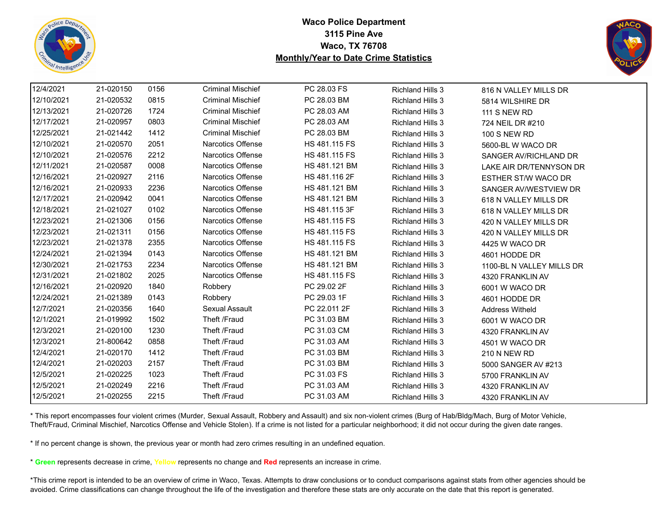



| 12/4/2021  | 21-020150 | 0156 | <b>Criminal Mischief</b> | PC 28.03 FS   | <b>Richland Hills 3</b> | 816 N VALLEY MILLS DR      |
|------------|-----------|------|--------------------------|---------------|-------------------------|----------------------------|
| 12/10/2021 | 21-020532 | 0815 | <b>Criminal Mischief</b> | PC 28.03 BM   | <b>Richland Hills 3</b> | 5814 WILSHIRE DR           |
| 12/13/2021 | 21-020726 | 1724 | <b>Criminal Mischief</b> | PC 28.03 AM   | <b>Richland Hills 3</b> | <b>111 S NEW RD</b>        |
| 12/17/2021 | 21-020957 | 0803 | <b>Criminal Mischief</b> | PC 28.03 AM   | <b>Richland Hills 3</b> | 724 NEIL DR #210           |
| 12/25/2021 | 21-021442 | 1412 | <b>Criminal Mischief</b> | PC 28.03 BM   | <b>Richland Hills 3</b> | <b>100 S NEW RD</b>        |
| 12/10/2021 | 21-020570 | 2051 | Narcotics Offense        | HS 481.115 FS | <b>Richland Hills 3</b> | 5600-BL W WACO DR          |
| 12/10/2021 | 21-020576 | 2212 | Narcotics Offense        | HS 481.115 FS | <b>Richland Hills 3</b> | SANGER AV/RICHLAND DR      |
| 12/11/2021 | 21-020587 | 0008 | Narcotics Offense        | HS 481.121 BM | <b>Richland Hills 3</b> | LAKE AIR DR/TENNYSON DR    |
| 12/16/2021 | 21-020927 | 2116 | Narcotics Offense        | HS 481.116 2F | <b>Richland Hills 3</b> | <b>ESTHER ST/W WACO DR</b> |
| 12/16/2021 | 21-020933 | 2236 | Narcotics Offense        | HS 481.121 BM | <b>Richland Hills 3</b> | SANGER AV/WESTVIEW DR      |
| 12/17/2021 | 21-020942 | 0041 | Narcotics Offense        | HS 481.121 BM | <b>Richland Hills 3</b> | 618 N VALLEY MILLS DR      |
| 12/18/2021 | 21-021027 | 0102 | Narcotics Offense        | HS 481.115 3F | <b>Richland Hills 3</b> | 618 N VALLEY MILLS DR      |
| 12/23/2021 | 21-021306 | 0156 | Narcotics Offense        | HS 481.115 FS | <b>Richland Hills 3</b> | 420 N VALLEY MILLS DR      |
| 12/23/2021 | 21-021311 | 0156 | Narcotics Offense        | HS 481.115 FS | <b>Richland Hills 3</b> | 420 N VALLEY MILLS DR      |
| 12/23/2021 | 21-021378 | 2355 | Narcotics Offense        | HS 481.115 FS | <b>Richland Hills 3</b> | 4425 W WACO DR             |
| 12/24/2021 | 21-021394 | 0143 | Narcotics Offense        | HS 481.121 BM | <b>Richland Hills 3</b> | 4601 HODDE DR              |
| 12/30/2021 | 21-021753 | 2234 | Narcotics Offense        | HS 481.121 BM | <b>Richland Hills 3</b> | 1100-BL N VALLEY MILLS DR  |
| 12/31/2021 | 21-021802 | 2025 | Narcotics Offense        | HS 481.115 FS | <b>Richland Hills 3</b> | 4320 FRANKLIN AV           |
| 12/16/2021 | 21-020920 | 1840 | Robbery                  | PC 29.02 2F   | <b>Richland Hills 3</b> | 6001 W WACO DR             |
| 12/24/2021 | 21-021389 | 0143 | Robbery                  | PC 29.03 1F   | <b>Richland Hills 3</b> | 4601 HODDE DR              |
| 12/7/2021  | 21-020356 | 1640 | Sexual Assault           | PC 22.011 2F  | <b>Richland Hills 3</b> | <b>Address Witheld</b>     |
| 12/1/2021  | 21-019992 | 1502 | Theft /Fraud             | PC 31.03 BM   | <b>Richland Hills 3</b> | 6001 W WACO DR             |
| 12/3/2021  | 21-020100 | 1230 | Theft /Fraud             | PC 31.03 CM   | <b>Richland Hills 3</b> | 4320 FRANKLIN AV           |
| 12/3/2021  | 21-800642 | 0858 | Theft /Fraud             | PC 31.03 AM   | <b>Richland Hills 3</b> | 4501 W WACO DR             |
| 12/4/2021  | 21-020170 | 1412 | Theft /Fraud             | PC 31.03 BM   | <b>Richland Hills 3</b> | 210 N NEW RD               |
| 12/4/2021  | 21-020203 | 2157 | Theft /Fraud             | PC 31.03 BM   | <b>Richland Hills 3</b> | 5000 SANGER AV #213        |
| 12/5/2021  | 21-020225 | 1023 | Theft /Fraud             | PC 31.03 FS   | <b>Richland Hills 3</b> | 5700 FRANKLIN AV           |
| 12/5/2021  | 21-020249 | 2216 | Theft /Fraud             | PC 31.03 AM   | <b>Richland Hills 3</b> | 4320 FRANKLIN AV           |
| 12/5/2021  | 21-020255 | 2215 | Theft /Fraud             | PC 31.03 AM   | <b>Richland Hills 3</b> | 4320 FRANKLIN AV           |

\* This report encompasses four violent crimes (Murder, Sexual Assault, Robbery and Assault) and six non-violent crimes (Burg of Hab/Bldg/Mach, Burg of Motor Vehicle, Theft/Fraud, Criminal Mischief, Narcotics Offense and Vehicle Stolen). If a crime is not listed for a particular neighborhood; it did not occur during the given date ranges.

\* If no percent change is shown, the previous year or month had zero crimes resulting in an undefined equation.

\* **Green** represents decrease in crime, **Yellow** represents no change and **Red** represents an increase in crime.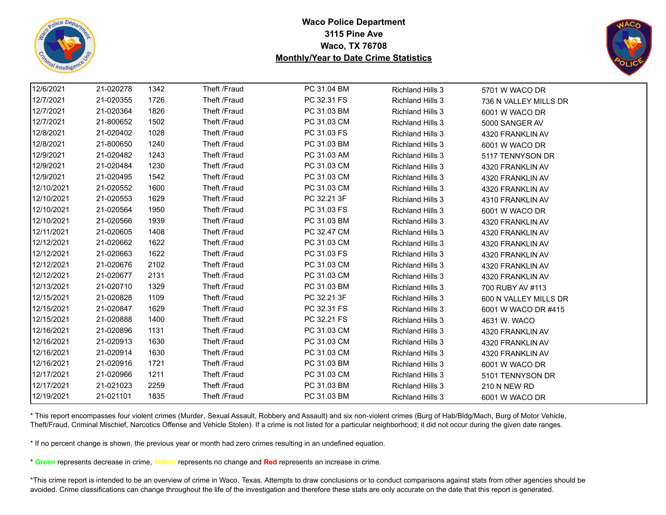



| 12/6/2021  | 21-020278 | 1342 | Theft /Fraud | PC 31.04 BM | <b>Richland Hills 3</b> | 5701 W WACO DR        |
|------------|-----------|------|--------------|-------------|-------------------------|-----------------------|
| 12/7/2021  | 21-020355 | 1726 | Theft /Fraud | PC 32.31 FS | <b>Richland Hills 3</b> | 736 N VALLEY MILLS DR |
| 12/7/2021  | 21-020364 | 1826 | Theft /Fraud | PC 31.03 BM | <b>Richland Hills 3</b> | 6001 W WACO DR        |
| 12/7/2021  | 21-800652 | 1502 | Theft /Fraud | PC 31.03 CM | <b>Richland Hills 3</b> | 5000 SANGER AV        |
| 12/8/2021  | 21-020402 | 1028 | Theft /Fraud | PC 31.03 FS | <b>Richland Hills 3</b> | 4320 FRANKLIN AV      |
| 12/8/2021  | 21-800650 | 1240 | Theft /Fraud | PC 31.03 BM | <b>Richland Hills 3</b> | 6001 W WACO DR        |
| 12/9/2021  | 21-020482 | 1243 | Theft /Fraud | PC 31.03 AM | <b>Richland Hills 3</b> | 5117 TENNYSON DR      |
| 12/9/2021  | 21-020484 | 1230 | Theft /Fraud | PC 31.03 CM | <b>Richland Hills 3</b> | 4320 FRANKLIN AV      |
| 12/9/2021  | 21-020495 | 1542 | Theft /Fraud | PC 31.03 CM | <b>Richland Hills 3</b> | 4320 FRANKLIN AV      |
| 12/10/2021 | 21-020552 | 1600 | Theft /Fraud | PC 31.03 CM | <b>Richland Hills 3</b> | 4320 FRANKLIN AV      |
| 12/10/2021 | 21-020553 | 1629 | Theft /Fraud | PC 32.21 3F | <b>Richland Hills 3</b> | 4310 FRANKLIN AV      |
| 12/10/2021 | 21-020564 | 1950 | Theft /Fraud | PC 31.03 FS | <b>Richland Hills 3</b> | 6001 W WACO DR        |
| 12/10/2021 | 21-020566 | 1939 | Theft /Fraud | PC 31.03 BM | <b>Richland Hills 3</b> | 4320 FRANKLIN AV      |
| 12/11/2021 | 21-020605 | 1408 | Theft /Fraud | PC 32.47 CM | <b>Richland Hills 3</b> | 4320 FRANKLIN AV      |
| 12/12/2021 | 21-020662 | 1622 | Theft /Fraud | PC 31.03 CM | <b>Richland Hills 3</b> | 4320 FRANKLIN AV      |
| 12/12/2021 | 21-020663 | 1622 | Theft /Fraud | PC 31.03 FS | <b>Richland Hills 3</b> | 4320 FRANKLIN AV      |
| 12/12/2021 | 21-020676 | 2102 | Theft /Fraud | PC 31.03 CM | <b>Richland Hills 3</b> | 4320 FRANKLIN AV      |
| 12/12/2021 | 21-020677 | 2131 | Theft /Fraud | PC 31.03 CM | <b>Richland Hills 3</b> | 4320 FRANKLIN AV      |
| 12/13/2021 | 21-020710 | 1329 | Theft /Fraud | PC 31.03 BM | <b>Richland Hills 3</b> | 700 RUBY AV #113      |
| 12/15/2021 | 21-020828 | 1109 | Theft /Fraud | PC 32.21 3F | <b>Richland Hills 3</b> | 600 N VALLEY MILLS DR |
| 12/15/2021 | 21-020847 | 1629 | Theft /Fraud | PC 32.31 FS | <b>Richland Hills 3</b> | 6001 W WACO DR #415   |
| 12/15/2021 | 21-020888 | 1400 | Theft /Fraud | PC 32.21 FS | <b>Richland Hills 3</b> | 4631 W. WACO          |
| 12/16/2021 | 21-020896 | 1131 | Theft /Fraud | PC 31.03 CM | <b>Richland Hills 3</b> | 4320 FRANKLIN AV      |
| 12/16/2021 | 21-020913 | 1630 | Theft /Fraud | PC 31.03 CM | <b>Richland Hills 3</b> | 4320 FRANKLIN AV      |
| 12/16/2021 | 21-020914 | 1630 | Theft /Fraud | PC 31.03 CM | <b>Richland Hills 3</b> | 4320 FRANKLIN AV      |
| 12/16/2021 | 21-020916 | 1721 | Theft /Fraud | PC 31.03 BM | <b>Richland Hills 3</b> | 6001 W WACO DR        |
| 12/17/2021 | 21-020966 | 1211 | Theft /Fraud | PC 31.03 CM | <b>Richland Hills 3</b> | 5101 TENNYSON DR      |
| 12/17/2021 | 21-021023 | 2259 | Theft /Fraud | PC 31.03 BM | <b>Richland Hills 3</b> | <b>210 N NEW RD</b>   |
| 12/19/2021 | 21-021101 | 1835 | Theft /Fraud | PC 31.03 BM | <b>Richland Hills 3</b> | 6001 W WACO DR        |

\* This report encompasses four violent crimes (Murder, Sexual Assault, Robbery and Assault) and six non-violent crimes (Burg of Hab/Bldg/Mach, Burg of Motor Vehicle, Theft/Fraud, Criminal Mischief, Narcotics Offense and Vehicle Stolen). If a crime is not listed for a particular neighborhood; it did not occur during the given date ranges.

\* If no percent change is shown, the previous year or month had zero crimes resulting in an undefined equation.

\* **Green** represents decrease in crime, **Yellow** represents no change and **Red** represents an increase in crime.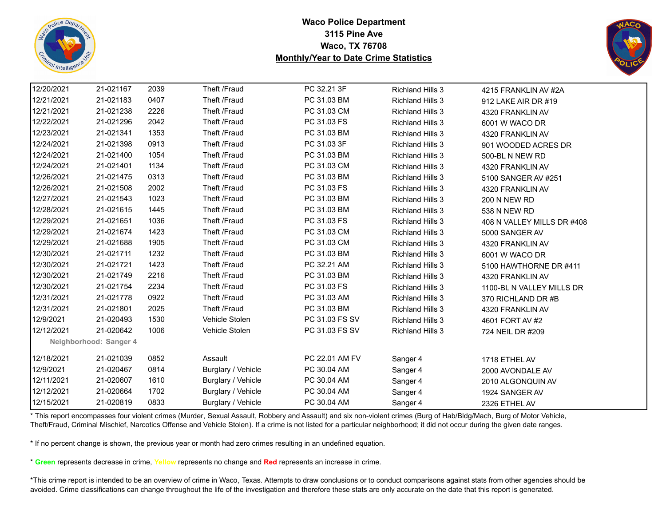



| 12/20/2021 | 21-021167              | 2039 | Theft /Fraud       | PC 32.21 3F    | <b>Richland Hills 3</b> | 4215 FRANKLIN AV #2A       |
|------------|------------------------|------|--------------------|----------------|-------------------------|----------------------------|
| 12/21/2021 | 21-021183              | 0407 | Theft /Fraud       | PC 31.03 BM    | Richland Hills 3        | 912 LAKE AIR DR #19        |
| 12/21/2021 | 21-021238              | 2226 | Theft /Fraud       | PC 31.03 CM    | <b>Richland Hills 3</b> | 4320 FRANKLIN AV           |
| 12/22/2021 | 21-021296              | 2042 | Theft /Fraud       | PC 31.03 FS    | <b>Richland Hills 3</b> | 6001 W WACO DR             |
| 12/23/2021 | 21-021341              | 1353 | Theft /Fraud       | PC 31.03 BM    | <b>Richland Hills 3</b> | 4320 FRANKLIN AV           |
| 12/24/2021 | 21-021398              | 0913 | Theft /Fraud       | PC 31.03 3F    | <b>Richland Hills 3</b> | 901 WOODED ACRES DR        |
| 12/24/2021 | 21-021400              | 1054 | Theft /Fraud       | PC 31.03 BM    | <b>Richland Hills 3</b> | 500-BL N NEW RD            |
| 12/24/2021 | 21-021401              | 1134 | Theft /Fraud       | PC 31.03 CM    | <b>Richland Hills 3</b> | 4320 FRANKLIN AV           |
| 12/26/2021 | 21-021475              | 0313 | Theft /Fraud       | PC 31.03 BM    | <b>Richland Hills 3</b> | 5100 SANGER AV #251        |
| 12/26/2021 | 21-021508              | 2002 | Theft /Fraud       | PC 31.03 FS    | <b>Richland Hills 3</b> | 4320 FRANKLIN AV           |
| 12/27/2021 | 21-021543              | 1023 | Theft /Fraud       | PC 31.03 BM    | <b>Richland Hills 3</b> | <b>200 N NEW RD</b>        |
| 12/28/2021 | 21-021615              | 1445 | Theft /Fraud       | PC 31.03 BM    | <b>Richland Hills 3</b> | 538 N NEW RD               |
| 12/29/2021 | 21-021651              | 1036 | Theft /Fraud       | PC 31.03 FS    | <b>Richland Hills 3</b> | 408 N VALLEY MILLS DR #408 |
| 12/29/2021 | 21-021674              | 1423 | Theft /Fraud       | PC 31.03 CM    | <b>Richland Hills 3</b> | 5000 SANGER AV             |
| 12/29/2021 | 21-021688              | 1905 | Theft /Fraud       | PC 31.03 CM    | <b>Richland Hills 3</b> | 4320 FRANKLIN AV           |
| 12/30/2021 | 21-021711              | 1232 | Theft /Fraud       | PC 31.03 BM    | <b>Richland Hills 3</b> | 6001 W WACO DR             |
| 12/30/2021 | 21-021721              | 1423 | Theft /Fraud       | PC 32.21 AM    | <b>Richland Hills 3</b> | 5100 HAWTHORNE DR #411     |
| 12/30/2021 | 21-021749              | 2216 | Theft /Fraud       | PC 31.03 BM    | <b>Richland Hills 3</b> | 4320 FRANKLIN AV           |
| 12/30/2021 | 21-021754              | 2234 | Theft /Fraud       | PC 31.03 FS    | <b>Richland Hills 3</b> | 1100-BL N VALLEY MILLS DR  |
| 12/31/2021 | 21-021778              | 0922 | Theft /Fraud       | PC 31.03 AM    | <b>Richland Hills 3</b> | 370 RICHLAND DR #B         |
| 12/31/2021 | 21-021801              | 2025 | Theft /Fraud       | PC 31.03 BM    | <b>Richland Hills 3</b> | 4320 FRANKLIN AV           |
| 12/9/2021  | 21-020493              | 1530 | Vehicle Stolen     | PC 31.03 FS SV | <b>Richland Hills 3</b> | 4601 FORT AV #2            |
| 12/12/2021 | 21-020642              | 1006 | Vehicle Stolen     | PC 31.03 FS SV | <b>Richland Hills 3</b> | 724 NEIL DR #209           |
|            | Neighborhood: Sanger 4 |      |                    |                |                         |                            |
| 12/18/2021 | 21-021039              | 0852 | Assault            | PC 22.01 AM FV | Sanger 4                | 1718 ETHEL AV              |
| 12/9/2021  | 21-020467              | 0814 | Burglary / Vehicle | PC 30.04 AM    | Sanger 4                | 2000 AVONDALE AV           |
| 12/11/2021 | 21-020607              | 1610 | Burglary / Vehicle | PC 30.04 AM    | Sanger 4                | 2010 ALGONQUIN AV          |
| 12/12/2021 | 21-020664              | 1702 | Burglary / Vehicle | PC 30.04 AM    | Sanger 4                | 1924 SANGER AV             |
| 12/15/2021 | 21-020819              | 0833 | Burglary / Vehicle | PC 30.04 AM    | Sanger 4                | 2326 ETHEL AV              |

\* This report encompasses four violent crimes (Murder, Sexual Assault, Robbery and Assault) and six non-violent crimes (Burg of Hab/Bldg/Mach, Burg of Motor Vehicle, Theft/Fraud, Criminal Mischief, Narcotics Offense and Vehicle Stolen). If a crime is not listed for a particular neighborhood; it did not occur during the given date ranges.

\* If no percent change is shown, the previous year or month had zero crimes resulting in an undefined equation.

\* **Green** represents decrease in crime, **Yellow** represents no change and **Red** represents an increase in crime.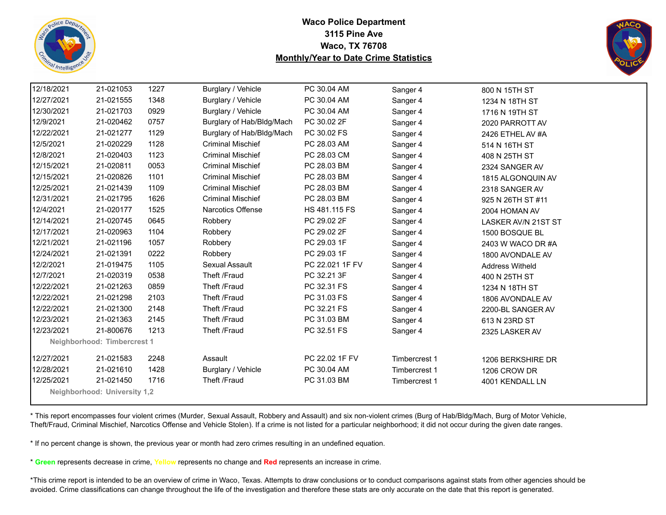



| 12/18/2021 | 21-021053                           | 1227 | Burglary / Vehicle        | PC 30.04 AM     | Sanger 4      | 800 N 15TH ST              |  |
|------------|-------------------------------------|------|---------------------------|-----------------|---------------|----------------------------|--|
| 12/27/2021 | 21-021555                           | 1348 | Burglary / Vehicle        | PC 30.04 AM     | Sanger 4      | 1234 N 18TH ST             |  |
| 12/30/2021 | 21-021703                           | 0929 | Burglary / Vehicle        | PC 30.04 AM     | Sanger 4      | 1716 N 19TH ST             |  |
| 12/9/2021  | 21-020462                           | 0757 | Burglary of Hab/Bldg/Mach | PC 30.02 2F     | Sanger 4      | 2020 PARROTT AV            |  |
| 12/22/2021 | 21-021277                           | 1129 | Burglary of Hab/Bldg/Mach | PC 30.02 FS     | Sanger 4      | 2426 ETHEL AV #A           |  |
| 12/5/2021  | 21-020229                           | 1128 | <b>Criminal Mischief</b>  | PC 28.03 AM     | Sanger 4      | 514 N 16TH ST              |  |
| 12/8/2021  | 21-020403                           | 1123 | <b>Criminal Mischief</b>  | PC 28.03 CM     | Sanger 4      | 408 N 25TH ST              |  |
| 12/15/2021 | 21-020811                           | 0053 | <b>Criminal Mischief</b>  | PC 28.03 BM     | Sanger 4      | 2324 SANGER AV             |  |
| 12/15/2021 | 21-020826                           | 1101 | <b>Criminal Mischief</b>  | PC 28.03 BM     | Sanger 4      | 1815 ALGONQUIN AV          |  |
| 12/25/2021 | 21-021439                           | 1109 | <b>Criminal Mischief</b>  | PC 28.03 BM     | Sanger 4      | 2318 SANGER AV             |  |
| 12/31/2021 | 21-021795                           | 1626 | <b>Criminal Mischief</b>  | PC 28.03 BM     | Sanger 4      | 925 N 26TH ST #11          |  |
| 12/4/2021  | 21-020177                           | 1525 | <b>Narcotics Offense</b>  | HS 481.115 FS   | Sanger 4      | 2004 HOMAN AV              |  |
| 12/14/2021 | 21-020745                           | 0645 | Robbery                   | PC 29.02 2F     | Sanger 4      | <b>LASKER AV/N 21ST ST</b> |  |
| 12/17/2021 | 21-020963                           | 1104 | Robbery                   | PC 29.02 2F     | Sanger 4      | 1500 BOSQUE BL             |  |
| 12/21/2021 | 21-021196                           | 1057 | Robbery                   | PC 29.03 1F     | Sanger 4      | 2403 W WACO DR #A          |  |
| 12/24/2021 | 21-021391                           | 0222 | Robbery                   | PC 29.03 1F     | Sanger 4      | 1800 AVONDALE AV           |  |
| 12/2/2021  | 21-019475                           | 1105 | Sexual Assault            | PC 22.021 1F FV | Sanger 4      | Address Witheld            |  |
| 12/7/2021  | 21-020319                           | 0538 | Theft /Fraud              | PC 32.21 3F     | Sanger 4      | 400 N 25TH ST              |  |
| 12/22/2021 | 21-021263                           | 0859 | Theft /Fraud              | PC 32.31 FS     | Sanger 4      | 1234 N 18TH ST             |  |
| 12/22/2021 | 21-021298                           | 2103 | Theft /Fraud              | PC 31.03 FS     | Sanger 4      | 1806 AVONDALE AV           |  |
| 12/22/2021 | 21-021300                           | 2148 | Theft /Fraud              | PC 32.21 FS     | Sanger 4      | 2200-BL SANGER AV          |  |
| 12/23/2021 | 21-021363                           | 2145 | Theft /Fraud              | PC 31.03 BM     | Sanger 4      | 613 N 23RD ST              |  |
| 12/23/2021 | 21-800676                           | 1213 | Theft /Fraud              | PC 32.51 FS     | Sanger 4      | 2325 LASKER AV             |  |
|            | Neighborhood: Timbercrest 1         |      |                           |                 |               |                            |  |
| 12/27/2021 | 21-021583                           | 2248 | Assault                   | PC 22.02 1F FV  | Timbercrest 1 | 1206 BERKSHIRE DR          |  |
| 12/28/2021 | 21-021610                           | 1428 | Burglary / Vehicle        | PC 30.04 AM     | Timbercrest 1 | 1206 CROW DR               |  |
| 12/25/2021 | 21-021450                           | 1716 | Theft /Fraud              | PC 31.03 BM     | Timbercrest 1 | 4001 KENDALL LN            |  |
|            | <b>Neighborhood: University 1.2</b> |      |                           |                 |               |                            |  |

\* This report encompasses four violent crimes (Murder, Sexual Assault, Robbery and Assault) and six non-violent crimes (Burg of Hab/Bldg/Mach, Burg of Motor Vehicle, Theft/Fraud, Criminal Mischief, Narcotics Offense and Vehicle Stolen). If a crime is not listed for a particular neighborhood; it did not occur during the given date ranges.

\* If no percent change is shown, the previous year or month had zero crimes resulting in an undefined equation.

\* **Green** represents decrease in crime, **Yellow** represents no change and **Red** represents an increase in crime.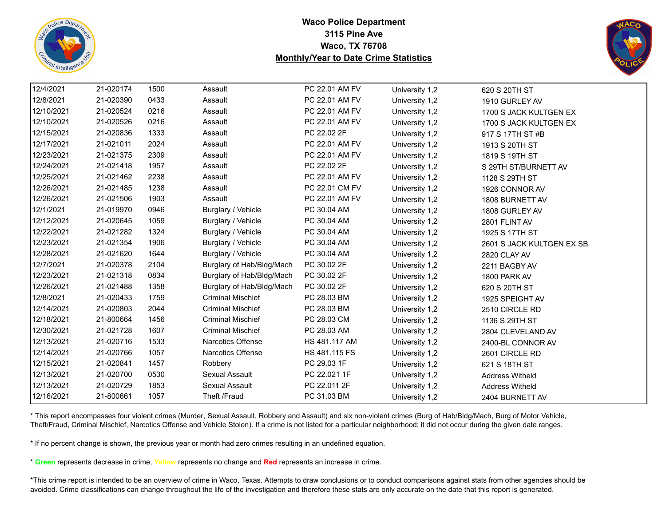



| 12/4/2021  | 21-020174 | 1500 | Assault                   | PC 22.01 AM FV | University 1,2 | 620 S 20TH ST             |
|------------|-----------|------|---------------------------|----------------|----------------|---------------------------|
| 12/8/2021  | 21-020390 | 0433 | Assault                   | PC 22.01 AM FV | University 1,2 | 1910 GURLEY AV            |
| 12/10/2021 | 21-020524 | 0216 | Assault                   | PC 22.01 AM FV | University 1,2 | 1700 S JACK KULTGEN EX    |
| 12/10/2021 | 21-020526 | 0216 | Assault                   | PC 22.01 AM FV | University 1,2 | 1700 S JACK KULTGEN EX    |
| 12/15/2021 | 21-020836 | 1333 | Assault                   | PC 22.02 2F    | University 1,2 | 917 S 17TH ST #B          |
| 12/17/2021 | 21-021011 | 2024 | Assault                   | PC 22.01 AM FV | University 1,2 | 1913 S 20TH ST            |
| 12/23/2021 | 21-021375 | 2309 | Assault                   | PC 22.01 AM FV | University 1,2 | 1819 S 19TH ST            |
| 12/24/2021 | 21-021418 | 1957 | Assault                   | PC 22.02 2F    | University 1,2 | S 29TH ST/BURNETT AV      |
| 12/25/2021 | 21-021462 | 2238 | Assault                   | PC 22.01 AM FV | University 1,2 | 1128 S 29TH ST            |
| 12/26/2021 | 21-021485 | 1238 | Assault                   | PC 22.01 CM FV | University 1,2 | 1926 CONNOR AV            |
| 12/26/2021 | 21-021506 | 1903 | Assault                   | PC 22.01 AM FV | University 1,2 | 1808 BURNETT AV           |
| 12/1/2021  | 21-019970 | 0946 | Burglary / Vehicle        | PC 30.04 AM    | University 1,2 | 1808 GURLEY AV            |
| 12/12/2021 | 21-020645 | 1059 | Burglary / Vehicle        | PC 30.04 AM    | University 1,2 | 2801 FLINT AV             |
| 12/22/2021 | 21-021282 | 1324 | Burglary / Vehicle        | PC 30.04 AM    | University 1,2 | 1925 S 17TH ST            |
| 12/23/2021 | 21-021354 | 1906 | Burglary / Vehicle        | PC 30.04 AM    | University 1,2 | 2601 S JACK KULTGEN EX SB |
| 12/28/2021 | 21-021620 | 1644 | Burglary / Vehicle        | PC 30.04 AM    | University 1,2 | 2820 CLAY AV              |
| 12/7/2021  | 21-020378 | 2104 | Burglary of Hab/Bldg/Mach | PC 30.02 2F    | University 1,2 | 2211 BAGBY AV             |
| 12/23/2021 | 21-021318 | 0834 | Burglary of Hab/Bldg/Mach | PC 30.02 2F    | University 1,2 | 1800 PARK AV              |
| 12/26/2021 | 21-021488 | 1358 | Burglary of Hab/Bldg/Mach | PC 30.02 2F    | University 1,2 | 620 S 20TH ST             |
| 12/8/2021  | 21-020433 | 1759 | <b>Criminal Mischief</b>  | PC 28.03 BM    | University 1,2 | 1925 SPEIGHT AV           |
| 12/14/2021 | 21-020803 | 2044 | <b>Criminal Mischief</b>  | PC 28.03 BM    | University 1,2 | 2510 CIRCLE RD            |
| 12/18/2021 | 21-800664 | 1456 | <b>Criminal Mischief</b>  | PC 28.03 CM    | University 1,2 | 1136 S 29TH ST            |
| 12/30/2021 | 21-021728 | 1607 | <b>Criminal Mischief</b>  | PC 28.03 AM    | University 1,2 | 2804 CLEVELAND AV         |
| 12/13/2021 | 21-020716 | 1533 | <b>Narcotics Offense</b>  | HS 481.117 AM  | University 1,2 | 2400-BL CONNOR AV         |
| 12/14/2021 | 21-020766 | 1057 | Narcotics Offense         | HS 481.115 FS  | University 1,2 | 2601 CIRCLE RD            |
| 12/15/2021 | 21-020841 | 1457 | Robbery                   | PC 29.03 1F    | University 1,2 | 621 S 18TH ST             |
| 12/13/2021 | 21-020700 | 0530 | Sexual Assault            | PC 22.021 1F   | University 1,2 | <b>Address Witheld</b>    |
| 12/13/2021 | 21-020729 | 1853 | Sexual Assault            | PC 22.011 2F   | University 1,2 | <b>Address Witheld</b>    |
| 12/16/2021 | 21-800661 | 1057 | Theft /Fraud              | PC 31.03 BM    | University 1,2 | 2404 BURNETT AV           |
|            |           |      |                           |                |                |                           |

\* This report encompasses four violent crimes (Murder, Sexual Assault, Robbery and Assault) and six non-violent crimes (Burg of Hab/Bldg/Mach, Burg of Motor Vehicle, Theft/Fraud, Criminal Mischief, Narcotics Offense and Vehicle Stolen). If a crime is not listed for a particular neighborhood; it did not occur during the given date ranges.

\* If no percent change is shown, the previous year or month had zero crimes resulting in an undefined equation.

\* **Green** represents decrease in crime, **Yellow** represents no change and **Red** represents an increase in crime.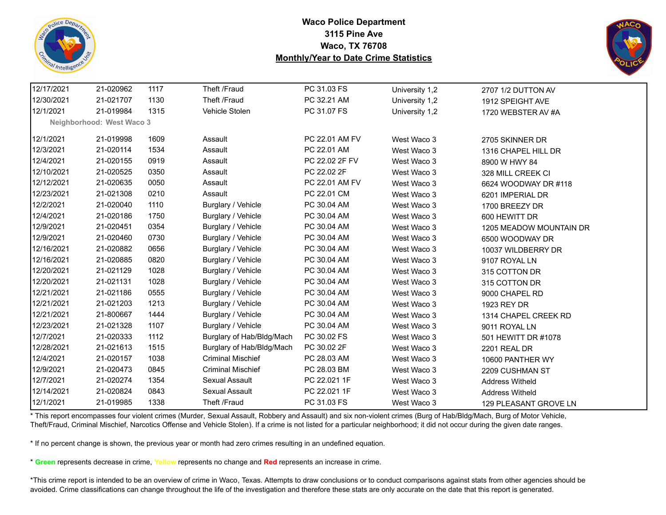



| 12/17/2021 | 21-020962                 | 1117 | Theft /Fraud              | PC 31.03 FS    | University 1,2 | 2707 1/2 DUTTON AV      |
|------------|---------------------------|------|---------------------------|----------------|----------------|-------------------------|
| 12/30/2021 | 21-021707                 | 1130 | Theft /Fraud              | PC 32.21 AM    | University 1,2 | 1912 SPEIGHT AVE        |
| 12/1/2021  | 21-019984                 | 1315 | Vehicle Stolen            | PC 31.07 FS    | University 1,2 | 1720 WEBSTER AV #A      |
|            | Neighborhood: West Waco 3 |      |                           |                |                |                         |
| 12/1/2021  | 21-019998                 | 1609 | Assault                   | PC 22.01 AM FV |                |                         |
|            |                           |      |                           |                | West Waco 3    | 2705 SKINNER DR         |
| 12/3/2021  | 21-020114                 | 1534 | Assault                   | PC 22.01 AM    | West Waco 3    | 1316 CHAPEL HILL DR     |
| 12/4/2021  | 21-020155                 | 0919 | Assault                   | PC 22.02 2F FV | West Waco 3    | 8900 W HWY 84           |
| 12/10/2021 | 21-020525                 | 0350 | Assault                   | PC 22.02 2F    | West Waco 3    | 328 MILL CREEK CI       |
| 12/12/2021 | 21-020635                 | 0050 | Assault                   | PC 22.01 AM FV | West Waco 3    | 6624 WOODWAY DR #118    |
| 12/23/2021 | 21-021308                 | 0210 | Assault                   | PC 22.01 CM    | West Waco 3    | 6201 IMPERIAL DR        |
| 12/2/2021  | 21-020040                 | 1110 | Burglary / Vehicle        | PC 30.04 AM    | West Waco 3    | 1700 BREEZY DR          |
| 12/4/2021  | 21-020186                 | 1750 | Burglary / Vehicle        | PC 30.04 AM    | West Waco 3    | 600 HEWITT DR           |
| 12/9/2021  | 21-020451                 | 0354 | Burglary / Vehicle        | PC 30.04 AM    | West Waco 3    | 1205 MEADOW MOUNTAIN DR |
| 12/9/2021  | 21-020460                 | 0730 | Burglary / Vehicle        | PC 30.04 AM    | West Waco 3    | 6500 WOODWAY DR         |
| 12/16/2021 | 21-020882                 | 0656 | Burglary / Vehicle        | PC 30.04 AM    | West Waco 3    | 10037 WILDBERRY DR      |
| 12/16/2021 | 21-020885                 | 0820 | Burglary / Vehicle        | PC 30.04 AM    | West Waco 3    | 9107 ROYAL LN           |
| 12/20/2021 | 21-021129                 | 1028 | Burglary / Vehicle        | PC 30.04 AM    | West Waco 3    | 315 COTTON DR           |
| 12/20/2021 | 21-021131                 | 1028 | Burglary / Vehicle        | PC 30.04 AM    | West Waco 3    | 315 COTTON DR           |
| 12/21/2021 | 21-021186                 | 0555 | Burglary / Vehicle        | PC 30.04 AM    | West Waco 3    | 9000 CHAPEL RD          |
| 12/21/2021 | 21-021203                 | 1213 | Burglary / Vehicle        | PC 30.04 AM    | West Waco 3    | 1923 REY DR             |
| 12/21/2021 | 21-800667                 | 1444 | Burglary / Vehicle        | PC 30.04 AM    | West Waco 3    | 1314 CHAPEL CREEK RD    |
| 12/23/2021 | 21-021328                 | 1107 | Burglary / Vehicle        | PC 30.04 AM    | West Waco 3    | 9011 ROYAL LN           |
| 12/7/2021  | 21-020333                 | 1112 | Burglary of Hab/Bldg/Mach | PC 30.02 FS    | West Waco 3    | 501 HEWITT DR #1078     |
| 12/28/2021 | 21-021613                 | 1515 | Burglary of Hab/Bldg/Mach | PC 30.02 2F    | West Waco 3    | 2201 REAL DR            |
| 12/4/2021  | 21-020157                 | 1038 | <b>Criminal Mischief</b>  | PC 28.03 AM    | West Waco 3    | 10600 PANTHER WY        |
| 12/9/2021  | 21-020473                 | 0845 | <b>Criminal Mischief</b>  | PC 28.03 BM    | West Waco 3    | 2209 CUSHMAN ST         |
| 12/7/2021  | 21-020274                 | 1354 | Sexual Assault            | PC 22.021 1F   | West Waco 3    | <b>Address Witheld</b>  |
| 12/14/2021 | 21-020824                 | 0843 | Sexual Assault            | PC 22.021 1F   | West Waco 3    | <b>Address Witheld</b>  |
| 12/1/2021  | 21-019985                 | 1338 | Theft /Fraud              | PC 31.03 FS    | West Waco 3    | 129 PLEASANT GROVE LN   |

\* This report encompasses four violent crimes (Murder, Sexual Assault, Robbery and Assault) and six non-violent crimes (Burg of Hab/Bldg/Mach, Burg of Motor Vehicle, Theft/Fraud, Criminal Mischief, Narcotics Offense and Vehicle Stolen). If a crime is not listed for a particular neighborhood; it did not occur during the given date ranges.

\* If no percent change is shown, the previous year or month had zero crimes resulting in an undefined equation.

\* **Green** represents decrease in crime, **Yellow** represents no change and **Red** represents an increase in crime.